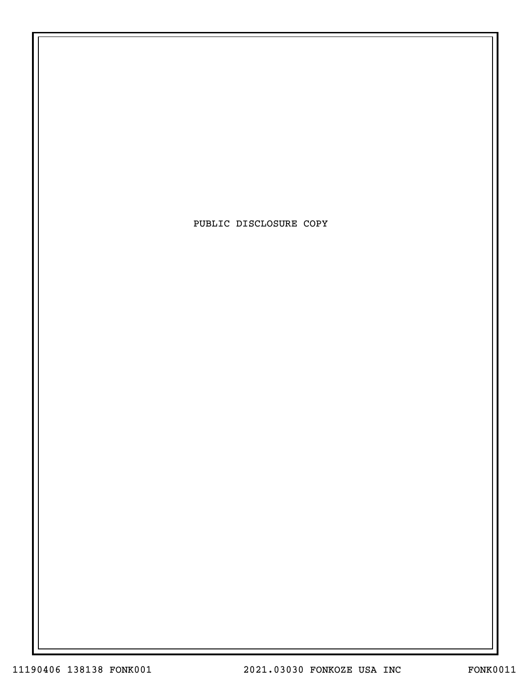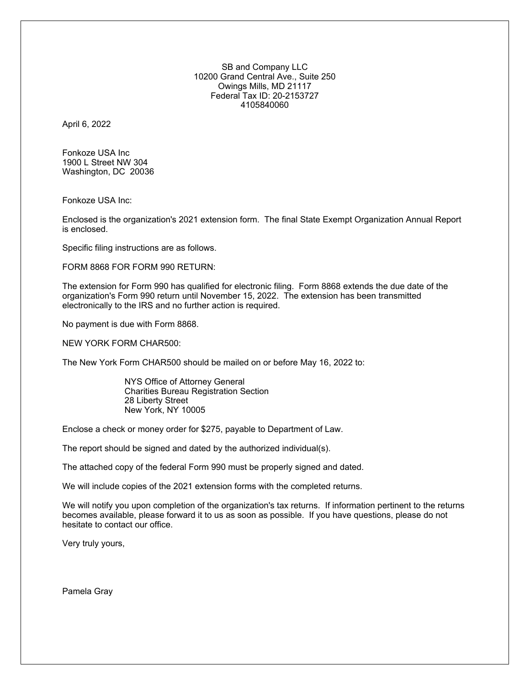SB and Company LLC 10200 Grand Central Ave., Suite 250 Owings Mills, MD 21117 Federal Tax ID: 20-2153727 4105840060

April 6, 2022

Fonkoze USA Inc 1900 L Street NW 304 Washington, DC 20036

Fonkoze USA Inc:

Enclosed is the organization's 2021 extension form. The final State Exempt Organization Annual Report is enclosed.

Specific filing instructions are as follows.

FORM 8868 FOR FORM 990 RETURN:

The extension for Form 990 has qualified for electronic filing. Form 8868 extends the due date of the organization's Form 990 return until November 15, 2022. The extension has been transmitted electronically to the IRS and no further action is required.

No payment is due with Form 8868.

NEW YORK FORM CHAR500:

The New York Form CHAR500 should be mailed on or before May 16, 2022 to:

NYS Office of Attorney General Charities Bureau Registration Section 28 Liberty Street New York, NY 10005

Enclose a check or money order for \$275, payable to Department of Law.

The report should be signed and dated by the authorized individual(s).

The attached copy of the federal Form 990 must be properly signed and dated.

We will include copies of the 2021 extension forms with the completed returns.

We will notify you upon completion of the organization's tax returns. If information pertinent to the returns becomes available, please forward it to us as soon as possible. If you have questions, please do not hesitate to contact our office.

Very truly yours,

Pamela Gray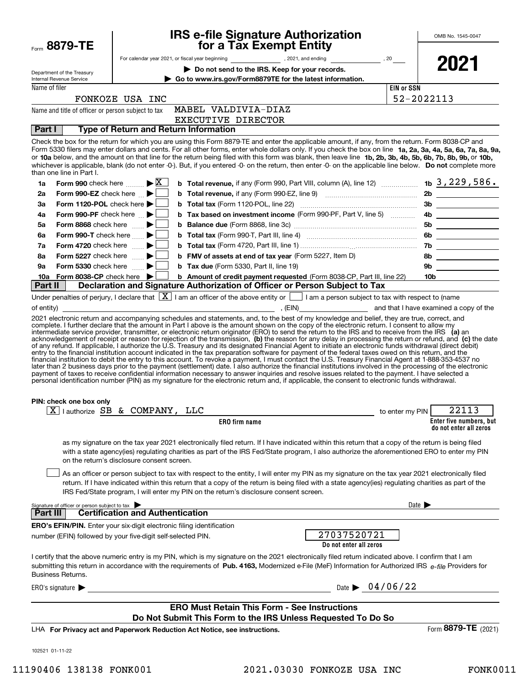| Form 8879-TE                                                                                                                                 |                                                                  |                                                                                       | <b>IRS e-file Signature Authorization<br/>for a Tax Exempt Entity</b>                                                                                                                                                                                                                                                                                                                                                                                                                                                                                                                                                                           |                            | OMB No. 1545-0047                                     |
|----------------------------------------------------------------------------------------------------------------------------------------------|------------------------------------------------------------------|---------------------------------------------------------------------------------------|-------------------------------------------------------------------------------------------------------------------------------------------------------------------------------------------------------------------------------------------------------------------------------------------------------------------------------------------------------------------------------------------------------------------------------------------------------------------------------------------------------------------------------------------------------------------------------------------------------------------------------------------------|----------------------------|-------------------------------------------------------|
|                                                                                                                                              |                                                                  |                                                                                       | For calendar year 2021, or fiscal year beginning ______________________, 2021, and ending ___________________, 20____                                                                                                                                                                                                                                                                                                                                                                                                                                                                                                                           |                            | 2021                                                  |
| Department of the Treasury                                                                                                                   |                                                                  | Do not send to the IRS. Keep for your records.                                        |                                                                                                                                                                                                                                                                                                                                                                                                                                                                                                                                                                                                                                                 |                            |                                                       |
| Internal Revenue Service<br>Name of filer                                                                                                    |                                                                  |                                                                                       | Go to www.irs.gov/Form8879TE for the latest information.                                                                                                                                                                                                                                                                                                                                                                                                                                                                                                                                                                                        | <b>EIN or SSN</b>          |                                                       |
|                                                                                                                                              | FONKOZE USA INC                                                  |                                                                                       |                                                                                                                                                                                                                                                                                                                                                                                                                                                                                                                                                                                                                                                 | 52-2022113                 |                                                       |
| Name and title of officer or person subject to tax                                                                                           |                                                                  | MABEL VALDIVIA-DIAZ                                                                   |                                                                                                                                                                                                                                                                                                                                                                                                                                                                                                                                                                                                                                                 |                            |                                                       |
|                                                                                                                                              |                                                                  | EXECUTIVE DIRECTOR                                                                    |                                                                                                                                                                                                                                                                                                                                                                                                                                                                                                                                                                                                                                                 |                            |                                                       |
| <b>Part I</b>                                                                                                                                | <b>Type of Return and Return Information</b>                     |                                                                                       |                                                                                                                                                                                                                                                                                                                                                                                                                                                                                                                                                                                                                                                 |                            |                                                       |
| than one line in Part I.                                                                                                                     |                                                                  |                                                                                       | Check the box for the return for which you are using this Form 8879-TE and enter the applicable amount, if any, from the return. Form 8038-CP and<br>Form 5330 filers may enter dollars and cents. For all other forms, enter whole dollars only. If you check the box on line 1a, 2a, 3a, 4a, 5a, 6a, 7a, 8a, 9a,<br>or 10a below, and the amount on that line for the return being filed with this form was blank, then leave line 1b, 2b, 3b, 4b, 5b, 6b, 7b, 8b, 9b, or 10b,<br>whichever is applicable, blank (do not enter -0-). But, if you entered -0- on the return, then enter -0- on the applicable line below. Do not complete more |                            |                                                       |
| 1a                                                                                                                                           | Form 990 check here $\text{}$ $\blacktriangleright$ $\mathbb{X}$ |                                                                                       | <b>b</b> Total revenue, if any (Form 990, Part VIII, column (A), line 12)  1b $3,229,586$ .                                                                                                                                                                                                                                                                                                                                                                                                                                                                                                                                                     |                            |                                                       |
| Form 990-EZ check here $\mathbb{R}$<br>2a                                                                                                    |                                                                  |                                                                                       |                                                                                                                                                                                                                                                                                                                                                                                                                                                                                                                                                                                                                                                 |                            |                                                       |
| Form 1120-POL check here $\blacktriangleright$<br>За                                                                                         |                                                                  |                                                                                       |                                                                                                                                                                                                                                                                                                                                                                                                                                                                                                                                                                                                                                                 |                            | 3b                                                    |
| Form 990-PF check here $\blacktriangleright$<br>4а                                                                                           |                                                                  |                                                                                       | <b>b</b> Tax based on investment income (Form 990-PF, Part V, line 5)                                                                                                                                                                                                                                                                                                                                                                                                                                                                                                                                                                           |                            |                                                       |
| Form 8868 check here $\ldots$<br>5a                                                                                                          |                                                                  |                                                                                       |                                                                                                                                                                                                                                                                                                                                                                                                                                                                                                                                                                                                                                                 |                            | 5b _______________                                    |
| Form 990-T check here $\ldots$<br>6a                                                                                                         |                                                                  |                                                                                       |                                                                                                                                                                                                                                                                                                                                                                                                                                                                                                                                                                                                                                                 |                            |                                                       |
| Form 4720 check here $\ldots$<br>7a                                                                                                          |                                                                  |                                                                                       |                                                                                                                                                                                                                                                                                                                                                                                                                                                                                                                                                                                                                                                 |                            |                                                       |
| Form 5227 check here $\ldots$<br>8а                                                                                                          |                                                                  | b FMV of assets at end of tax year (Form 5227, Item D)                                |                                                                                                                                                                                                                                                                                                                                                                                                                                                                                                                                                                                                                                                 | 8b.                        | <u> Albany a Communication and</u>                    |
| 9a<br>Form 5330 check here                                                                                                                   |                                                                  | <b>b</b> Tax due (Form 5330, Part II, line 19)                                        |                                                                                                                                                                                                                                                                                                                                                                                                                                                                                                                                                                                                                                                 |                            |                                                       |
| Form 8038-CP check here<br>10a<br>Part II                                                                                                    |                                                                  |                                                                                       | b Amount of credit payment requested (Form 8038-CP, Part III, line 22)<br>Declaration and Signature Authorization of Officer or Person Subject to Tax                                                                                                                                                                                                                                                                                                                                                                                                                                                                                           |                            | 10b<br><u> 1989 - Jan Store, amerikansk politiker</u> |
|                                                                                                                                              |                                                                  |                                                                                       | Under penalties of perjury, I declare that $\boxed{\mathbf{X}}$ I am an officer of the above entity or $\boxed{\phantom{a}}$ I am a person subject to tax with respect to (name                                                                                                                                                                                                                                                                                                                                                                                                                                                                 |                            |                                                       |
| of entity)                                                                                                                                   |                                                                  |                                                                                       | , (EIN)                                                                                                                                                                                                                                                                                                                                                                                                                                                                                                                                                                                                                                         |                            | and that I have examined a copy of the                |
| PIN: check one box only                                                                                                                      |                                                                  |                                                                                       | financial institution to debit the entry to this account. To revoke a payment, I must contact the U.S. Treasury Financial Agent at 1-888-353-4537 no<br>later than 2 business days prior to the payment (settlement) date. I also authorize the financial institutions involved in the processing of the electronic<br>payment of taxes to receive confidential information necessary to answer inquiries and resolve issues related to the payment. I have selected a<br>personal identification number (PIN) as my signature for the electronic return and, if applicable, the consent to electronic funds withdrawal.                        |                            |                                                       |
| $X$   authorize SB & COMPANY, LLC                                                                                                            |                                                                  |                                                                                       |                                                                                                                                                                                                                                                                                                                                                                                                                                                                                                                                                                                                                                                 | to enter my PIN            | 22113                                                 |
|                                                                                                                                              |                                                                  | <b>ERO</b> firm name                                                                  |                                                                                                                                                                                                                                                                                                                                                                                                                                                                                                                                                                                                                                                 |                            | Enter five numbers, but<br>do not enter all zeros     |
|                                                                                                                                              | on the return's disclosure consent screen.                       | IRS Fed/State program, I will enter my PIN on the return's disclosure consent screen. | as my signature on the tax year 2021 electronically filed return. If I have indicated within this return that a copy of the return is being filed<br>with a state agency(ies) regulating charities as part of the IRS Fed/State program, I also authorize the aforementioned ERO to enter my PIN<br>As an officer or person subject to tax with respect to the entity, I will enter my PIN as my signature on the tax year 2021 electronically filed<br>return. If I have indicated within this return that a copy of the return is being filed with a state agency(ies) regulating charities as part of the                                    |                            |                                                       |
|                                                                                                                                              |                                                                  |                                                                                       |                                                                                                                                                                                                                                                                                                                                                                                                                                                                                                                                                                                                                                                 | Date $\blacktriangleright$ |                                                       |
| Signature of officer or person subject to tax<br>Part III                                                                                    | <b>Certification and Authentication</b>                          |                                                                                       |                                                                                                                                                                                                                                                                                                                                                                                                                                                                                                                                                                                                                                                 |                            |                                                       |
| <b>ERO's EFIN/PIN.</b> Enter your six-digit electronic filing identification<br>number (EFIN) followed by your five-digit self-selected PIN. |                                                                  |                                                                                       | 27037520721<br>Do not enter all zeros                                                                                                                                                                                                                                                                                                                                                                                                                                                                                                                                                                                                           |                            |                                                       |
| Business Returns.                                                                                                                            |                                                                  |                                                                                       | I certify that the above numeric entry is my PIN, which is my signature on the 2021 electronically filed return indicated above. I confirm that I am<br>submitting this return in accordance with the requirements of Pub. 4163, Modernized e-File (MeF) Information for Authorized IRS e-file Providers for                                                                                                                                                                                                                                                                                                                                    |                            |                                                       |
| ERO's signature $\blacktriangleright$                                                                                                        |                                                                  |                                                                                       | Date $\triangleright$ 04/06/22                                                                                                                                                                                                                                                                                                                                                                                                                                                                                                                                                                                                                  |                            |                                                       |
|                                                                                                                                              |                                                                  | <b>ERO Must Retain This Form - See Instructions</b>                                   | Do Not Submit This Form to the IRS Unless Requested To Do So                                                                                                                                                                                                                                                                                                                                                                                                                                                                                                                                                                                    |                            |                                                       |
|                                                                                                                                              |                                                                  | LHA For Privacy act and Paperwork Reduction Act Notice, see instructions.             |                                                                                                                                                                                                                                                                                                                                                                                                                                                                                                                                                                                                                                                 |                            | Form 8879-TE (2021)                                   |
| 102521 01-11-22                                                                                                                              |                                                                  |                                                                                       |                                                                                                                                                                                                                                                                                                                                                                                                                                                                                                                                                                                                                                                 |                            |                                                       |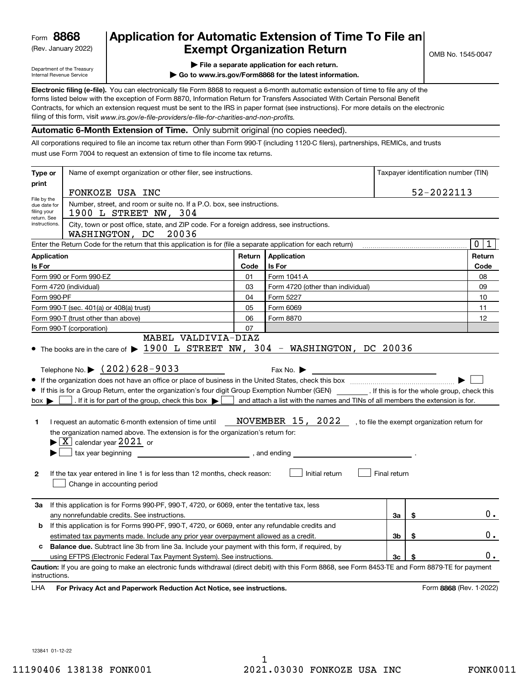(Rev. January 2022)

## **Application for Automatic Extension of Time To File an Exempt Organization Return**

Department of the Treasury Internal Revenue Service

|  |  |  | $\blacktriangleright$ File a separate application for each return. |  |
|--|--|--|--------------------------------------------------------------------|--|
|  |  |  |                                                                    |  |

**| Go to www.irs.gov/Form8868 for the latest information.**

**Electronic filing (e-file).**  You can electronically file Form 8868 to request a 6-month automatic extension of time to file any of the filing of this form, visit www*.irs.gov/e-file-providers/e-file-for-charities-and-non-profits.* forms listed below with the exception of Form 8870, Information Return for Transfers Associated With Certain Personal Benefit Contracts, for which an extension request must be sent to the IRS in paper format (see instructions). For more details on the electronic

#### **Automatic 6-Month Extension of Time.** Only submit original (no copies needed).

All corporations required to file an income tax return other than Form 990-T (including 1120-C filers), partnerships, REMICs, and trusts must use Form 7004 to request an extension of time to file income tax returns.

| Type or                                        | Name of exempt organization or other filer, see instructions.                                                                                                                                                                                                                                                                                                                                                                                                                                                                                                                                                                                                                                            |              |                                                                                                              |                |            | Taxpayer identification number (TIN) |
|------------------------------------------------|----------------------------------------------------------------------------------------------------------------------------------------------------------------------------------------------------------------------------------------------------------------------------------------------------------------------------------------------------------------------------------------------------------------------------------------------------------------------------------------------------------------------------------------------------------------------------------------------------------------------------------------------------------------------------------------------------------|--------------|--------------------------------------------------------------------------------------------------------------|----------------|------------|--------------------------------------|
| print                                          | FONKOZE USA INC                                                                                                                                                                                                                                                                                                                                                                                                                                                                                                                                                                                                                                                                                          |              |                                                                                                              |                | 52-2022113 |                                      |
| File by the<br>due date for<br>filing your     | Number, street, and room or suite no. If a P.O. box, see instructions.<br>1900 L STREET NW, 304                                                                                                                                                                                                                                                                                                                                                                                                                                                                                                                                                                                                          |              |                                                                                                              |                |            |                                      |
| return. See<br>instructions.                   | City, town or post office, state, and ZIP code. For a foreign address, see instructions.<br>20036<br>WASHINGTON, DC                                                                                                                                                                                                                                                                                                                                                                                                                                                                                                                                                                                      |              |                                                                                                              |                |            |                                      |
|                                                | Enter the Return Code for the return that this application is for (file a separate application for each return)                                                                                                                                                                                                                                                                                                                                                                                                                                                                                                                                                                                          |              |                                                                                                              |                |            | $\overline{0}$<br> 1                 |
| <b>Application</b>                             |                                                                                                                                                                                                                                                                                                                                                                                                                                                                                                                                                                                                                                                                                                          | Return       | <b>Application</b>                                                                                           |                |            | Return                               |
| Is For                                         |                                                                                                                                                                                                                                                                                                                                                                                                                                                                                                                                                                                                                                                                                                          | Code         | Is For                                                                                                       |                |            | Code                                 |
|                                                | Form 990 or Form 990-EZ                                                                                                                                                                                                                                                                                                                                                                                                                                                                                                                                                                                                                                                                                  | 01           | Form 1041-A                                                                                                  |                |            | 08                                   |
|                                                | Form 4720 (individual)                                                                                                                                                                                                                                                                                                                                                                                                                                                                                                                                                                                                                                                                                   | 03           | Form 4720 (other than individual)                                                                            |                |            | 09                                   |
| Form 990-PF                                    |                                                                                                                                                                                                                                                                                                                                                                                                                                                                                                                                                                                                                                                                                                          | 04           | Form 5227                                                                                                    |                |            | 10                                   |
|                                                | Form 990-T (sec. 401(a) or 408(a) trust)                                                                                                                                                                                                                                                                                                                                                                                                                                                                                                                                                                                                                                                                 | 05           | Form 6069                                                                                                    |                |            | 11                                   |
|                                                | Form 990-T (trust other than above)                                                                                                                                                                                                                                                                                                                                                                                                                                                                                                                                                                                                                                                                      | 06           | Form 8870                                                                                                    |                |            | 12                                   |
|                                                | Form 990-T (corporation)<br>MABEL VALDIVIA-DIAZ                                                                                                                                                                                                                                                                                                                                                                                                                                                                                                                                                                                                                                                          | 07           |                                                                                                              |                |            |                                      |
| $box \blacktriangleright$<br>1<br>$\mathbf{2}$ | Telephone No. > (202) 628-9033<br>If this is for a Group Return, enter the organization's four digit Group Exemption Number (GEN) __________. If this is for the whole group, check this<br>. If it is for part of the group, check this box $\blacktriangleright$   and attach a list with the names and TINs of all members the extension is for.<br>I request an automatic 6-month extension of time until<br>the organization named above. The extension is for the organization's return for:<br>$\blacktriangleright$ $\boxed{\text{X}}$ calendar year 2021 or<br>tax year beginning<br>If the tax year entered in line 1 is for less than 12 months, check reason:<br>Change in accounting period | , and ending | Fax No.<br>NOVEMBER $15$ , $20\underline{22}$ , to file the exempt organization return for<br>Initial return | Final return   |            |                                      |
| За                                             | If this application is for Forms 990-PF, 990-T, 4720, or 6069, enter the tentative tax, less<br>any nonrefundable credits. See instructions.                                                                                                                                                                                                                                                                                                                                                                                                                                                                                                                                                             |              |                                                                                                              | За             | \$         | $0$ .                                |
| b                                              | If this application is for Forms 990-PF, 990-T, 4720, or 6069, enter any refundable credits and                                                                                                                                                                                                                                                                                                                                                                                                                                                                                                                                                                                                          |              |                                                                                                              |                |            |                                      |
|                                                | estimated tax payments made. Include any prior year overpayment allowed as a credit.                                                                                                                                                                                                                                                                                                                                                                                                                                                                                                                                                                                                                     |              |                                                                                                              | 3 <sub>b</sub> | \$         | 0.                                   |
| c                                              | <b>Balance due.</b> Subtract line 3b from line 3a. Include your payment with this form, if required, by                                                                                                                                                                                                                                                                                                                                                                                                                                                                                                                                                                                                  |              |                                                                                                              |                |            |                                      |
|                                                | using EFTPS (Electronic Federal Tax Payment System). See instructions.                                                                                                                                                                                                                                                                                                                                                                                                                                                                                                                                                                                                                                   |              |                                                                                                              | 3c             |            | 0.                                   |
| instructions.                                  | Caution: If you are going to make an electronic funds withdrawal (direct debit) with this Form 8868, see Form 8453-TE and Form 8879-TE for payment                                                                                                                                                                                                                                                                                                                                                                                                                                                                                                                                                       |              |                                                                                                              |                |            |                                      |
| LHA                                            | For Privacy Act and Paperwork Reduction Act Notice, see instructions.                                                                                                                                                                                                                                                                                                                                                                                                                                                                                                                                                                                                                                    |              |                                                                                                              |                |            | Form 8868 (Rev. 1-2022)              |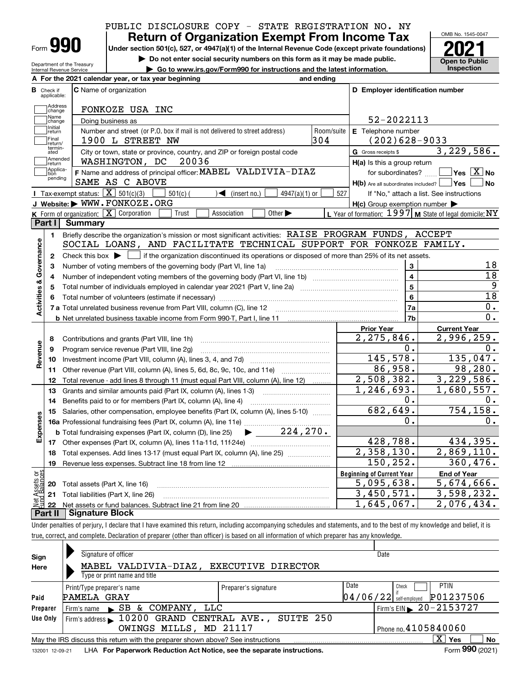#### **Return of Organization Exempt From Income Tax** PUBLIC DISCLOSURE COPY - STATE REGISTRATION NO. NY

Under section 501(c), 527, or 4947(a)(1) of the Internal Revenue Code (except private foundations) **2021** 

**| Do not enter social security numbers on this form as it may be made public.**

▶ Go to www.irs.gov/Form990 for instructions and the latest information.

Form

**990**



| Department of the Treasury<br>Internal Revenue Service | ► Go to www.irs.gov/Form990 for instructions and the latest information.                                                                            |                                                           | Inspection                                  |
|--------------------------------------------------------|-----------------------------------------------------------------------------------------------------------------------------------------------------|-----------------------------------------------------------|---------------------------------------------|
|                                                        | A For the 2021 calendar year, or tax year beginning<br>and ending                                                                                   |                                                           |                                             |
| <b>B</b> Check if<br>applicable:                       | <b>C</b> Name of organization                                                                                                                       | D Employer identification number                          |                                             |
| Address<br>change                                      | FONKOZE USA INC                                                                                                                                     |                                                           |                                             |
| Name<br>change                                         | Doing business as                                                                                                                                   | 52-2022113                                                |                                             |
| Initial<br>return                                      | Number and street (or P.O. box if mail is not delivered to street address)<br>Room/suite                                                            | E Telephone number                                        |                                             |
| Final<br>return/                                       | 304<br>1900 L STREET NW                                                                                                                             | $(202)628-9033$                                           |                                             |
| termin-<br>ated                                        | City or town, state or province, country, and ZIP or foreign postal code                                                                            | <b>G</b> Gross receipts \$                                | 3,229,586.                                  |
| ]Amended<br>]return                                    | 20036<br>WASHINGTON, DC                                                                                                                             | H(a) Is this a group return                               |                                             |
| Applica-<br>tion                                       | F Name and address of principal officer: MABEL VALDIVIA-DIAZ                                                                                        |                                                           | for subordinates? $\Box$ Yes $\boxed{X}$ No |
| pending                                                | SAME AS C ABOVE                                                                                                                                     | H(b) Are all subordinates included?   Yes                 | No                                          |
|                                                        | Tax-exempt status: $\boxed{\mathbf{X}}$ 501(c)(3)<br>$501(c)$ (<br>$\sqrt{\bullet}$ (insert no.)<br>$4947(a)(1)$ or                                 | 527<br>If "No," attach a list. See instructions           |                                             |
|                                                        | J Website: WWW.FONKOZE.ORG                                                                                                                          | $H(c)$ Group exemption number $\blacktriangleright$       |                                             |
|                                                        | <b>K</b> Form of organization: $\boxed{\mathbf{X}}$ Corporation<br>Trust<br>Association<br>Other $\blacktriangleright$                              | L Year of formation: $1997$ M State of legal domicile: NY |                                             |
| Part I<br><b>Summary</b>                               |                                                                                                                                                     |                                                           |                                             |
| 1.                                                     | Briefly describe the organization's mission or most significant activities: RAISE PROGRAM FUNDS, ACCEPT                                             |                                                           |                                             |
|                                                        | SOCIAL LOANS, AND FACILITATE TECHNICAL SUPPORT FOR FONKOZE FAMILY.                                                                                  |                                                           |                                             |
| 2                                                      | Check this box $\blacktriangleright$ $\blacksquare$ if the organization discontinued its operations or disposed of more than 25% of its net assets. |                                                           |                                             |
| з                                                      | Number of voting members of the governing body (Part VI, line 1a)                                                                                   | 3                                                         | 18                                          |
| 4                                                      |                                                                                                                                                     | $\overline{\mathbf{4}}$                                   | 18                                          |
| 5                                                      |                                                                                                                                                     | 5                                                         | $\overline{9}$                              |
| Activities & Governance                                |                                                                                                                                                     | 6                                                         | 18                                          |
|                                                        |                                                                                                                                                     | 7a                                                        | 0.                                          |
|                                                        |                                                                                                                                                     | 7b                                                        | 0.                                          |
|                                                        |                                                                                                                                                     | <b>Prior Year</b>                                         | <b>Current Year</b>                         |
| 8                                                      |                                                                                                                                                     | 2,275,846.                                                | 2,996,259.                                  |
| 9                                                      | Program service revenue (Part VIII, line 2g)                                                                                                        | 0.                                                        | 0.                                          |
| Revenue<br>10                                          |                                                                                                                                                     | 145,578.                                                  | 135,047.                                    |
| 11                                                     | Other revenue (Part VIII, column (A), lines 5, 6d, 8c, 9c, 10c, and 11e)                                                                            | 86,958.                                                   | 98,280.                                     |
| 12                                                     | Total revenue - add lines 8 through 11 (must equal Part VIII, column (A), line 12)                                                                  | 2,508,382.                                                | 3,229,586.                                  |
| 13                                                     | Grants and similar amounts paid (Part IX, column (A), lines 1-3)                                                                                    | 1,246,693.                                                | 1,680,557.                                  |
| 14                                                     |                                                                                                                                                     | 0.                                                        | 0.                                          |
| 15                                                     | Salaries, other compensation, employee benefits (Part IX, column (A), lines 5-10)                                                                   | 682,649.                                                  | 754, 158.                                   |
| Expenses                                               |                                                                                                                                                     | $\mathbf 0$ .                                             | 0.                                          |
|                                                        | <b>b</b> Total fundraising expenses (Part IX, column (D), line 25) $\rightarrow$ 224, 270.                                                          |                                                           |                                             |
|                                                        |                                                                                                                                                     | 428,788.                                                  | 434,395.                                    |
| 18                                                     | Total expenses. Add lines 13-17 (must equal Part IX, column (A), line 25) [                                                                         | 2,358,130.                                                | 2,869,110.                                  |
| 19                                                     | Revenue less expenses. Subtract line 18 from line 12                                                                                                | 150, 252.                                                 | 360,476.                                    |
|                                                        |                                                                                                                                                     | <b>Beginning of Current Year</b>                          | <b>End of Year</b>                          |
| 20                                                     | Total assets (Part X, line 16)                                                                                                                      | 5,095,638.                                                | 5,674,666.                                  |
| Net Assets or<br>Eund Balances<br>21                   | Total liabilities (Part X, line 26)                                                                                                                 | $\overline{3,450},571.$                                   | 3,598,232.                                  |
| 22                                                     |                                                                                                                                                     | 1,645,067.                                                | 2,076,434.                                  |
| Part II                                                | <b>Signature Block</b>                                                                                                                              |                                                           |                                             |

Under penalties of perjury, I declare that I have examined this return, including accompanying schedules and statements, and to the best of my knowledge and belief, it is true, correct, and complete. Declaration of preparer (other than officer) is based on all information of which preparer has any knowledge.

| Sign     | Signature of officer                                                            |                      | Date                     |                                |
|----------|---------------------------------------------------------------------------------|----------------------|--------------------------|--------------------------------|
| Here     | MABEL VALDIVIA-DIAZ, EXECUTIVE DIRECTOR                                         |                      |                          |                                |
|          | Type or print name and title                                                    |                      |                          |                                |
|          | Print/Type preparer's name                                                      | Preparer's signature | Date<br>Check            | <b>PTIN</b>                    |
| Paid     | PAMELA GRAY                                                                     |                      | $04/06/22$ self-employed | P01237506                      |
| Preparer | Firm's name SB & COMPANY, LLC                                                   |                      |                          | Firm's EIN $\geq 20 - 2153727$ |
| Use Only | Firm's address 10200 GRAND CENTRAL AVE., SUITE 250                              |                      |                          |                                |
|          | OWINGS MILLS, MD 21117                                                          |                      |                          | Phone no. $4105840060$         |
|          | May the IRS discuss this return with the preparer shown above? See instructions |                      |                          | $\overline{X}$ Yes<br>No       |
|          |                                                                                 |                      |                          | $F_{2}$ <b>QQ0</b> $(0.001)$   |

132001 12-09-21 LHA **For Paperwork Reduction Act Notice, see the separate instructions. Form 990 (2021)**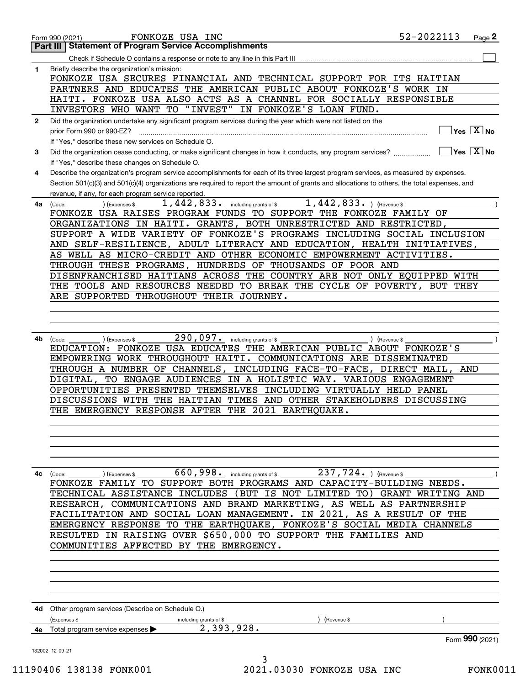| 1            | Briefly describe the organization's mission:                                                                                                                     |
|--------------|------------------------------------------------------------------------------------------------------------------------------------------------------------------|
|              | FONKOZE USA SECURES FINANCIAL AND TECHNICAL SUPPORT FOR ITS HAITIAN                                                                                              |
|              | PARTNERS AND EDUCATES THE AMERICAN PUBLIC ABOUT FONKOZE'S WORK IN                                                                                                |
|              | HAITI. FONKOZE USA ALSO ACTS AS A CHANNEL FOR SOCIALLY RESPONSIBLE                                                                                               |
|              | INVESTORS WHO WANT TO "INVEST" IN FONKOZE'S LOAN FUND.                                                                                                           |
| $\mathbf{2}$ | Did the organization undertake any significant program services during the year which were not listed on the                                                     |
|              | $Yes \quad X$ No<br>prior Form 990 or 990-EZ?                                                                                                                    |
|              | If "Yes." describe these new services on Schedule O.                                                                                                             |
| 3            | $\sqrt{}$ Yes $\sqrt{}$ $\overline{\text{X}}$ No<br>Did the organization cease conducting, or make significant changes in how it conducts, any program services? |
|              | If "Yes," describe these changes on Schedule O.                                                                                                                  |
| 4            | Describe the organization's program service accomplishments for each of its three largest program services, as measured by expenses.                             |
|              | Section 501(c)(3) and 501(c)(4) organizations are required to report the amount of grants and allocations to others, the total expenses, and                     |
|              | revenue, if any, for each program service reported.                                                                                                              |
| 4a           | 1, 442, 833. including grants of \$<br>$1,442,833.$ (Revenue \$<br>) (Expenses \$<br>(Code:                                                                      |
|              | FONKOZE USA RAISES PROGRAM FUNDS TO SUPPORT THE FONKOZE FAMILY OF                                                                                                |
|              | ORGANIZATIONS IN HAITI. GRANTS, BOTH UNRESTRICTED AND RESTRICTED,                                                                                                |
|              | SUPPORT A WIDE VARIETY OF FONKOZE'S PROGRAMS INCLUDING SOCIAL INCLUSION                                                                                          |
|              | AND SELF-RESILIENCE, ADULT LITERACY AND EDUCATION, HEALTH INITIATIVES,                                                                                           |
|              | AS WELL AS MICRO-CREDIT AND OTHER ECONOMIC EMPOWERMENT ACTIVITIES.                                                                                               |
|              | THROUGH THESE PROGRAMS, HUNDREDS OF THOUSANDS OF POOR AND                                                                                                        |
|              | DISENFRANCHISED HAITIANS ACROSS THE COUNTRY ARE NOT ONLY EQUIPPED WITH                                                                                           |
|              | THE TOOLS AND RESOURCES NEEDED TO BREAK THE CYCLE OF POVERTY, BUT THEY                                                                                           |
|              | ARE SUPPORTED THROUGHOUT THEIR JOURNEY.                                                                                                                          |
|              |                                                                                                                                                                  |
|              |                                                                                                                                                                  |
|              |                                                                                                                                                                  |
| 4b           | 290,097. including grants of \$<br>) (Expenses \$<br>) (Revenue \$<br>(Code:<br>EDUCATION: FONKOZE USA EDUCATES THE AMERICAN PUBLIC ABOUT FONKOZE'S              |
|              | EMPOWERING WORK THROUGHOUT HAITI. COMMUNICATIONS ARE DISSEMINATED                                                                                                |
|              | THROUGH A NUMBER OF CHANNELS, INCLUDING FACE-TO-FACE, DIRECT MAIL,<br>AND                                                                                        |
|              | DIGITAL, TO ENGAGE AUDIENCES IN A HOLISTIC WAY. VARIOUS ENGAGEMENT                                                                                               |
|              | OPPORTUNITIES PRESENTED THEMSELVES INCLUDING VIRTUALLY HELD PANEL                                                                                                |
|              | DISCUSSIONS WITH THE HAITIAN TIMES AND OTHER STAKEHOLDERS DISCUSSING                                                                                             |
|              | THE EMERGENCY RESPONSE AFTER THE 2021 EARTHQUAKE.                                                                                                                |
|              |                                                                                                                                                                  |
|              |                                                                                                                                                                  |
|              |                                                                                                                                                                  |
|              |                                                                                                                                                                  |
|              |                                                                                                                                                                  |
|              |                                                                                                                                                                  |
|              |                                                                                                                                                                  |
| 4с           | 660, 998. including grants of \$<br>237,724. ) (Revenue \$<br>(Expenses \$<br>(Code:                                                                             |
|              | FONKOZE FAMILY TO SUPPORT BOTH PROGRAMS AND CAPACITY-BUILDING NEEDS.<br>WRITING AND                                                                              |
|              | INCLUDES<br>IS NOT LIMITED<br>TO)<br>TECHNICAL ASSISTANCE<br>(BUT)<br>GRANT<br>RESEARCH.                                                                         |
|              | COMMUNICATIONS AND BRAND MARKETING, AS WELL AS PARTNERSHIP                                                                                                       |
|              | IN 2021,<br>AS A RESULT<br>SOCIAL LOAN MANAGEMENT.<br>FACILITATION AND<br>OF THE                                                                                 |
|              | EMERGENCY RESPONSE TO THE EARTHQUAKE, FONKOZE'S SOCIAL MEDIA CHANNELS                                                                                            |
|              | RESULTED IN RAISING OVER \$650,000 TO SUPPORT THE FAMILIES AND                                                                                                   |
|              | COMMUNITIES AFFECTED BY THE EMERGENCY.                                                                                                                           |
|              |                                                                                                                                                                  |
|              |                                                                                                                                                                  |
|              |                                                                                                                                                                  |
|              |                                                                                                                                                                  |
|              |                                                                                                                                                                  |
| 4d           | Other program services (Describe on Schedule O.)                                                                                                                 |
|              | (Revenue \$<br>(Expenses \$<br>including grants of \$                                                                                                            |
|              | 2,393,928.<br>Total program service expenses<br>Form 990 (2021)                                                                                                  |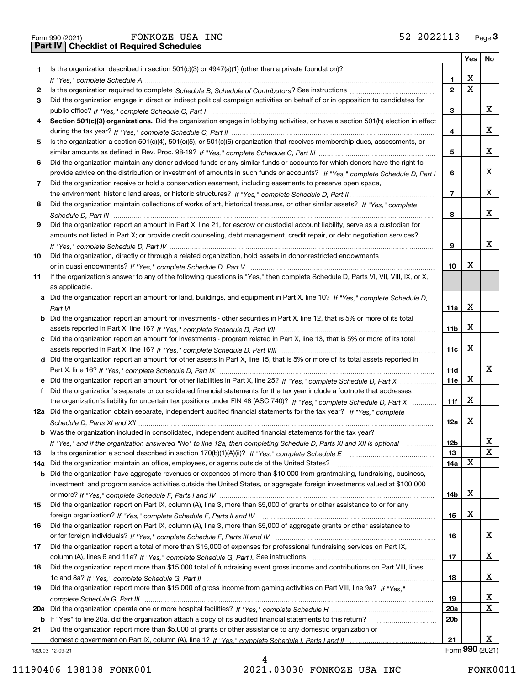|  | Form 990 (2021) |  |
|--|-----------------|--|
|  |                 |  |

Form 990 (2021) Page **3Part IV Checklist of Required Schedules** FONKOZE USA INC 52-2022113

|     |                                                                                                                                       |                 | Yes         | No              |
|-----|---------------------------------------------------------------------------------------------------------------------------------------|-----------------|-------------|-----------------|
| 1.  | Is the organization described in section $501(c)(3)$ or $4947(a)(1)$ (other than a private foundation)?                               |                 |             |                 |
|     |                                                                                                                                       | 1               | х           |                 |
| 2   |                                                                                                                                       | $\overline{2}$  | $\mathbf x$ |                 |
| 3   | Did the organization engage in direct or indirect political campaign activities on behalf of or in opposition to candidates for       |                 |             |                 |
|     |                                                                                                                                       | 3               |             | х               |
| 4   | Section 501(c)(3) organizations. Did the organization engage in lobbying activities, or have a section 501(h) election in effect      |                 |             |                 |
|     |                                                                                                                                       | 4               |             | х               |
| 5   | Is the organization a section 501(c)(4), 501(c)(5), or 501(c)(6) organization that receives membership dues, assessments, or          |                 |             |                 |
|     |                                                                                                                                       | 5               |             | х               |
| 6   | Did the organization maintain any donor advised funds or any similar funds or accounts for which donors have the right to             |                 |             |                 |
|     | provide advice on the distribution or investment of amounts in such funds or accounts? If "Yes," complete Schedule D, Part I          | 6               |             | х               |
| 7   | Did the organization receive or hold a conservation easement, including easements to preserve open space,                             |                 |             |                 |
|     |                                                                                                                                       | $\overline{7}$  |             | x               |
| 8   | Did the organization maintain collections of works of art, historical treasures, or other similar assets? If "Yes," complete          |                 |             |                 |
|     |                                                                                                                                       | 8               |             | х               |
| 9   | Did the organization report an amount in Part X, line 21, for escrow or custodial account liability, serve as a custodian for         |                 |             |                 |
|     | amounts not listed in Part X; or provide credit counseling, debt management, credit repair, or debt negotiation services?             |                 |             |                 |
|     |                                                                                                                                       | 9               |             | х               |
| 10  | Did the organization, directly or through a related organization, hold assets in donor-restricted endowments                          |                 |             |                 |
|     |                                                                                                                                       | 10              | х           |                 |
| 11  | If the organization's answer to any of the following questions is "Yes," then complete Schedule D, Parts VI, VII, VIII, IX, or X,     |                 |             |                 |
|     | as applicable.                                                                                                                        |                 |             |                 |
|     | a Did the organization report an amount for land, buildings, and equipment in Part X, line 10? If "Yes," complete Schedule D.         |                 | х           |                 |
|     |                                                                                                                                       | 11a             |             |                 |
|     | <b>b</b> Did the organization report an amount for investments - other securities in Part X, line 12, that is 5% or more of its total | 11 <sub>b</sub> | х           |                 |
|     | c Did the organization report an amount for investments - program related in Part X, line 13, that is 5% or more of its total         |                 |             |                 |
|     |                                                                                                                                       | 11c             | х           |                 |
|     | d Did the organization report an amount for other assets in Part X, line 15, that is 5% or more of its total assets reported in       |                 |             |                 |
|     |                                                                                                                                       | 11d             |             | x               |
|     | e Did the organization report an amount for other liabilities in Part X, line 25? If "Yes," complete Schedule D, Part X               | 11e             | X           |                 |
| f   | Did the organization's separate or consolidated financial statements for the tax year include a footnote that addresses               |                 |             |                 |
|     | the organization's liability for uncertain tax positions under FIN 48 (ASC 740)? If "Yes," complete Schedule D, Part X                | 11f             | х           |                 |
|     | 12a Did the organization obtain separate, independent audited financial statements for the tax year? If "Yes," complete               |                 |             |                 |
|     |                                                                                                                                       | 12a             | Х           |                 |
|     | <b>b</b> Was the organization included in consolidated, independent audited financial statements for the tax year?                    |                 |             |                 |
|     | If "Yes," and if the organization answered "No" to line 12a, then completing Schedule D, Parts XI and XII is optional                 | 12D             |             | ᅀ               |
| 13  | Is the organization a school described in section $170(b)(1)(A)(ii)?$ If "Yes," complete Schedule E                                   | 13              |             | X               |
| 14a | Did the organization maintain an office, employees, or agents outside of the United States?                                           | 14a             | х           |                 |
|     | <b>b</b> Did the organization have aggregate revenues or expenses of more than \$10,000 from grantmaking, fundraising, business,      |                 |             |                 |
|     | investment, and program service activities outside the United States, or aggregate foreign investments valued at \$100,000            |                 |             |                 |
|     |                                                                                                                                       | 14b             | х           |                 |
| 15  | Did the organization report on Part IX, column (A), line 3, more than \$5,000 of grants or other assistance to or for any             |                 |             |                 |
|     |                                                                                                                                       | 15              | х           |                 |
| 16  | Did the organization report on Part IX, column (A), line 3, more than \$5,000 of aggregate grants or other assistance to              |                 |             |                 |
|     |                                                                                                                                       | 16              |             | x               |
| 17  | Did the organization report a total of more than \$15,000 of expenses for professional fundraising services on Part IX,               | 17              |             | x               |
| 18  | Did the organization report more than \$15,000 total of fundraising event gross income and contributions on Part VIII, lines          |                 |             |                 |
|     |                                                                                                                                       | 18              |             | x               |
| 19  | Did the organization report more than \$15,000 of gross income from gaming activities on Part VIII, line 9a? If "Yes."                |                 |             |                 |
|     |                                                                                                                                       | 19              |             | x               |
|     |                                                                                                                                       | 20a             |             | х               |
|     | b If "Yes" to line 20a, did the organization attach a copy of its audited financial statements to this return?                        | 20 <sub>b</sub> |             |                 |
| 21  | Did the organization report more than \$5,000 of grants or other assistance to any domestic organization or                           |                 |             |                 |
|     |                                                                                                                                       | 21              |             | х               |
|     | 132003 12-09-21                                                                                                                       |                 |             | Form 990 (2021) |

132003 12-09-21

11190406 138138 FONK001 2021.03030 FONKOZE USA INC FONK0011

4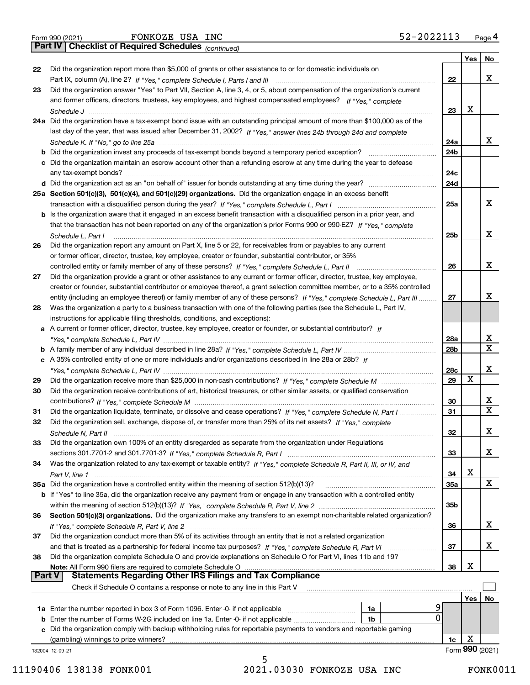|  | Form 990 (2021) |
|--|-----------------|
|  |                 |

*(continued)*

|               |                                                                                                                                       |            | Yes | No              |
|---------------|---------------------------------------------------------------------------------------------------------------------------------------|------------|-----|-----------------|
| 22            | Did the organization report more than \$5,000 of grants or other assistance to or for domestic individuals on                         |            |     |                 |
|               |                                                                                                                                       | 22         |     | х               |
| 23            | Did the organization answer "Yes" to Part VII, Section A, line 3, 4, or 5, about compensation of the organization's current           |            |     |                 |
|               | and former officers, directors, trustees, key employees, and highest compensated employees? If "Yes," complete                        |            |     |                 |
|               |                                                                                                                                       | 23         | x   |                 |
|               | 24a Did the organization have a tax-exempt bond issue with an outstanding principal amount of more than \$100,000 as of the           |            |     |                 |
|               | last day of the year, that was issued after December 31, 2002? If "Yes," answer lines 24b through 24d and complete                    |            |     |                 |
|               |                                                                                                                                       | 24a        |     | х               |
|               | <b>b</b> Did the organization invest any proceeds of tax-exempt bonds beyond a temporary period exception?                            | 24b        |     |                 |
|               | c Did the organization maintain an escrow account other than a refunding escrow at any time during the year to defease                |            |     |                 |
|               |                                                                                                                                       | 24c        |     |                 |
|               |                                                                                                                                       | 24d        |     |                 |
|               | 25a Section 501(c)(3), 501(c)(4), and 501(c)(29) organizations. Did the organization engage in an excess benefit                      |            |     |                 |
|               |                                                                                                                                       | 25a        |     | х               |
|               | b Is the organization aware that it engaged in an excess benefit transaction with a disqualified person in a prior year, and          |            |     |                 |
|               | that the transaction has not been reported on any of the organization's prior Forms 990 or 990-EZ? If "Yes," complete                 |            |     |                 |
|               |                                                                                                                                       | 25b        |     | х               |
|               | Schedule L, Part I<br>Did the organization report any amount on Part X, line 5 or 22, for receivables from or payables to any current |            |     |                 |
| 26            |                                                                                                                                       |            |     |                 |
|               | or former officer, director, trustee, key employee, creator or founder, substantial contributor, or 35%                               |            |     | х               |
|               |                                                                                                                                       | 26         |     |                 |
| 27            | Did the organization provide a grant or other assistance to any current or former officer, director, trustee, key employee,           |            |     |                 |
|               | creator or founder, substantial contributor or employee thereof, a grant selection committee member, or to a 35% controlled           |            |     |                 |
|               | entity (including an employee thereof) or family member of any of these persons? If "Yes," complete Schedule L, Part III              | 27         |     | х               |
| 28            | Was the organization a party to a business transaction with one of the following parties (see the Schedule L, Part IV,                |            |     |                 |
|               | instructions for applicable filing thresholds, conditions, and exceptions):                                                           |            |     |                 |
|               | a A current or former officer, director, trustee, key employee, creator or founder, or substantial contributor? If                    |            |     |                 |
|               |                                                                                                                                       | 28a        |     | х               |
|               |                                                                                                                                       | 28b        |     | $\mathbf x$     |
|               | c A 35% controlled entity of one or more individuals and/or organizations described in line 28a or 28b? If                            |            |     |                 |
|               |                                                                                                                                       | 28c        |     | х               |
| 29            |                                                                                                                                       | 29         | X   |                 |
| 30            | Did the organization receive contributions of art, historical treasures, or other similar assets, or qualified conservation           |            |     |                 |
|               |                                                                                                                                       | 30         |     | х               |
| 31            | Did the organization liquidate, terminate, or dissolve and cease operations? If "Yes," complete Schedule N, Part I                    | 31         |     | X               |
| 32            | Did the organization sell, exchange, dispose of, or transfer more than 25% of its net assets? If "Yes," complete                      |            |     |                 |
|               |                                                                                                                                       | 32         |     | х               |
| 33            | Did the organization own 100% of an entity disregarded as separate from the organization under Regulations                            |            |     |                 |
|               |                                                                                                                                       | 33         |     | х               |
| 34            | Was the organization related to any tax-exempt or taxable entity? If "Yes," complete Schedule R, Part II, III, or IV, and             |            |     |                 |
|               |                                                                                                                                       | 34         | X   |                 |
|               | 35a Did the organization have a controlled entity within the meaning of section 512(b)(13)?                                           | <b>35a</b> |     | X               |
|               | <b>b</b> If "Yes" to line 35a, did the organization receive any payment from or engage in any transaction with a controlled entity    |            |     |                 |
|               |                                                                                                                                       | 35b        |     |                 |
| 36            | Section 501(c)(3) organizations. Did the organization make any transfers to an exempt non-charitable related organization?            |            |     |                 |
|               |                                                                                                                                       | 36         |     | X               |
| 37            | Did the organization conduct more than 5% of its activities through an entity that is not a related organization                      |            |     |                 |
|               |                                                                                                                                       | 37         |     | x               |
| 38            | Did the organization complete Schedule O and provide explanations on Schedule O for Part VI, lines 11b and 19?                        |            |     |                 |
|               | Note: All Form 990 filers are required to complete Schedule O                                                                         | 38         | х   |                 |
| <b>Part V</b> | <b>Statements Regarding Other IRS Filings and Tax Compliance</b>                                                                      |            |     |                 |
|               | Check if Schedule O contains a response or note to any line in this Part V                                                            |            |     |                 |
|               |                                                                                                                                       |            | Yes |                 |
|               |                                                                                                                                       |            |     | No              |
|               | 1a Enter the number reported in box 3 of Form 1096. Enter -0- if not applicable<br>1a<br>0                                            |            |     |                 |
|               | 1b<br>c Did the organization comply with backup withholding rules for reportable payments to vendors and reportable gaming            |            |     |                 |
|               |                                                                                                                                       |            | X   |                 |
|               | (gambling) winnings to prize winners?                                                                                                 | 1c         |     | Form 990 (2021) |
|               | 132004 12-09-21                                                                                                                       |            |     |                 |

5 11190406 138138 FONK001 2021.03030 FONKOZE USA INC FONK0011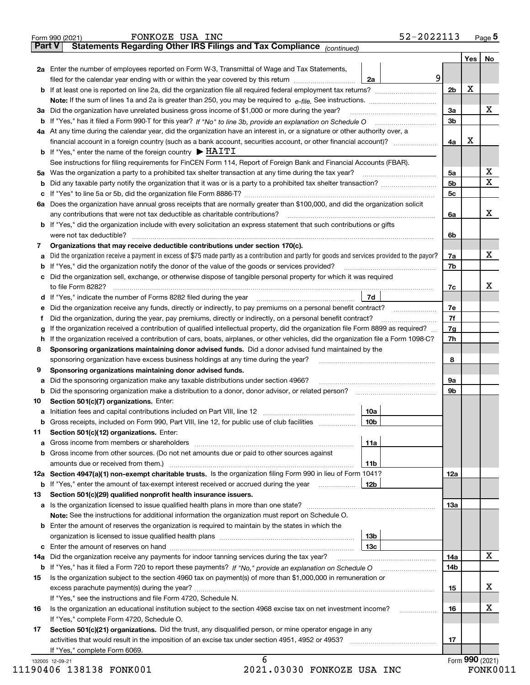| Part V | 52-2022113<br>FONKOZE USA INC<br>Form 990 (2021)<br>Statements Regarding Other IRS Filings and Tax Compliance (continued)                                                                                  |                |            | Page $5$        |
|--------|------------------------------------------------------------------------------------------------------------------------------------------------------------------------------------------------------------|----------------|------------|-----------------|
|        |                                                                                                                                                                                                            |                | <b>Yes</b> | No              |
|        | 2a Enter the number of employees reported on Form W-3, Transmittal of Wage and Tax Statements,                                                                                                             |                |            |                 |
|        | 9<br>filed for the calendar year ending with or within the year covered by this return [11] [11] filed for the calendar year ending with or within the year covered by this return<br>2a                   |                |            |                 |
|        |                                                                                                                                                                                                            | 2 <sub>b</sub> | х          |                 |
|        |                                                                                                                                                                                                            |                |            |                 |
|        | 3a Did the organization have unrelated business gross income of \$1,000 or more during the year?                                                                                                           | 3a             |            | х               |
|        | b If "Yes," has it filed a Form 990-T for this year? If "No" to line 3b, provide an explanation on Schedule O                                                                                              | 3 <sub>b</sub> |            |                 |
|        | 4a At any time during the calendar year, did the organization have an interest in, or a signature or other authority over, a                                                                               |                |            |                 |
|        | financial account in a foreign country (such as a bank account, securities account, or other financial account)?                                                                                           | 4a             | X          |                 |
|        | <b>b</b> If "Yes," enter the name of the foreign country $\blacktriangleright$ HAITI                                                                                                                       |                |            |                 |
|        | See instructions for filing requirements for FinCEN Form 114, Report of Foreign Bank and Financial Accounts (FBAR).                                                                                        |                |            |                 |
|        | 5a Was the organization a party to a prohibited tax shelter transaction at any time during the tax year?                                                                                                   | 5a             |            | х<br>X          |
| b      |                                                                                                                                                                                                            | 5 <sub>b</sub> |            |                 |
| с      |                                                                                                                                                                                                            | 5c             |            |                 |
| 6а     | Does the organization have annual gross receipts that are normally greater than \$100,000, and did the organization solicit<br>any contributions that were not tax deductible as charitable contributions? | 6a             |            | х               |
|        | <b>b</b> If "Yes," did the organization include with every solicitation an express statement that such contributions or gifts                                                                              |                |            |                 |
|        | were not tax deductible?                                                                                                                                                                                   | 6b             |            |                 |
| 7      | Organizations that may receive deductible contributions under section 170(c).                                                                                                                              |                |            |                 |
| а      | Did the organization receive a payment in excess of \$75 made partly as a contribution and partly for goods and services provided to the payor?                                                            | 7a             |            | х               |
| b      | If "Yes," did the organization notify the donor of the value of the goods or services provided?                                                                                                            | 7b             |            |                 |
| с      | Did the organization sell, exchange, or otherwise dispose of tangible personal property for which it was required                                                                                          |                |            |                 |
|        | to file Form 8282?                                                                                                                                                                                         | 7c             |            | х               |
| d      | 7d<br>If "Yes," indicate the number of Forms 8282 filed during the year                                                                                                                                    |                |            |                 |
| е      | Did the organization receive any funds, directly or indirectly, to pay premiums on a personal benefit contract?                                                                                            | 7e             |            |                 |
| f      | Did the organization, during the year, pay premiums, directly or indirectly, on a personal benefit contract?                                                                                               | 7f             |            |                 |
| g      | If the organization received a contribution of qualified intellectual property, did the organization file Form 8899 as required?                                                                           | 7g             |            |                 |
| h      | If the organization received a contribution of cars, boats, airplanes, or other vehicles, did the organization file a Form 1098-C?                                                                         | 7h             |            |                 |
| 8      | Sponsoring organizations maintaining donor advised funds. Did a donor advised fund maintained by the                                                                                                       |                |            |                 |
|        | sponsoring organization have excess business holdings at any time during the year?                                                                                                                         | 8              |            |                 |
| 9      | Sponsoring organizations maintaining donor advised funds.                                                                                                                                                  |                |            |                 |
| а      | Did the sponsoring organization make any taxable distributions under section 4966?                                                                                                                         | 9а             |            |                 |
| b      | Did the sponsoring organization make a distribution to a donor, donor advisor, or related person?                                                                                                          | 9b             |            |                 |
| 10     | Section 501(c)(7) organizations. Enter:<br>10a                                                                                                                                                             |                |            |                 |
|        | <b>b</b> Gross receipts, included on Form 990, Part VIII, line 12, for public use of club facilities<br>10 <sub>b</sub>                                                                                    |                |            |                 |
| 11     | Section 501(c)(12) organizations. Enter:                                                                                                                                                                   |                |            |                 |
| а      | 11a                                                                                                                                                                                                        |                |            |                 |
| b      | Gross income from other sources. (Do not net amounts due or paid to other sources against                                                                                                                  |                |            |                 |
|        | 11 <sub>b</sub>                                                                                                                                                                                            |                |            |                 |
| 12a    | Section 4947(a)(1) non-exempt charitable trusts. Is the organization filing Form 990 in lieu of Form 1041?                                                                                                 | 12a            |            |                 |
| b      | If "Yes," enter the amount of tax-exempt interest received or accrued during the year<br>12b                                                                                                               |                |            |                 |
| 13     | Section 501(c)(29) qualified nonprofit health insurance issuers.                                                                                                                                           |                |            |                 |
| а      |                                                                                                                                                                                                            | 13a            |            |                 |
|        | Note: See the instructions for additional information the organization must report on Schedule O.                                                                                                          |                |            |                 |
|        | <b>b</b> Enter the amount of reserves the organization is required to maintain by the states in which the                                                                                                  |                |            |                 |
|        | 13 <sub>b</sub>                                                                                                                                                                                            |                |            |                 |
| c      | 13c                                                                                                                                                                                                        |                |            |                 |
| 14a    | Did the organization receive any payments for indoor tanning services during the tax year?                                                                                                                 | 14a            |            | x               |
| b      |                                                                                                                                                                                                            | 14b            |            |                 |
| 15     | Is the organization subject to the section 4960 tax on payment(s) of more than \$1,000,000 in remuneration or                                                                                              | 15             |            | х               |
|        | If "Yes," see the instructions and file Form 4720, Schedule N.                                                                                                                                             |                |            |                 |
| 16     | Is the organization an educational institution subject to the section 4968 excise tax on net investment income?<br>.                                                                                       | 16             |            | х               |
|        | If "Yes," complete Form 4720, Schedule O.                                                                                                                                                                  |                |            |                 |
| 17     | Section 501(c)(21) organizations. Did the trust, any disqualified person, or mine operator engage in any                                                                                                   |                |            |                 |
|        |                                                                                                                                                                                                            | 17             |            |                 |
|        | If "Yes," complete Form 6069.                                                                                                                                                                              |                |            |                 |
|        | 6<br>132005 12-09-21                                                                                                                                                                                       |                |            | Form 990 (2021) |

FONK0011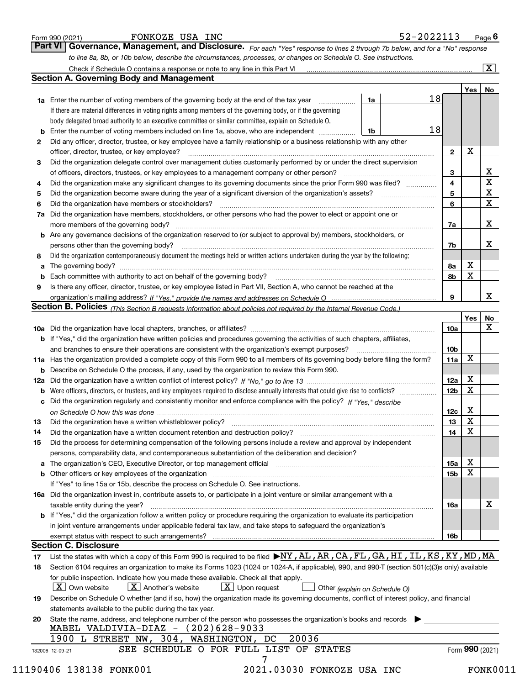|    | to line 8a, 8b, or 10b below, describe the circumstances, processes, or changes on Schedule O. See instructions.                                                                                                                |                 |                         | $\overline{\mathbf{x}}$     |
|----|---------------------------------------------------------------------------------------------------------------------------------------------------------------------------------------------------------------------------------|-----------------|-------------------------|-----------------------------|
|    | Check if Schedule O contains a response or note to any line in this Part VI [11] [12] Check if Schedule O contains a response or note to any line in this Part VI<br><b>Section A. Governing Body and Management</b>            |                 |                         |                             |
|    |                                                                                                                                                                                                                                 |                 |                         |                             |
|    | 18<br>1a<br>1a Enter the number of voting members of the governing body at the end of the tax year                                                                                                                              |                 | Yes                     | No                          |
|    |                                                                                                                                                                                                                                 |                 |                         |                             |
|    | If there are material differences in voting rights among members of the governing body, or if the governing                                                                                                                     |                 |                         |                             |
|    | body delegated broad authority to an executive committee or similar committee, explain on Schedule O.<br>18                                                                                                                     |                 |                         |                             |
| b  | Enter the number of voting members included on line 1a, above, who are independent<br>1b<br>Did any officer, director, trustee, or key employee have a family relationship or a business relationship with any other            |                 |                         |                             |
| 2  |                                                                                                                                                                                                                                 |                 | X                       |                             |
|    | officer, director, trustee, or key employee?<br>Did the organization delegate control over management duties customarily performed by or under the direct supervision                                                           | $\mathbf{2}$    |                         |                             |
| з  |                                                                                                                                                                                                                                 | 3               |                         |                             |
|    | of officers, directors, trustees, or key employees to a management company or other person?<br>Did the organization make any significant changes to its governing documents since the prior Form 990 was filed?                 | 4               |                         | $\frac{\text{X}}{\text{X}}$ |
| 4  |                                                                                                                                                                                                                                 | 5               |                         | $\overline{\mathtt{x}}$     |
| 5  |                                                                                                                                                                                                                                 | 6               |                         | $\overline{\mathbf{x}}$     |
| 6  | Did the organization have members or stockholders?<br>Did the organization have members, stockholders, or other persons who had the power to elect or appoint one or                                                            |                 |                         |                             |
| 7a |                                                                                                                                                                                                                                 |                 |                         | X                           |
|    |                                                                                                                                                                                                                                 | 7a              |                         |                             |
|    | b Are any governance decisions of the organization reserved to (or subject to approval by) members, stockholders, or                                                                                                            |                 |                         | х                           |
|    | persons other than the governing body?<br>Did the organization contemporaneously document the meetings held or written actions undertaken during the year by the following:                                                     | 7b              |                         |                             |
| 8  |                                                                                                                                                                                                                                 |                 | х                       |                             |
|    |                                                                                                                                                                                                                                 | 8а<br>8b        | $\mathbf X$             |                             |
|    |                                                                                                                                                                                                                                 |                 |                         |                             |
| 9  | Is there any officer, director, trustee, or key employee listed in Part VII, Section A, who cannot be reached at the                                                                                                            | 9               |                         | X                           |
|    |                                                                                                                                                                                                                                 |                 |                         |                             |
|    | Section B. Policies (This Section B requests information about policies not required by the Internal Revenue Code.)                                                                                                             |                 | Yes                     | No                          |
|    |                                                                                                                                                                                                                                 | 10a             |                         | $\mathbf x$                 |
|    |                                                                                                                                                                                                                                 |                 |                         |                             |
|    | b If "Yes," did the organization have written policies and procedures governing the activities of such chapters, affiliates,<br>and branches to ensure their operations are consistent with the organization's exempt purposes? | 10 <sub>b</sub> |                         |                             |
|    | 11a Has the organization provided a complete copy of this Form 990 to all members of its governing body before filing the form?                                                                                                 | 11a             | X                       |                             |
|    | <b>b</b> Describe on Schedule O the process, if any, used by the organization to review this Form 990.                                                                                                                          |                 |                         |                             |
|    |                                                                                                                                                                                                                                 | 12a             | X                       |                             |
|    | Were officers, directors, or trustees, and key employees required to disclose annually interests that could give rise to conflicts?                                                                                             | 12 <sub>b</sub> | $\mathbf x$             |                             |
|    | c Did the organization regularly and consistently monitor and enforce compliance with the policy? If "Yes," describe                                                                                                            |                 |                         |                             |
|    |                                                                                                                                                                                                                                 | 12c             | х                       |                             |
| 13 |                                                                                                                                                                                                                                 | 13              | $\overline{\mathbf{x}}$ |                             |
| 14 | Did the organization have a written document retention and destruction policy? [11] manufactured manufactured in the organization have a written document retention and destruction policy? [11] manufactured manufactured in   | 14              | X                       |                             |
|    | Did the process for determining compensation of the following persons include a review and approval by independent                                                                                                              |                 |                         |                             |
|    |                                                                                                                                                                                                                                 |                 |                         |                             |
| 15 |                                                                                                                                                                                                                                 |                 |                         |                             |
|    | persons, comparability data, and contemporaneous substantiation of the deliberation and decision?                                                                                                                               |                 |                         |                             |
|    |                                                                                                                                                                                                                                 | 15a             | х                       |                             |
|    | b Other officers or key employees of the organization manufactured content to the organization manufactured by Other officers or key employees of the organization manufactured content of the organization manufactured by Ot  | 15 <sub>b</sub> | X                       |                             |
|    | If "Yes" to line 15a or 15b, describe the process on Schedule O. See instructions.                                                                                                                                              |                 |                         |                             |
|    | 16a Did the organization invest in, contribute assets to, or participate in a joint venture or similar arrangement with a                                                                                                       |                 |                         |                             |
|    | taxable entity during the year?                                                                                                                                                                                                 | 16a             |                         | х                           |
|    | b If "Yes," did the organization follow a written policy or procedure requiring the organization to evaluate its participation                                                                                                  |                 |                         |                             |
|    | in joint venture arrangements under applicable federal tax law, and take steps to safeguard the organization's                                                                                                                  |                 |                         |                             |
|    | exempt status with respect to such arrangements?                                                                                                                                                                                | 16b             |                         |                             |
|    | <b>Section C. Disclosure</b>                                                                                                                                                                                                    |                 |                         |                             |
| 17 | List the states with which a copy of this Form 990 is required to be filed $NY$ , AL, AR, CA, FL, GA, HI, IL, KS, KY, MD, MA                                                                                                    |                 |                         |                             |
| 18 | Section 6104 requires an organization to make its Forms 1023 (1024 or 1024-A, if applicable), 990, and 990-T (section 501(c)(3)s only) available                                                                                |                 |                         |                             |
|    | for public inspection. Indicate how you made these available. Check all that apply.                                                                                                                                             |                 |                         |                             |
|    | $X$ Upon request<br>$\mid$ $\rm X \mid$ Own website<br>$X$ Another's website<br>Other (explain on Schedule O)                                                                                                                   |                 |                         |                             |
| 19 | Describe on Schedule O whether (and if so, how) the organization made its governing documents, conflict of interest policy, and financial                                                                                       |                 |                         |                             |
|    | statements available to the public during the tax year.                                                                                                                                                                         |                 |                         |                             |
| 20 | State the name, address, and telephone number of the person who possesses the organization's books and records                                                                                                                  |                 |                         |                             |
|    | MABEL VALDIVIA-DIAZ - (202)628-9033<br>1900 L STREET NW, 304, WASHINGTON, DC<br>20036                                                                                                                                           |                 |                         |                             |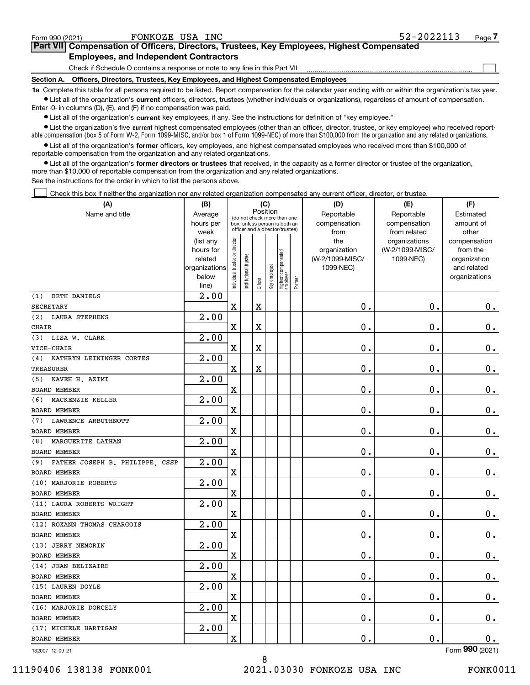| Form 990 (2021) | FONKOZE USA INC                                                                            | 52-2022113 | Page |
|-----------------|--------------------------------------------------------------------------------------------|------------|------|
|                 | Part VII Compensation of Officers, Directors, Trustees, Key Employees, Highest Compensated |            |      |
|                 | <b>Employees, and Independent Contractors</b>                                              |            |      |
|                 | Check if Schedule O contains a response or note to any line in this Part VII               |            |      |
|                 |                                                                                            |            |      |

**Section A. Officers, Directors, Trustees, Key Employees, and Highest Compensated Employees**

**1a**  Complete this table for all persons required to be listed. Report compensation for the calendar year ending with or within the organization's tax year. **•** List all of the organization's current officers, directors, trustees (whether individuals or organizations), regardless of amount of compensation.

Enter -0- in columns (D), (E), and (F) if no compensation was paid.

 $\bullet$  List all of the organization's  $\sf current$  key employees, if any. See the instructions for definition of "key employee."

**•** List the organization's five current highest compensated employees (other than an officer, director, trustee, or key employee) who received reportable compensation (box 5 of Form W-2, Form 1099-MISC, and/or box 1 of Form 1099-NEC) of more than \$100,000 from the organization and any related organizations.

**•** List all of the organization's former officers, key employees, and highest compensated employees who received more than \$100,000 of reportable compensation from the organization and any related organizations.

**former directors or trustees**  ¥ List all of the organization's that received, in the capacity as a former director or trustee of the organization, more than \$10,000 of reportable compensation from the organization and any related organizations.

See the instructions for the order in which to list the persons above.

Check this box if neither the organization nor any related organization compensated any current officer, director, or trustee.  $\mathcal{L}^{\text{max}}$ 

| (A)                                    | (B)               |                               |                                                                  | (C)         |              |                                  |        | (D)             | (E)                           | (F)                   |
|----------------------------------------|-------------------|-------------------------------|------------------------------------------------------------------|-------------|--------------|----------------------------------|--------|-----------------|-------------------------------|-----------------------|
| Name and title                         | Average           |                               | (do not check more than one                                      |             | Position     |                                  |        | Reportable      | Reportable                    | Estimated             |
|                                        | hours per         |                               | box, unless person is both an<br>officer and a director/trustee) |             |              |                                  |        | compensation    | compensation                  | amount of             |
|                                        | week<br>(list any |                               |                                                                  |             |              |                                  |        | from<br>the     | from related<br>organizations | other<br>compensation |
|                                        | hours for         |                               |                                                                  |             |              |                                  |        | organization    | (W-2/1099-MISC/               | from the              |
|                                        | related           |                               |                                                                  |             |              |                                  |        | (W-2/1099-MISC/ | 1099-NEC)                     | organization          |
|                                        | organizations     |                               |                                                                  |             |              |                                  |        | 1099-NEC)       |                               | and related           |
|                                        | below             | ndividual trustee or director | nstitutional trustee                                             |             | Key employee | Highest compensated<br> employee |        |                 |                               | organizations         |
|                                        | line)             |                               |                                                                  | Officer     |              |                                  | Former |                 |                               |                       |
| <b>BETH DANIELS</b><br>(1)             | 2.00              |                               |                                                                  |             |              |                                  |        |                 |                               |                       |
| SECRETARY                              |                   | $\overline{\mathbf{X}}$       |                                                                  | $\mathbf X$ |              |                                  |        | 0.              | $\mathbf 0$ .                 | 0.                    |
| (2)<br><b>LAURA STEPHENS</b>           | 2.00              |                               |                                                                  |             |              |                                  |        |                 |                               |                       |
| CHAIR                                  |                   | $\overline{\text{X}}$         |                                                                  | $\mathbf X$ |              |                                  |        | 0.              | $\mathbf 0$ .                 | $\mathbf 0$ .         |
| LISA W. CLARK<br>(3)                   | 2.00              |                               |                                                                  |             |              |                                  |        |                 |                               |                       |
| VICE-CHAIR                             |                   | $\overline{\text{X}}$         |                                                                  | $\rm X$     |              |                                  |        | 0.              | $\mathbf 0$ .                 | $\mathbf 0$ .         |
| KATHRYN LEININGER CORTES<br>(4)        | 2.00              |                               |                                                                  |             |              |                                  |        |                 |                               |                       |
| <b>TREASURER</b>                       |                   | $\overline{\mathbf{X}}$       |                                                                  | $\mathbf X$ |              |                                  |        | 0.              | $\mathbf{0}$ .                | 0.                    |
| KAVEH H. AZIMI<br>(5)                  | 2.00              |                               |                                                                  |             |              |                                  |        |                 |                               |                       |
| BOARD MEMBER                           |                   | $\overline{\text{X}}$         |                                                                  |             |              |                                  |        | 0.              | $\mathbf 0$ .                 | $\mathbf 0$ .         |
| (6)<br>MACKENZIE KELLER                | 2.00              |                               |                                                                  |             |              |                                  |        |                 |                               |                       |
| <b>BOARD MEMBER</b>                    |                   | $\overline{\text{X}}$         |                                                                  |             |              |                                  |        | 0.              | $\mathbf 0$ .                 | $\mathbf 0$ .         |
| <b>LAWRENCE ARBUTHNOTT</b><br>(7)      | 2.00              |                               |                                                                  |             |              |                                  |        |                 |                               |                       |
| <b>BOARD MEMBER</b>                    |                   | X                             |                                                                  |             |              |                                  |        | 0.              | $\mathbf 0$ .                 | $\mathbf 0$ .         |
| MARGUERITE LATHAN<br>(8)               | 2.00              |                               |                                                                  |             |              |                                  |        |                 |                               |                       |
| <b>BOARD MEMBER</b>                    |                   | $\overline{\mathbf{X}}$       |                                                                  |             |              |                                  |        | 0.              | $\mathbf 0$ .                 | $\mathbf 0$ .         |
| FATHER JOSEPH B. PHILIPPE, CSSP<br>(9) | 2.00              |                               |                                                                  |             |              |                                  |        |                 |                               |                       |
| <b>BOARD MEMBER</b>                    |                   | X                             |                                                                  |             |              |                                  |        | $\mathbf 0$ .   | 0.                            | $\mathbf 0$ .         |
| (10) MARJORIE ROBERTS                  | 2.00              |                               |                                                                  |             |              |                                  |        |                 |                               |                       |
| <b>BOARD MEMBER</b>                    |                   | $\overline{\text{X}}$         |                                                                  |             |              |                                  |        | $\mathbf 0$ .   | $\mathbf 0$ .                 | $0$ .                 |
| (11) LAURA ROBERTS WRIGHT              | 2.00              |                               |                                                                  |             |              |                                  |        |                 |                               |                       |
| <b>BOARD MEMBER</b>                    |                   | X                             |                                                                  |             |              |                                  |        | $\mathbf 0$ .   | $\mathbf 0$ .                 | $\mathbf 0$ .         |
| (12) ROXANN THOMAS CHARGOIS            | 2.00              |                               |                                                                  |             |              |                                  |        |                 |                               |                       |
| <b>BOARD MEMBER</b>                    |                   | X                             |                                                                  |             |              |                                  |        | $\mathbf 0$ .   | $\mathbf 0$ .                 | $\mathbf 0$ .         |
| (13) JERRY NEMORIN                     | 2.00              |                               |                                                                  |             |              |                                  |        |                 |                               |                       |
| <b>BOARD MEMBER</b>                    |                   | $\overline{\mathbf{X}}$       |                                                                  |             |              |                                  |        | 0.              | $\mathbf 0$ .                 | $\mathbf 0$ .         |
| (14) JEAN BELIZAIRE                    | 2.00              |                               |                                                                  |             |              |                                  |        |                 |                               |                       |
| <b>BOARD MEMBER</b>                    |                   | $\overline{\mathbf{X}}$       |                                                                  |             |              |                                  |        | $\mathbf 0$ .   | $\mathbf 0$ .                 | 0.                    |
| (15) LAUREN DOYLE                      | $\overline{2.00}$ |                               |                                                                  |             |              |                                  |        |                 |                               |                       |
| <b>BOARD MEMBER</b>                    |                   | X                             |                                                                  |             |              |                                  |        | 0.              | 0.                            | $\mathbf 0$ .         |
| (16) MARJORIE DORCELY                  | $\overline{2.00}$ |                               |                                                                  |             |              |                                  |        |                 |                               |                       |
| <b>BOARD MEMBER</b>                    |                   | $\rm X$                       |                                                                  |             |              |                                  |        | 0.              | $\mathbf 0$ .                 | 0.                    |
| (17) MICHELE HARTIGAN                  | 2.00              |                               |                                                                  |             |              |                                  |        |                 |                               |                       |
| <b>BOARD MEMBER</b>                    |                   | $\overline{\mathbf{X}}$       |                                                                  |             |              |                                  |        | 0.              | $\mathbf 0$ .                 | 0.                    |
|                                        |                   |                               |                                                                  |             |              |                                  |        |                 |                               | $\overline{2}$        |

8

132007 12-09-21

Form (2021) **990**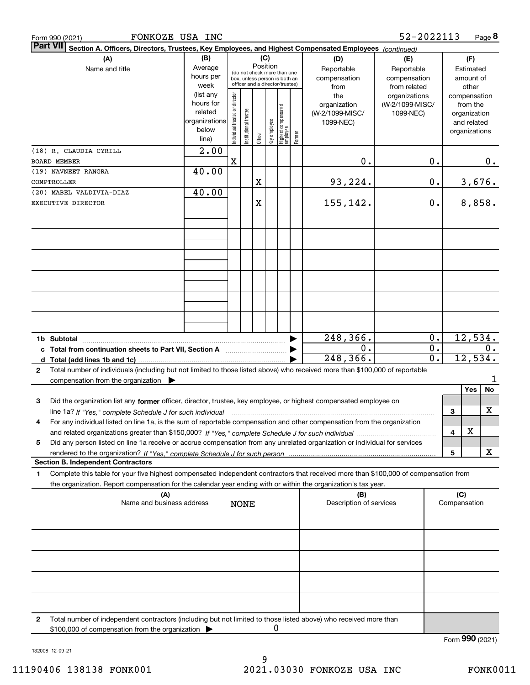| FONKOZE USA INC<br>Form 990 (2021)                                                                                                                                                                                                                                          |                                                                                                                                                           |                               |                       |         |              |                                  |                                           |                                                     | 52-2022113                                    |                                        |                     | Page 8                                                                   |
|-----------------------------------------------------------------------------------------------------------------------------------------------------------------------------------------------------------------------------------------------------------------------------|-----------------------------------------------------------------------------------------------------------------------------------------------------------|-------------------------------|-----------------------|---------|--------------|----------------------------------|-------------------------------------------|-----------------------------------------------------|-----------------------------------------------|----------------------------------------|---------------------|--------------------------------------------------------------------------|
| <b>Part VII</b><br>Section A. Officers, Directors, Trustees, Key Employees, and Highest Compensated Employees (continued)                                                                                                                                                   |                                                                                                                                                           |                               |                       |         |              |                                  |                                           |                                                     |                                               |                                        |                     |                                                                          |
| (A)<br>Name and title                                                                                                                                                                                                                                                       | (B)<br>(C)<br>Position<br>Average<br>(do not check more than one<br>hours per<br>box, unless person is both an<br>officer and a director/trustee)<br>week |                               |                       |         |              |                                  | (D)<br>Reportable<br>compensation<br>from | (E)<br>Reportable<br>compensation<br>from related   |                                               | (F)<br>Estimated<br>amount of<br>other |                     |                                                                          |
|                                                                                                                                                                                                                                                                             | (list any<br>hours for<br>related<br>organizations<br>below<br>line)                                                                                      | ndividual trustee or director | Institutional trustee | Officer | Key employee | Highest compensated<br> employee | Former                                    | the<br>organization<br>(W-2/1099-MISC/<br>1099-NEC) | organizations<br>(W-2/1099-MISC/<br>1099-NEC) |                                        |                     | compensation<br>from the<br>organization<br>and related<br>organizations |
| (18) R. CLAUDIA CYRILL<br><b>BOARD MEMBER</b>                                                                                                                                                                                                                               | $\overline{2.00}$                                                                                                                                         | X                             |                       |         |              |                                  |                                           | 0.                                                  |                                               | 0.                                     |                     | 0.                                                                       |
| (19) NAVNEET RANGRA<br>COMPTROLLER                                                                                                                                                                                                                                          | 40.00                                                                                                                                                     |                               |                       | х       |              |                                  |                                           | 93,224.                                             |                                               | 0.                                     |                     | 3,676.                                                                   |
| (20) MABEL VALDIVIA-DIAZ<br>EXECUTIVE DIRECTOR                                                                                                                                                                                                                              | 40.00                                                                                                                                                     |                               |                       | Χ       |              |                                  |                                           | 155,142.                                            |                                               | 0.                                     |                     | 8,858.                                                                   |
|                                                                                                                                                                                                                                                                             |                                                                                                                                                           |                               |                       |         |              |                                  |                                           |                                                     |                                               |                                        |                     |                                                                          |
|                                                                                                                                                                                                                                                                             |                                                                                                                                                           |                               |                       |         |              |                                  |                                           |                                                     |                                               |                                        |                     |                                                                          |
|                                                                                                                                                                                                                                                                             |                                                                                                                                                           |                               |                       |         |              |                                  |                                           |                                                     |                                               |                                        |                     |                                                                          |
|                                                                                                                                                                                                                                                                             |                                                                                                                                                           |                               |                       |         |              |                                  |                                           | 248,366.                                            |                                               | 0.                                     |                     | 12,534.                                                                  |
| c Total from continuation sheets to Part VII, Section A                                                                                                                                                                                                                     |                                                                                                                                                           |                               |                       |         |              |                                  |                                           | $\mathbf 0$ .<br>248, 366.                          |                                               | 0.<br>$\overline{0}$ .                 |                     | 0.<br>12,534.                                                            |
| Total number of individuals (including but not limited to those listed above) who received more than \$100,000 of reportable<br>$\mathbf{2}$<br>compensation from the organization $\blacktriangleright$                                                                    |                                                                                                                                                           |                               |                       |         |              |                                  |                                           |                                                     |                                               |                                        |                     | 1                                                                        |
| 3<br>Did the organization list any former officer, director, trustee, key employee, or highest compensated employee on                                                                                                                                                      |                                                                                                                                                           |                               |                       |         |              |                                  |                                           |                                                     |                                               |                                        |                     | Yes<br>No                                                                |
| line 1a? If "Yes," complete Schedule J for such individual manufactured contained and the 1a? If "Yes," complete Schedule J for such individual<br>For any individual listed on line 1a, is the sum of reportable compensation and other compensation from the organization |                                                                                                                                                           |                               |                       |         |              |                                  |                                           |                                                     |                                               |                                        | 3                   | X                                                                        |
| Did any person listed on line 1a receive or accrue compensation from any unrelated organization or individual for services<br>5                                                                                                                                             |                                                                                                                                                           |                               |                       |         |              |                                  |                                           |                                                     |                                               |                                        | 4                   | X                                                                        |
| rendered to the organization? If "Yes." complete Schedule J for such person.<br><b>Section B. Independent Contractors</b>                                                                                                                                                   |                                                                                                                                                           |                               |                       |         |              |                                  |                                           |                                                     |                                               |                                        | 5                   | х                                                                        |
| Complete this table for your five highest compensated independent contractors that received more than \$100,000 of compensation from<br>1<br>the organization. Report compensation for the calendar year ending with or within the organization's tax year.                 |                                                                                                                                                           |                               |                       |         |              |                                  |                                           |                                                     |                                               |                                        |                     |                                                                          |
| (A)<br>Name and business address                                                                                                                                                                                                                                            |                                                                                                                                                           |                               | <b>NONE</b>           |         |              |                                  |                                           | (B)<br>Description of services                      |                                               |                                        | (C)<br>Compensation |                                                                          |
|                                                                                                                                                                                                                                                                             |                                                                                                                                                           |                               |                       |         |              |                                  |                                           |                                                     |                                               |                                        |                     |                                                                          |
|                                                                                                                                                                                                                                                                             |                                                                                                                                                           |                               |                       |         |              |                                  |                                           |                                                     |                                               |                                        |                     |                                                                          |
|                                                                                                                                                                                                                                                                             |                                                                                                                                                           |                               |                       |         |              |                                  |                                           |                                                     |                                               |                                        |                     |                                                                          |
|                                                                                                                                                                                                                                                                             |                                                                                                                                                           |                               |                       |         |              |                                  |                                           |                                                     |                                               |                                        |                     |                                                                          |
| Total number of independent contractors (including but not limited to those listed above) who received more than<br>2<br>\$100,000 of compensation from the organization                                                                                                    |                                                                                                                                                           |                               |                       |         |              | 0                                |                                           |                                                     |                                               |                                        |                     |                                                                          |
|                                                                                                                                                                                                                                                                             |                                                                                                                                                           |                               |                       |         |              |                                  |                                           |                                                     |                                               |                                        |                     | Form 990 (2021)                                                          |

132008 12-09-21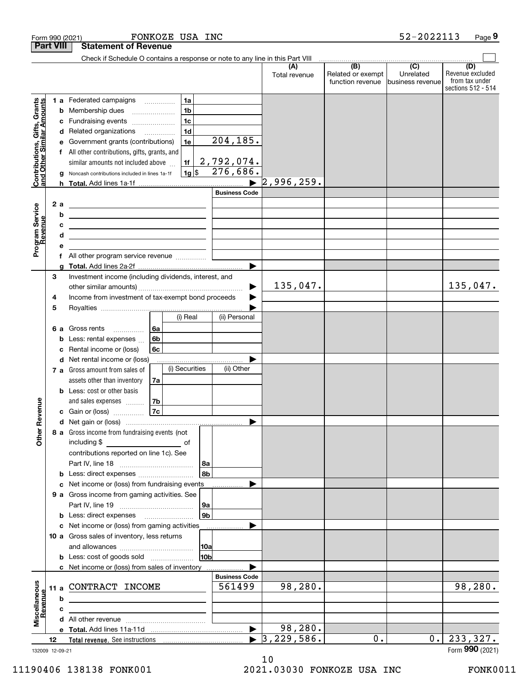|                                                           | Form 990 (2021)  |                                                                                                            | FONKOZE USA INC |                               |                                  |                                              | 52-2022113                                        | Page 9                                                          |
|-----------------------------------------------------------|------------------|------------------------------------------------------------------------------------------------------------|-----------------|-------------------------------|----------------------------------|----------------------------------------------|---------------------------------------------------|-----------------------------------------------------------------|
|                                                           | <b>Part VIII</b> | <b>Statement of Revenue</b>                                                                                |                 |                               |                                  |                                              |                                                   |                                                                 |
|                                                           |                  | Check if Schedule O contains a response or note to any line in this Part VIII                              |                 |                               |                                  |                                              |                                                   |                                                                 |
|                                                           |                  |                                                                                                            |                 |                               | (A)<br>Total revenue             | (B)<br>Related or exempt<br>function revenue | $\overline{(C)}$<br>Unrelated<br>business revenue | (D)<br>Revenue excluded<br>from tax under<br>sections 512 - 514 |
|                                                           |                  | 1 a Federated campaigns                                                                                    | 1a              |                               |                                  |                                              |                                                   |                                                                 |
| Contributions, Gifts, Grants<br>and Other Similar Amounts |                  | <b>b</b> Membership dues                                                                                   | 1 <sub>b</sub>  |                               |                                  |                                              |                                                   |                                                                 |
|                                                           | с                | Fundraising events                                                                                         | 1 <sub>c</sub>  |                               |                                  |                                              |                                                   |                                                                 |
|                                                           |                  | d Related organizations                                                                                    | 1 <sub>d</sub>  |                               |                                  |                                              |                                                   |                                                                 |
|                                                           |                  | e Government grants (contributions)                                                                        | 1e              | 204,185.                      |                                  |                                              |                                                   |                                                                 |
|                                                           |                  | f All other contributions, gifts, grants, and                                                              |                 |                               |                                  |                                              |                                                   |                                                                 |
|                                                           |                  | similar amounts not included above                                                                         | 1f              | $\frac{2,792,074.}{276,686.}$ |                                  |                                              |                                                   |                                                                 |
|                                                           |                  | Noncash contributions included in lines 1a-1f                                                              | $1g$ \$         |                               |                                  |                                              |                                                   |                                                                 |
|                                                           |                  |                                                                                                            |                 | <b>Business Code</b>          | $\blacktriangleright$ 2,996,259. |                                              |                                                   |                                                                 |
|                                                           |                  |                                                                                                            |                 |                               |                                  |                                              |                                                   |                                                                 |
|                                                           | 2 a<br>b         |                                                                                                            |                 |                               |                                  |                                              |                                                   |                                                                 |
|                                                           | c                | <u> 1980 - Andrea Andrew Maria (h. 1980).</u>                                                              |                 |                               |                                  |                                              |                                                   |                                                                 |
|                                                           | d                | <u> 1989 - Johann Stein, fransk politik (d. 1989)</u><br><u> 1989 - Johann Barbara, martxa alemaniar a</u> |                 |                               |                                  |                                              |                                                   |                                                                 |
| Program Service<br>Revenue                                | е                |                                                                                                            |                 |                               |                                  |                                              |                                                   |                                                                 |
|                                                           | f                |                                                                                                            |                 |                               |                                  |                                              |                                                   |                                                                 |
|                                                           | a                |                                                                                                            |                 | $\blacktriangleright$         |                                  |                                              |                                                   |                                                                 |
|                                                           | 3                | Investment income (including dividends, interest, and                                                      |                 |                               |                                  |                                              |                                                   |                                                                 |
|                                                           |                  |                                                                                                            |                 |                               | 135,047.                         |                                              |                                                   | 135,047.                                                        |
|                                                           | 4                | Income from investment of tax-exempt bond proceeds                                                         |                 |                               |                                  |                                              |                                                   |                                                                 |
|                                                           | 5                |                                                                                                            | (i) Real        |                               |                                  |                                              |                                                   |                                                                 |
|                                                           |                  |                                                                                                            |                 | (ii) Personal                 |                                  |                                              |                                                   |                                                                 |
|                                                           |                  | 6a<br>6 a Gross rents<br>.<br>6 <sub>b</sub><br>Less: rental expenses                                      |                 |                               |                                  |                                              |                                                   |                                                                 |
|                                                           | b<br>c           | 6c<br>Rental income or (loss)                                                                              |                 |                               |                                  |                                              |                                                   |                                                                 |
|                                                           |                  | d Net rental income or (loss)                                                                              |                 |                               |                                  |                                              |                                                   |                                                                 |
|                                                           |                  | 7 a Gross amount from sales of                                                                             | (i) Securities  | (ii) Other                    |                                  |                                              |                                                   |                                                                 |
|                                                           |                  | assets other than inventory<br>7a                                                                          |                 |                               |                                  |                                              |                                                   |                                                                 |
|                                                           |                  | <b>b</b> Less: cost or other basis                                                                         |                 |                               |                                  |                                              |                                                   |                                                                 |
|                                                           |                  | and sales expenses<br>7b                                                                                   |                 |                               |                                  |                                              |                                                   |                                                                 |
| venue                                                     |                  | 7c<br>c Gain or (loss)                                                                                     |                 |                               |                                  |                                              |                                                   |                                                                 |
|                                                           |                  |                                                                                                            |                 |                               |                                  |                                              |                                                   |                                                                 |
| Other Re                                                  |                  | 8 a Gross income from fundraising events (not                                                              |                 |                               |                                  |                                              |                                                   |                                                                 |
|                                                           |                  |                                                                                                            |                 |                               |                                  |                                              |                                                   |                                                                 |
|                                                           |                  | contributions reported on line 1c). See                                                                    | 8a              |                               |                                  |                                              |                                                   |                                                                 |
|                                                           |                  | <b>b</b> Less: direct expenses                                                                             | 8b              |                               |                                  |                                              |                                                   |                                                                 |
|                                                           |                  | Net income or (loss) from fundraising events                                                               |                 |                               |                                  |                                              |                                                   |                                                                 |
|                                                           |                  | 9 a Gross income from gaming activities. See                                                               |                 |                               |                                  |                                              |                                                   |                                                                 |
|                                                           |                  |                                                                                                            | 9а              |                               |                                  |                                              |                                                   |                                                                 |
|                                                           |                  |                                                                                                            | 9 <sub>b</sub>  |                               |                                  |                                              |                                                   |                                                                 |
|                                                           |                  | c Net income or (loss) from gaming activities                                                              |                 | .                             |                                  |                                              |                                                   |                                                                 |
|                                                           |                  | 10 a Gross sales of inventory, less returns                                                                |                 |                               |                                  |                                              |                                                   |                                                                 |
|                                                           |                  |                                                                                                            | 10a             |                               |                                  |                                              |                                                   |                                                                 |
|                                                           |                  | <b>b</b> Less: cost of goods sold                                                                          | 10 <sub>b</sub> |                               |                                  |                                              |                                                   |                                                                 |
|                                                           |                  | c Net income or (loss) from sales of inventory                                                             |                 | <b>Business Code</b>          |                                  |                                              |                                                   |                                                                 |
|                                                           | 11 a             | CONTRACT INCOME                                                                                            |                 | 561499                        | 98,280.                          |                                              |                                                   | 98,280.                                                         |
| Revenue                                                   | b                |                                                                                                            |                 |                               |                                  |                                              |                                                   |                                                                 |
|                                                           | c                |                                                                                                            |                 |                               |                                  |                                              |                                                   |                                                                 |
| Miscellaneous                                             |                  |                                                                                                            |                 |                               |                                  |                                              |                                                   |                                                                 |
|                                                           |                  |                                                                                                            |                 | $\blacktriangleright$         | 98,280.                          |                                              |                                                   |                                                                 |
|                                                           | 12               |                                                                                                            |                 | $\blacktriangleright$         | 3,229,586.                       | 0.                                           | 0.1                                               | 233,327.                                                        |
|                                                           | 132009 12-09-21  |                                                                                                            |                 |                               |                                  |                                              |                                                   | Form 990 (2021)                                                 |

10 11190406 138138 FONK001 2021.03030 FONKOZE USA INC FONK0011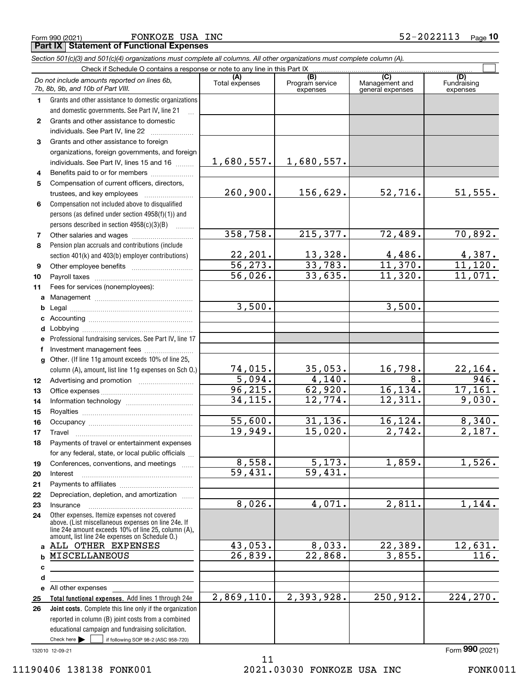FONKOZE USA INC 52-2022113

|              | Section 501(c)(3) and 501(c)(4) organizations must complete all columns. All other organizations must complete column (A).                                                                                   |                       |                                                 |                                                      |                                |  |  |  |  |
|--------------|--------------------------------------------------------------------------------------------------------------------------------------------------------------------------------------------------------------|-----------------------|-------------------------------------------------|------------------------------------------------------|--------------------------------|--|--|--|--|
|              | Check if Schedule O contains a response or note to any line in this Part IX                                                                                                                                  |                       |                                                 |                                                      |                                |  |  |  |  |
|              | Do not include amounts reported on lines 6b,<br>7b, 8b, 9b, and 10b of Part VIII.                                                                                                                            | (A)<br>Total expenses | $\overline{(B)}$<br>Program service<br>expenses | $\overline{C}$<br>Management and<br>general expenses | (D)<br>Fundraising<br>expenses |  |  |  |  |
| 1.           | Grants and other assistance to domestic organizations                                                                                                                                                        |                       |                                                 |                                                      |                                |  |  |  |  |
|              | and domestic governments. See Part IV, line 21                                                                                                                                                               |                       |                                                 |                                                      |                                |  |  |  |  |
| $\mathbf{2}$ | Grants and other assistance to domestic                                                                                                                                                                      |                       |                                                 |                                                      |                                |  |  |  |  |
|              | individuals. See Part IV, line 22<br>and a complete the contract of the complete state of the complete state of the complete state of the complete                                                           |                       |                                                 |                                                      |                                |  |  |  |  |
| 3            | Grants and other assistance to foreign                                                                                                                                                                       |                       |                                                 |                                                      |                                |  |  |  |  |
|              | organizations, foreign governments, and foreign                                                                                                                                                              |                       |                                                 |                                                      |                                |  |  |  |  |
|              | individuals. See Part IV, lines 15 and 16                                                                                                                                                                    | 1,680,557.            | 1,680,557.                                      |                                                      |                                |  |  |  |  |
| 4            | Benefits paid to or for members                                                                                                                                                                              |                       |                                                 |                                                      |                                |  |  |  |  |
| 5            | Compensation of current officers, directors,                                                                                                                                                                 |                       |                                                 |                                                      |                                |  |  |  |  |
|              | trustees, and key employees                                                                                                                                                                                  | 260,900.              | 156,629.                                        | 52,716.                                              | 51,555.                        |  |  |  |  |
| 6            | Compensation not included above to disqualified                                                                                                                                                              |                       |                                                 |                                                      |                                |  |  |  |  |
|              | persons (as defined under section 4958(f)(1)) and                                                                                                                                                            |                       |                                                 |                                                      |                                |  |  |  |  |
|              | persons described in section 4958(c)(3)(B)                                                                                                                                                                   |                       |                                                 |                                                      |                                |  |  |  |  |
| 7            |                                                                                                                                                                                                              | 358,758.              | 215, 377.                                       | 72,489.                                              | 70,892.                        |  |  |  |  |
| 8            | Pension plan accruals and contributions (include                                                                                                                                                             |                       |                                                 |                                                      |                                |  |  |  |  |
|              | section 401(k) and 403(b) employer contributions)                                                                                                                                                            | 22,201.               | 13,328.                                         | $\frac{4,486}{11,370}$ .                             | $\frac{4,387.}{11,120.}$       |  |  |  |  |
| 9            |                                                                                                                                                                                                              | $\overline{56, 273.}$ | 33,783.                                         |                                                      |                                |  |  |  |  |
| 10           |                                                                                                                                                                                                              | 56,026.               | 33,635.                                         | 11,320.                                              | 11,071.                        |  |  |  |  |
| 11           | Fees for services (nonemployees):                                                                                                                                                                            |                       |                                                 |                                                      |                                |  |  |  |  |
| a            |                                                                                                                                                                                                              |                       |                                                 |                                                      |                                |  |  |  |  |
| b            |                                                                                                                                                                                                              | 3,500.                |                                                 | 3,500.                                               |                                |  |  |  |  |
|              |                                                                                                                                                                                                              |                       |                                                 |                                                      |                                |  |  |  |  |
| d            |                                                                                                                                                                                                              |                       |                                                 |                                                      |                                |  |  |  |  |
|              | Professional fundraising services. See Part IV, line 17                                                                                                                                                      |                       |                                                 |                                                      |                                |  |  |  |  |
|              | Investment management fees                                                                                                                                                                                   |                       |                                                 |                                                      |                                |  |  |  |  |
| g            | Other. (If line 11g amount exceeds 10% of line 25,                                                                                                                                                           | 74,015.               | 35,053.                                         | 16,798.                                              |                                |  |  |  |  |
|              | column (A), amount, list line 11g expenses on Sch O.)                                                                                                                                                        | 5,094.                | 4,140.                                          | $\overline{8}$ .                                     | 22,164.<br>946.                |  |  |  |  |
| 12           |                                                                                                                                                                                                              | 96, 215.              | 62,920.                                         | 16, 134.                                             | 17,161.                        |  |  |  |  |
| 13           |                                                                                                                                                                                                              | 34, 115.              | 12,774.                                         | 12,311.                                              | 9,030.                         |  |  |  |  |
| 14           |                                                                                                                                                                                                              |                       |                                                 |                                                      |                                |  |  |  |  |
| 15<br>16     |                                                                                                                                                                                                              | 55,600.               | 31, 136.                                        | 16,124.                                              | 8,340.                         |  |  |  |  |
| 17           |                                                                                                                                                                                                              | 19,949.               | 15,020.                                         | $\overline{2,742}$ .                                 | 2,187.                         |  |  |  |  |
| 18           | Payments of travel or entertainment expenses                                                                                                                                                                 |                       |                                                 |                                                      |                                |  |  |  |  |
|              | for any federal, state, or local public officials                                                                                                                                                            |                       |                                                 |                                                      |                                |  |  |  |  |
| 19           | Conferences, conventions, and meetings                                                                                                                                                                       | 8,558.                | $\overline{5,173.}$                             | 1,859.                                               | 1,526.                         |  |  |  |  |
| 20           | Interest                                                                                                                                                                                                     | $\overline{59,431}$ . | $\overline{59,431}$ .                           |                                                      |                                |  |  |  |  |
| 21           |                                                                                                                                                                                                              |                       |                                                 |                                                      |                                |  |  |  |  |
| 22           | Depreciation, depletion, and amortization                                                                                                                                                                    |                       |                                                 |                                                      |                                |  |  |  |  |
| 23           | Insurance                                                                                                                                                                                                    | 8,026.                | 4,071.                                          | $\overline{2,811}$ .                                 | 1,144.                         |  |  |  |  |
| 24           | Other expenses. Itemize expenses not covered<br>above. (List miscellaneous expenses on line 24e. If<br>line 24e amount exceeds 10% of line 25, column (A),<br>amount, list line 24e expenses on Schedule O.) |                       |                                                 |                                                      |                                |  |  |  |  |
| a            | ALL OTHER EXPENSES                                                                                                                                                                                           | 43,053.               | 8,033.                                          | 22,389.                                              | 12,631.                        |  |  |  |  |
|              | MISCELLANEOUS                                                                                                                                                                                                | 26,839.               | 22,868.                                         | 3,855.                                               | 116.                           |  |  |  |  |
| с            |                                                                                                                                                                                                              |                       |                                                 |                                                      |                                |  |  |  |  |
| d            |                                                                                                                                                                                                              |                       |                                                 |                                                      |                                |  |  |  |  |
| е            | All other expenses                                                                                                                                                                                           |                       |                                                 |                                                      |                                |  |  |  |  |
| 25           | Total functional expenses. Add lines 1 through 24e                                                                                                                                                           | 2,869,110.            | 2,393,928.                                      | 250, 912.                                            | 224, 270.                      |  |  |  |  |
| 26           | Joint costs. Complete this line only if the organization                                                                                                                                                     |                       |                                                 |                                                      |                                |  |  |  |  |
|              | reported in column (B) joint costs from a combined                                                                                                                                                           |                       |                                                 |                                                      |                                |  |  |  |  |
|              | educational campaign and fundraising solicitation.                                                                                                                                                           |                       |                                                 |                                                      |                                |  |  |  |  |
|              | Check here $\blacktriangleright$<br>if following SOP 98-2 (ASC 958-720)                                                                                                                                      |                       |                                                 |                                                      |                                |  |  |  |  |

132010 12-09-21

11 11190406 138138 FONK001 2021.03030 FONKOZE USA INC FONK0011

Form (2021) **990**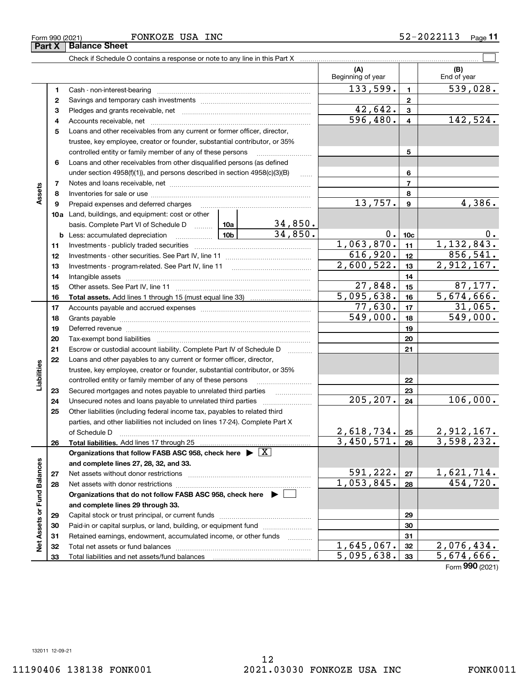Form (2021) **990**

|                             | Part X   | <b>Balance Sheet</b>                                                                                                                                                                                                           |                 |                     |                          |                         |                    |
|-----------------------------|----------|--------------------------------------------------------------------------------------------------------------------------------------------------------------------------------------------------------------------------------|-----------------|---------------------|--------------------------|-------------------------|--------------------|
|                             |          |                                                                                                                                                                                                                                |                 |                     |                          |                         |                    |
|                             |          |                                                                                                                                                                                                                                |                 |                     | (A)<br>Beginning of year |                         | (B)<br>End of year |
|                             | 1        |                                                                                                                                                                                                                                | 133,599.        | 1                   | $\overline{539,028}$ .   |                         |                    |
|                             | 2        |                                                                                                                                                                                                                                |                 | $\mathbf{2}$        |                          |                         |                    |
|                             | з        |                                                                                                                                                                                                                                | 42,642.         | $\mathbf{3}$        |                          |                         |                    |
|                             | 4        |                                                                                                                                                                                                                                |                 |                     | 596,480.                 | $\overline{\mathbf{4}}$ | 142,524.           |
|                             | 5        | Loans and other receivables from any current or former officer, director,                                                                                                                                                      |                 |                     |                          |                         |                    |
|                             |          | trustee, key employee, creator or founder, substantial contributor, or 35%                                                                                                                                                     |                 |                     |                          |                         |                    |
|                             |          | controlled entity or family member of any of these persons                                                                                                                                                                     |                 |                     |                          | 5                       |                    |
|                             | 6        | Loans and other receivables from other disqualified persons (as defined                                                                                                                                                        |                 |                     |                          |                         |                    |
|                             |          | under section $4958(f)(1)$ , and persons described in section $4958(c)(3)(B)$                                                                                                                                                  |                 | $\ldots$            |                          | 6                       |                    |
|                             | 7        |                                                                                                                                                                                                                                |                 |                     |                          | $\overline{7}$          |                    |
| Assets                      | 8        |                                                                                                                                                                                                                                |                 |                     |                          | 8                       |                    |
|                             | 9        | Prepaid expenses and deferred charges                                                                                                                                                                                          |                 |                     | 13,757.                  | $\mathbf{9}$            | 4,386.             |
|                             |          | <b>10a</b> Land, buildings, and equipment: cost or other                                                                                                                                                                       |                 |                     |                          |                         |                    |
|                             |          | basis. Complete Part VI of Schedule D                                                                                                                                                                                          | 10a             | <u>34,850.</u>      |                          |                         |                    |
|                             |          | <b>b</b> Less: accumulated depreciation<br>. 1                                                                                                                                                                                 | 10 <sub>b</sub> | 34,850.             | $0$ .                    | 10 <sub>c</sub>         | 0.                 |
|                             | 11       |                                                                                                                                                                                                                                |                 | 1,063,870.          | 11                       | 1,132,843.              |                    |
|                             | 12       |                                                                                                                                                                                                                                |                 |                     | 616,920.                 | 12                      | 856, 541.          |
|                             | 13       |                                                                                                                                                                                                                                | 2,600,522.      | 13                  | 2,912,167.               |                         |                    |
|                             | 14       |                                                                                                                                                                                                                                |                 |                     |                          | 14                      |                    |
|                             | 15       |                                                                                                                                                                                                                                |                 |                     | 27,848.                  | 15                      | 87,177.            |
|                             | 16       |                                                                                                                                                                                                                                |                 |                     | 5,095,638.               | 16                      | 5,674,666.         |
|                             | 17       |                                                                                                                                                                                                                                |                 | 77,630.<br>549,000. | 17                       | 31,065.                 |                    |
|                             | 18       |                                                                                                                                                                                                                                |                 |                     |                          | 18                      | 549,000.           |
|                             | 19       | Deferred revenue manual contracts and contracts are all the contracts and contracts are contracted and contracts are contracted and contract are contracted and contract are contracted and contract are contracted and contra |                 |                     |                          | 19                      |                    |
|                             | 20       |                                                                                                                                                                                                                                |                 | 20                  |                          |                         |                    |
|                             | 21<br>22 | Escrow or custodial account liability. Complete Part IV of Schedule D<br>Loans and other payables to any current or former officer, director,                                                                                  |                 | 1.1.1.1.1.1.1.1.1.1 |                          | 21                      |                    |
| Liabilities                 |          | trustee, key employee, creator or founder, substantial contributor, or 35%                                                                                                                                                     |                 |                     |                          |                         |                    |
|                             |          | controlled entity or family member of any of these persons                                                                                                                                                                     |                 |                     |                          | 22                      |                    |
|                             | 23       | Secured mortgages and notes payable to unrelated third parties                                                                                                                                                                 |                 |                     | 23                       |                         |                    |
|                             | 24       | Unsecured notes and loans payable to unrelated third parties                                                                                                                                                                   |                 |                     | 205, 207.                | 24                      | 106,000.           |
|                             | 25       | Other liabilities (including federal income tax, payables to related third                                                                                                                                                     |                 |                     |                          |                         |                    |
|                             |          | parties, and other liabilities not included on lines 17-24). Complete Part X                                                                                                                                                   |                 |                     |                          |                         |                    |
|                             |          | of Schedule D                                                                                                                                                                                                                  |                 |                     | 2,618,734.               | 25                      | 2,912,167.         |
|                             | 26       | Total liabilities. Add lines 17 through 25                                                                                                                                                                                     |                 |                     | 3,450,571.               | 26                      | 3,598,232.         |
|                             |          | Organizations that follow FASB ASC 958, check here $\blacktriangleright \boxed{X}$                                                                                                                                             |                 |                     |                          |                         |                    |
|                             |          | and complete lines 27, 28, 32, and 33.                                                                                                                                                                                         |                 |                     |                          |                         |                    |
|                             | 27       | Net assets without donor restrictions                                                                                                                                                                                          |                 |                     | 591,222.                 | 27                      | 1,621,714.         |
|                             | 28       | Net assets with donor restrictions                                                                                                                                                                                             |                 |                     | 1,053,845.               | 28                      | 454, 720.          |
|                             |          | Organizations that do not follow FASB ASC 958, check here $\blacktriangleright$                                                                                                                                                |                 |                     |                          |                         |                    |
|                             |          | and complete lines 29 through 33.                                                                                                                                                                                              |                 |                     |                          |                         |                    |
|                             | 29       |                                                                                                                                                                                                                                |                 |                     |                          | 29                      |                    |
|                             | 30       | Paid-in or capital surplus, or land, building, or equipment fund                                                                                                                                                               |                 |                     |                          | 30                      |                    |
| Net Assets or Fund Balances | 31       | Retained earnings, endowment, accumulated income, or other funds                                                                                                                                                               |                 |                     |                          | 31                      |                    |
|                             | 32       |                                                                                                                                                                                                                                |                 |                     | 1,645,067.               | 32                      | 2,076,434.         |
|                             | 33       |                                                                                                                                                                                                                                |                 |                     | 5,095,638.               | 33                      | 5,674,666.         |

FONKOZE USA INC

12 11190406 138138 FONK001 2021.03030 FONKOZE USA INC FONK0011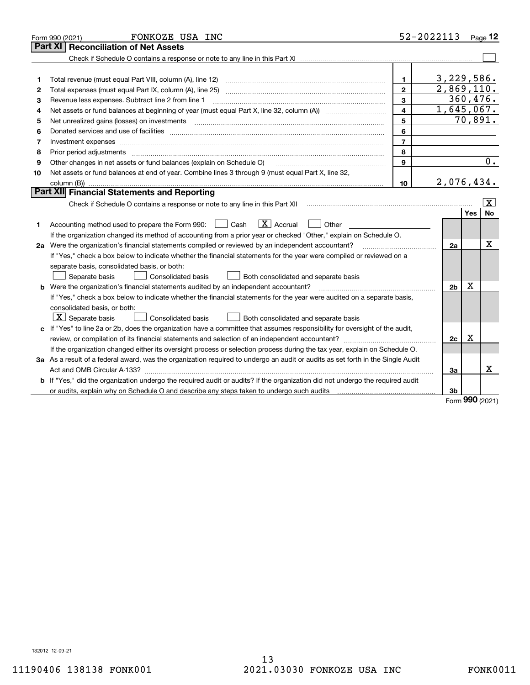|    | FONKOZE USA INC<br>Form 990 (2021)                                                                                              |                         | 52-2022113 |             | Page $12$          |
|----|---------------------------------------------------------------------------------------------------------------------------------|-------------------------|------------|-------------|--------------------|
|    | Part XI<br><b>Reconciliation of Net Assets</b>                                                                                  |                         |            |             |                    |
|    |                                                                                                                                 |                         |            |             |                    |
|    |                                                                                                                                 |                         |            |             |                    |
| 1  |                                                                                                                                 | 1.                      | 3,229,586. |             |                    |
| 2  |                                                                                                                                 | $\mathbf{2}$            | 2,869,110. |             |                    |
| З  | Revenue less expenses. Subtract line 2 from line 1                                                                              | 3                       | 360,476.   |             |                    |
| 4  |                                                                                                                                 | $\overline{\mathbf{4}}$ | 1,645,067. |             |                    |
| 5  | Net unrealized gains (losses) on investments                                                                                    | 5                       |            |             | 70,891.            |
| 6  |                                                                                                                                 | 6                       |            |             |                    |
| 7  | Investment expenses                                                                                                             | $\overline{7}$          |            |             |                    |
| 8  |                                                                                                                                 | 8                       |            |             |                    |
| 9  | Other changes in net assets or fund balances (explain on Schedule O)                                                            | 9                       |            |             | $\overline{0}$ .   |
| 10 | Net assets or fund balances at end of year. Combine lines 3 through 9 (must equal Part X, line 32,                              |                         |            |             |                    |
|    |                                                                                                                                 | 10                      | 2,076,434. |             |                    |
|    | Part XII Financial Statements and Reporting                                                                                     |                         |            |             |                    |
|    |                                                                                                                                 |                         |            |             | $\boxed{\text{X}}$ |
|    |                                                                                                                                 |                         |            | Yes         | <b>No</b>          |
| 1. | $\boxed{\text{X}}$ Accrual<br>Accounting method used to prepare the Form 990: <u>[</u> Cash<br>Other                            |                         |            |             |                    |
|    | If the organization changed its method of accounting from a prior year or checked "Other," explain on Schedule O.               |                         |            |             |                    |
|    | 2a Were the organization's financial statements compiled or reviewed by an independent accountant?                              |                         | 2a         |             | х                  |
|    | If "Yes," check a box below to indicate whether the financial statements for the year were compiled or reviewed on a            |                         |            |             |                    |
|    | separate basis, consolidated basis, or both:                                                                                    |                         |            |             |                    |
|    | Separate basis<br>Consolidated basis<br>Both consolidated and separate basis                                                    |                         |            |             |                    |
|    | <b>b</b> Were the organization's financial statements audited by an independent accountant?                                     |                         | 2b         | х           |                    |
|    | If "Yes," check a box below to indicate whether the financial statements for the year were audited on a separate basis,         |                         |            |             |                    |
|    | consolidated basis, or both:                                                                                                    |                         |            |             |                    |
|    | $ \mathbf{X} $ Separate basis<br>Consolidated basis<br>Both consolidated and separate basis                                     |                         |            |             |                    |
|    | c If "Yes" to line 2a or 2b, does the organization have a committee that assumes responsibility for oversight of the audit,     |                         |            |             |                    |
|    |                                                                                                                                 |                         | 2c         | $\mathbf X$ |                    |
|    | If the organization changed either its oversight process or selection process during the tax year, explain on Schedule O.       |                         |            |             |                    |
|    | 3a As a result of a federal award, was the organization required to undergo an audit or audits as set forth in the Single Audit |                         |            |             |                    |
|    |                                                                                                                                 |                         | 3a         |             | x                  |
|    | b If "Yes," did the organization undergo the required audit or audits? If the organization did not undergo the required audit   |                         |            |             |                    |
|    |                                                                                                                                 |                         | 3b         | <b>nnn</b>  |                    |

Form (2021) **990**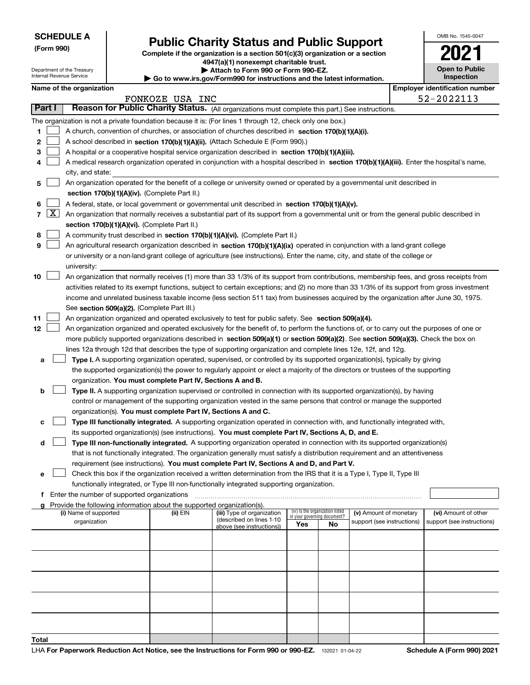Department of the Treasury Internal Revenue Service

**(Form 990)**

## **Public Charity Status and Public Support**

**Complete if the organization is a section 501(c)(3) organization or a section 4947(a)(1) nonexempt charitable trust.**

**| Attach to Form 990 or Form 990-EZ.** 

**| Go to www.irs.gov/Form990 for instructions and the latest information.**

| OMB No. 1545-0047 |  |
|-------------------|--|
| n                 |  |

**Open to Public**

| Inspection                           |
|--------------------------------------|
| <b>nployer identification number</b> |

|  |  | Name of the organization |
|--|--|--------------------------|
|--|--|--------------------------|

|                          | Name of the organization |                                                                                                                                                                                                                                               |                 |                                                        |                                                                |    |                            |  | <b>Employer identification number</b> |  |  |
|--------------------------|--------------------------|-----------------------------------------------------------------------------------------------------------------------------------------------------------------------------------------------------------------------------------------------|-----------------|--------------------------------------------------------|----------------------------------------------------------------|----|----------------------------|--|---------------------------------------|--|--|
|                          |                          |                                                                                                                                                                                                                                               | FONKOZE USA INC |                                                        |                                                                |    |                            |  | 52-2022113                            |  |  |
| Part I                   |                          | Reason for Public Charity Status. (All organizations must complete this part.) See instructions.<br>The organization is not a private foundation because it is: (For lines 1 through 12, check only one box.)                                 |                 |                                                        |                                                                |    |                            |  |                                       |  |  |
|                          |                          |                                                                                                                                                                                                                                               |                 |                                                        |                                                                |    |                            |  |                                       |  |  |
| 1                        |                          | A church, convention of churches, or association of churches described in section 170(b)(1)(A)(i).                                                                                                                                            |                 |                                                        |                                                                |    |                            |  |                                       |  |  |
| 2                        |                          | A school described in section 170(b)(1)(A)(ii). (Attach Schedule E (Form 990).)                                                                                                                                                               |                 |                                                        |                                                                |    |                            |  |                                       |  |  |
| з                        |                          | A hospital or a cooperative hospital service organization described in section 170(b)(1)(A)(iii).                                                                                                                                             |                 |                                                        |                                                                |    |                            |  |                                       |  |  |
| 4                        |                          | A medical research organization operated in conjunction with a hospital described in section 170(b)(1)(A)(iii). Enter the hospital's name,                                                                                                    |                 |                                                        |                                                                |    |                            |  |                                       |  |  |
|                          |                          | city, and state:                                                                                                                                                                                                                              |                 |                                                        |                                                                |    |                            |  |                                       |  |  |
| 5                        |                          | An organization operated for the benefit of a college or university owned or operated by a governmental unit described in                                                                                                                     |                 |                                                        |                                                                |    |                            |  |                                       |  |  |
|                          |                          | section 170(b)(1)(A)(iv). (Complete Part II.)                                                                                                                                                                                                 |                 |                                                        |                                                                |    |                            |  |                                       |  |  |
| 6                        |                          | A federal, state, or local government or governmental unit described in section 170(b)(1)(A)(v).                                                                                                                                              |                 |                                                        |                                                                |    |                            |  |                                       |  |  |
| $\lfloor x \rfloor$<br>7 |                          | An organization that normally receives a substantial part of its support from a governmental unit or from the general public described in                                                                                                     |                 |                                                        |                                                                |    |                            |  |                                       |  |  |
|                          |                          | section 170(b)(1)(A)(vi). (Complete Part II.)                                                                                                                                                                                                 |                 |                                                        |                                                                |    |                            |  |                                       |  |  |
| 8                        |                          | A community trust described in section 170(b)(1)(A)(vi). (Complete Part II.)                                                                                                                                                                  |                 |                                                        |                                                                |    |                            |  |                                       |  |  |
| 9                        |                          | An agricultural research organization described in section 170(b)(1)(A)(ix) operated in conjunction with a land-grant college                                                                                                                 |                 |                                                        |                                                                |    |                            |  |                                       |  |  |
|                          |                          | or university or a non-land-grant college of agriculture (see instructions). Enter the name, city, and state of the college or                                                                                                                |                 |                                                        |                                                                |    |                            |  |                                       |  |  |
|                          |                          | university:                                                                                                                                                                                                                                   |                 |                                                        |                                                                |    |                            |  |                                       |  |  |
| 10                       |                          | An organization that normally receives (1) more than 33 1/3% of its support from contributions, membership fees, and gross receipts from                                                                                                      |                 |                                                        |                                                                |    |                            |  |                                       |  |  |
|                          |                          | activities related to its exempt functions, subject to certain exceptions; and (2) no more than 33 1/3% of its support from gross investment                                                                                                  |                 |                                                        |                                                                |    |                            |  |                                       |  |  |
|                          |                          | income and unrelated business taxable income (less section 511 tax) from businesses acquired by the organization after June 30, 1975.                                                                                                         |                 |                                                        |                                                                |    |                            |  |                                       |  |  |
|                          |                          | See section 509(a)(2). (Complete Part III.)                                                                                                                                                                                                   |                 |                                                        |                                                                |    |                            |  |                                       |  |  |
| 11                       |                          | An organization organized and operated exclusively to test for public safety. See section 509(a)(4).                                                                                                                                          |                 |                                                        |                                                                |    |                            |  |                                       |  |  |
| 12                       |                          | An organization organized and operated exclusively for the benefit of, to perform the functions of, or to carry out the purposes of one or                                                                                                    |                 |                                                        |                                                                |    |                            |  |                                       |  |  |
|                          |                          | more publicly supported organizations described in section $509(a)(1)$ or section $509(a)(2)$ . See section $509(a)(3)$ . Check the box on                                                                                                    |                 |                                                        |                                                                |    |                            |  |                                       |  |  |
|                          |                          | lines 12a through 12d that describes the type of supporting organization and complete lines 12e, 12f, and 12g.<br>Type I. A supporting organization operated, supervised, or controlled by its supported organization(s), typically by giving |                 |                                                        |                                                                |    |                            |  |                                       |  |  |
| а                        |                          | the supported organization(s) the power to regularly appoint or elect a majority of the directors or trustees of the supporting                                                                                                               |                 |                                                        |                                                                |    |                            |  |                                       |  |  |
|                          |                          | organization. You must complete Part IV, Sections A and B.                                                                                                                                                                                    |                 |                                                        |                                                                |    |                            |  |                                       |  |  |
| b                        |                          | Type II. A supporting organization supervised or controlled in connection with its supported organization(s), by having                                                                                                                       |                 |                                                        |                                                                |    |                            |  |                                       |  |  |
|                          |                          | control or management of the supporting organization vested in the same persons that control or manage the supported                                                                                                                          |                 |                                                        |                                                                |    |                            |  |                                       |  |  |
|                          |                          | organization(s). You must complete Part IV, Sections A and C.                                                                                                                                                                                 |                 |                                                        |                                                                |    |                            |  |                                       |  |  |
| с                        |                          | Type III functionally integrated. A supporting organization operated in connection with, and functionally integrated with,                                                                                                                    |                 |                                                        |                                                                |    |                            |  |                                       |  |  |
|                          |                          | its supported organization(s) (see instructions). You must complete Part IV, Sections A, D, and E.                                                                                                                                            |                 |                                                        |                                                                |    |                            |  |                                       |  |  |
| d                        |                          | Type III non-functionally integrated. A supporting organization operated in connection with its supported organization(s)                                                                                                                     |                 |                                                        |                                                                |    |                            |  |                                       |  |  |
|                          |                          | that is not functionally integrated. The organization generally must satisfy a distribution requirement and an attentiveness                                                                                                                  |                 |                                                        |                                                                |    |                            |  |                                       |  |  |
|                          |                          | requirement (see instructions). You must complete Part IV, Sections A and D, and Part V.                                                                                                                                                      |                 |                                                        |                                                                |    |                            |  |                                       |  |  |
|                          |                          | Check this box if the organization received a written determination from the IRS that it is a Type I, Type II, Type III                                                                                                                       |                 |                                                        |                                                                |    |                            |  |                                       |  |  |
|                          |                          | functionally integrated, or Type III non-functionally integrated supporting organization.                                                                                                                                                     |                 |                                                        |                                                                |    |                            |  |                                       |  |  |
| f                        |                          | Enter the number of supported organizations                                                                                                                                                                                                   |                 |                                                        |                                                                |    |                            |  |                                       |  |  |
|                          |                          | Provide the following information about the supported organization(s).                                                                                                                                                                        |                 |                                                        |                                                                |    |                            |  |                                       |  |  |
|                          |                          | (i) Name of supported<br>organization                                                                                                                                                                                                         | (ii) EIN        | (iii) Type of organization<br>(described on lines 1-10 | (iv) Is the organization listed<br>in your governing document? |    | (v) Amount of monetary     |  | (vi) Amount of other                  |  |  |
|                          |                          |                                                                                                                                                                                                                                               |                 | above (see instructions))                              | Yes                                                            | No | support (see instructions) |  | support (see instructions)            |  |  |
|                          |                          |                                                                                                                                                                                                                                               |                 |                                                        |                                                                |    |                            |  |                                       |  |  |
|                          |                          |                                                                                                                                                                                                                                               |                 |                                                        |                                                                |    |                            |  |                                       |  |  |
|                          |                          |                                                                                                                                                                                                                                               |                 |                                                        |                                                                |    |                            |  |                                       |  |  |
|                          |                          |                                                                                                                                                                                                                                               |                 |                                                        |                                                                |    |                            |  |                                       |  |  |
|                          |                          |                                                                                                                                                                                                                                               |                 |                                                        |                                                                |    |                            |  |                                       |  |  |
|                          |                          |                                                                                                                                                                                                                                               |                 |                                                        |                                                                |    |                            |  |                                       |  |  |
|                          |                          |                                                                                                                                                                                                                                               |                 |                                                        |                                                                |    |                            |  |                                       |  |  |
|                          |                          |                                                                                                                                                                                                                                               |                 |                                                        |                                                                |    |                            |  |                                       |  |  |
| Total                    |                          |                                                                                                                                                                                                                                               |                 |                                                        |                                                                |    |                            |  |                                       |  |  |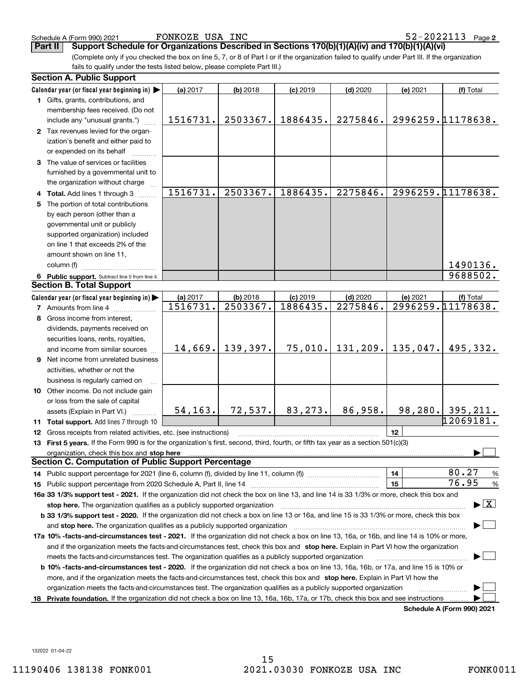**2** Schedule A (Form 990) 2021 Page FONKOZE USA INC 52-2022113

**Part II Support Schedule for Organizations Described in Sections 170(b)(1)(A)(iv) and 170(b)(1)(A)(vi)**

(Complete only if you checked the box on line 5, 7, or 8 of Part I or if the organization failed to qualify under Part III. If the organization fails to qualify under the tests listed below, please complete Part III.)

|    | <b>Section A. Public Support</b>                                                                                                                                                                                                                 |          |            |            |            |          |                                         |  |  |
|----|--------------------------------------------------------------------------------------------------------------------------------------------------------------------------------------------------------------------------------------------------|----------|------------|------------|------------|----------|-----------------------------------------|--|--|
|    | Calendar year (or fiscal year beginning in)                                                                                                                                                                                                      | (a) 2017 | $(b)$ 2018 | $(c)$ 2019 | $(d)$ 2020 | (e) 2021 | (f) Total                               |  |  |
|    | 1 Gifts, grants, contributions, and                                                                                                                                                                                                              |          |            |            |            |          |                                         |  |  |
|    | membership fees received. (Do not                                                                                                                                                                                                                |          |            |            |            |          |                                         |  |  |
|    | include any "unusual grants.")                                                                                                                                                                                                                   | 1516731. | 2503367.   | 1886435.   | 2275846.   |          | 2996259.11178638.                       |  |  |
|    | 2 Tax revenues levied for the organ-                                                                                                                                                                                                             |          |            |            |            |          |                                         |  |  |
|    | ization's benefit and either paid to                                                                                                                                                                                                             |          |            |            |            |          |                                         |  |  |
|    | or expended on its behalf                                                                                                                                                                                                                        |          |            |            |            |          |                                         |  |  |
|    | 3 The value of services or facilities                                                                                                                                                                                                            |          |            |            |            |          |                                         |  |  |
|    | furnished by a governmental unit to                                                                                                                                                                                                              |          |            |            |            |          |                                         |  |  |
|    | the organization without charge                                                                                                                                                                                                                  |          |            |            |            |          |                                         |  |  |
|    | 4 Total. Add lines 1 through 3                                                                                                                                                                                                                   | 1516731. | 2503367.   | 1886435.   | 2275846.   |          | 2996259.11178638.                       |  |  |
|    | 5 The portion of total contributions                                                                                                                                                                                                             |          |            |            |            |          |                                         |  |  |
|    | by each person (other than a                                                                                                                                                                                                                     |          |            |            |            |          |                                         |  |  |
|    | governmental unit or publicly                                                                                                                                                                                                                    |          |            |            |            |          |                                         |  |  |
|    | supported organization) included                                                                                                                                                                                                                 |          |            |            |            |          |                                         |  |  |
|    | on line 1 that exceeds 2% of the                                                                                                                                                                                                                 |          |            |            |            |          |                                         |  |  |
|    | amount shown on line 11,                                                                                                                                                                                                                         |          |            |            |            |          |                                         |  |  |
|    | column (f)                                                                                                                                                                                                                                       |          |            |            |            |          | 1490136.                                |  |  |
|    | 6 Public support. Subtract line 5 from line 4.                                                                                                                                                                                                   |          |            |            |            |          | 9688502.                                |  |  |
|    | <b>Section B. Total Support</b>                                                                                                                                                                                                                  |          |            |            |            |          |                                         |  |  |
|    | Calendar year (or fiscal year beginning in)                                                                                                                                                                                                      | (a) 2017 | $(b)$ 2018 | $(c)$ 2019 | $(d)$ 2020 | (e) 2021 | (f) Total                               |  |  |
|    | 7 Amounts from line 4                                                                                                                                                                                                                            | 1516731. | 2503367.   | 1886435.   | 2275846.   |          | 2996259.11178638.                       |  |  |
|    | 8 Gross income from interest,                                                                                                                                                                                                                    |          |            |            |            |          |                                         |  |  |
|    | dividends, payments received on                                                                                                                                                                                                                  |          |            |            |            |          |                                         |  |  |
|    | securities loans, rents, royalties,                                                                                                                                                                                                              |          |            |            |            |          |                                         |  |  |
|    | and income from similar sources                                                                                                                                                                                                                  | 14,669.  | 139,397.   | 75,010.    | 131, 209.  | 135,047. | 495,332.                                |  |  |
|    | <b>9</b> Net income from unrelated business                                                                                                                                                                                                      |          |            |            |            |          |                                         |  |  |
|    | activities, whether or not the                                                                                                                                                                                                                   |          |            |            |            |          |                                         |  |  |
|    | business is regularly carried on                                                                                                                                                                                                                 |          |            |            |            |          |                                         |  |  |
|    | 10 Other income. Do not include gain                                                                                                                                                                                                             |          |            |            |            |          |                                         |  |  |
|    | or loss from the sale of capital                                                                                                                                                                                                                 |          |            |            |            |          |                                         |  |  |
|    | assets (Explain in Part VI.)                                                                                                                                                                                                                     | 54, 163. | 72, 537.   | 83, 273.   | 86,958.    | 98, 280. | 395,211.                                |  |  |
|    | 11 Total support. Add lines 7 through 10                                                                                                                                                                                                         |          |            |            |            |          | 12069181.                               |  |  |
|    | 12 Gross receipts from related activities, etc. (see instructions)                                                                                                                                                                               |          |            |            |            | 12       |                                         |  |  |
|    | 13 First 5 years. If the Form 990 is for the organization's first, second, third, fourth, or fifth tax year as a section 501(c)(3)                                                                                                               |          |            |            |            |          |                                         |  |  |
|    | organization, check this box and stop here                                                                                                                                                                                                       |          |            |            |            |          |                                         |  |  |
|    | Section C. Computation of Public Support Percentage                                                                                                                                                                                              |          |            |            |            |          |                                         |  |  |
|    |                                                                                                                                                                                                                                                  |          |            |            |            | 14       | 80.27<br>%                              |  |  |
|    |                                                                                                                                                                                                                                                  |          |            |            |            | 15       | 76.95<br>$\frac{9}{6}$                  |  |  |
|    | 16a 33 1/3% support test - 2021. If the organization did not check the box on line 13, and line 14 is 33 1/3% or more, check this box and                                                                                                        |          |            |            |            |          |                                         |  |  |
|    | stop here. The organization qualifies as a publicly supported organization                                                                                                                                                                       |          |            |            |            |          | $\blacktriangleright$ $\vert$ X $\vert$ |  |  |
|    | b 33 1/3% support test - 2020. If the organization did not check a box on line 13 or 16a, and line 15 is 33 1/3% or more, check this box                                                                                                         |          |            |            |            |          |                                         |  |  |
|    | and stop here. The organization qualifies as a publicly supported organization                                                                                                                                                                   |          |            |            |            |          |                                         |  |  |
|    |                                                                                                                                                                                                                                                  |          |            |            |            |          |                                         |  |  |
|    | 17a 10% -facts-and-circumstances test - 2021. If the organization did not check a box on line 13, 16a, or 16b, and line 14 is 10% or more,                                                                                                       |          |            |            |            |          |                                         |  |  |
|    | and if the organization meets the facts-and-circumstances test, check this box and stop here. Explain in Part VI how the organization<br>meets the facts-and-circumstances test. The organization qualifies as a publicly supported organization |          |            |            |            |          |                                         |  |  |
|    |                                                                                                                                                                                                                                                  |          |            |            |            |          |                                         |  |  |
|    | <b>b 10% -facts-and-circumstances test - 2020.</b> If the organization did not check a box on line 13, 16a, 16b, or 17a, and line 15 is 10% or                                                                                                   |          |            |            |            |          |                                         |  |  |
|    | more, and if the organization meets the facts-and-circumstances test, check this box and stop here. Explain in Part VI how the                                                                                                                   |          |            |            |            |          |                                         |  |  |
|    | organization meets the facts-and-circumstances test. The organization qualifies as a publicly supported organization                                                                                                                             |          |            |            |            |          |                                         |  |  |
| 18 | Private foundation. If the organization did not check a box on line 13, 16a, 16b, 17a, or 17b, check this box and see instructions                                                                                                               |          |            |            |            |          | Schodule A (Form 000) 2021              |  |  |

**Schedule A (Form 990) 2021**

132022 01-04-22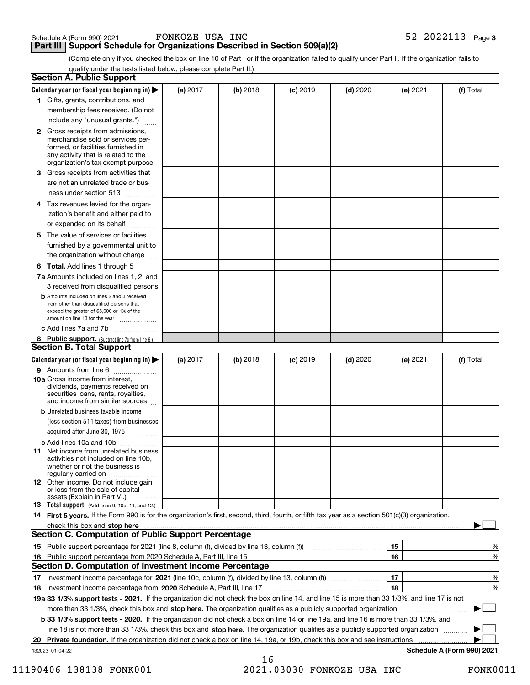**Part III Support Schedule for Organizations Described in Section 509(a)(2)** 

(Complete only if you checked the box on line 10 of Part I or if the organization failed to qualify under Part II. If the organization fails to qualify under the tests listed below, please complete Part II.)

|    | <b>Section A. Public Support</b>                                                                                                                                                                                               |          |          |                 |            |          |                            |
|----|--------------------------------------------------------------------------------------------------------------------------------------------------------------------------------------------------------------------------------|----------|----------|-----------------|------------|----------|----------------------------|
|    | Calendar year (or fiscal year beginning in) $\blacktriangleright$                                                                                                                                                              | (a) 2017 | (b) 2018 | <b>(c)</b> 2019 | $(d)$ 2020 | (e) 2021 | (f) Total                  |
|    | 1 Gifts, grants, contributions, and                                                                                                                                                                                            |          |          |                 |            |          |                            |
|    | membership fees received. (Do not                                                                                                                                                                                              |          |          |                 |            |          |                            |
|    | include any "unusual grants.")                                                                                                                                                                                                 |          |          |                 |            |          |                            |
|    | <b>2</b> Gross receipts from admissions,<br>merchandise sold or services per-<br>formed, or facilities furnished in<br>any activity that is related to the<br>organization's tax-exempt purpose                                |          |          |                 |            |          |                            |
|    | 3 Gross receipts from activities that<br>are not an unrelated trade or bus-                                                                                                                                                    |          |          |                 |            |          |                            |
|    | iness under section 513                                                                                                                                                                                                        |          |          |                 |            |          |                            |
|    | 4 Tax revenues levied for the organ-<br>ization's benefit and either paid to                                                                                                                                                   |          |          |                 |            |          |                            |
|    | or expended on its behalf<br>.                                                                                                                                                                                                 |          |          |                 |            |          |                            |
|    | 5 The value of services or facilities<br>furnished by a governmental unit to<br>the organization without charge                                                                                                                |          |          |                 |            |          |                            |
|    | <b>6 Total.</b> Add lines 1 through 5 $\dots$                                                                                                                                                                                  |          |          |                 |            |          |                            |
|    | 7a Amounts included on lines 1, 2, and<br>3 received from disqualified persons                                                                                                                                                 |          |          |                 |            |          |                            |
|    | <b>b</b> Amounts included on lines 2 and 3 received<br>from other than disqualified persons that<br>exceed the greater of \$5,000 or 1% of the<br>amount on line 13 for the year                                               |          |          |                 |            |          |                            |
|    | c Add lines 7a and 7b                                                                                                                                                                                                          |          |          |                 |            |          |                            |
|    | 8 Public support. (Subtract line 7c from line 6.)<br><b>Section B. Total Support</b>                                                                                                                                           |          |          |                 |            |          |                            |
|    |                                                                                                                                                                                                                                |          |          |                 |            |          |                            |
|    | Calendar year (or fiscal year beginning in)                                                                                                                                                                                    | (a) 2017 | (b) 2018 | <b>(c)</b> 2019 | $(d)$ 2020 | (e) 2021 | (f) Total                  |
|    | 9 Amounts from line 6<br>10a Gross income from interest,<br>dividends, payments received on<br>securities loans, rents, royalties,<br>and income from similar sources                                                          |          |          |                 |            |          |                            |
|    | <b>b</b> Unrelated business taxable income<br>(less section 511 taxes) from businesses<br>acquired after June 30, 1975 [10001]                                                                                                 |          |          |                 |            |          |                            |
|    | c Add lines 10a and 10b                                                                                                                                                                                                        |          |          |                 |            |          |                            |
|    | 11 Net income from unrelated business<br>activities not included on line 10b,<br>whether or not the business is<br>regularly carried on                                                                                        |          |          |                 |            |          |                            |
|    | 12 Other income. Do not include gain<br>or loss from the sale of capital<br>assets (Explain in Part VI.)                                                                                                                       |          |          |                 |            |          |                            |
|    | 13 Total support. (Add lines 9, 10c, 11, and 12.)                                                                                                                                                                              |          |          |                 |            |          |                            |
|    | 14 First 5 years. If the Form 990 is for the organization's first, second, third, fourth, or fifth tax year as a section 501(c)(3) organization,                                                                               |          |          |                 |            |          |                            |
|    | check this box and stop here manufactured and content to the state of the state of the state of the state of the state of the state of the state of the state of the state of the state of the state of the state of the state |          |          |                 |            |          |                            |
|    | <b>Section C. Computation of Public Support Percentage</b>                                                                                                                                                                     |          |          |                 |            |          |                            |
|    |                                                                                                                                                                                                                                |          |          |                 |            | 15       | %                          |
| 16 | Public support percentage from 2020 Schedule A, Part III, line 15                                                                                                                                                              |          |          |                 |            | 16       | %                          |
|    | <b>Section D. Computation of Investment Income Percentage</b>                                                                                                                                                                  |          |          |                 |            |          |                            |
|    | 17 Investment income percentage for 2021 (line 10c, column (f), divided by line 13, column (f))                                                                                                                                |          |          |                 |            | 17       | %                          |
|    | 18 Investment income percentage from 2020 Schedule A, Part III, line 17                                                                                                                                                        |          |          |                 |            | 18       | %                          |
|    | 19a 33 1/3% support tests - 2021. If the organization did not check the box on line 14, and line 15 is more than 33 1/3%, and line 17 is not                                                                                   |          |          |                 |            |          | $\sim$ 1                   |
|    | more than 33 1/3%, check this box and stop here. The organization qualifies as a publicly supported organization                                                                                                               |          |          |                 |            |          |                            |
|    | b 33 1/3% support tests - 2020. If the organization did not check a box on line 14 or line 19a, and line 16 is more than 33 1/3%, and                                                                                          |          |          |                 |            |          |                            |
|    | line 18 is not more than 33 1/3%, check this box and stop here. The organization qualifies as a publicly supported organization                                                                                                |          |          |                 |            |          |                            |
| 20 | Private foundation. If the organization did not check a box on line 14, 19a, or 19b, check this box and see instructions                                                                                                       |          |          |                 |            |          | Schedule A (Form 990) 2021 |
|    | 132023 01-04-22                                                                                                                                                                                                                |          | 16       |                 |            |          |                            |

11190406 138138 FONK001 2021.03030 FONKOZE USA INC FONK0011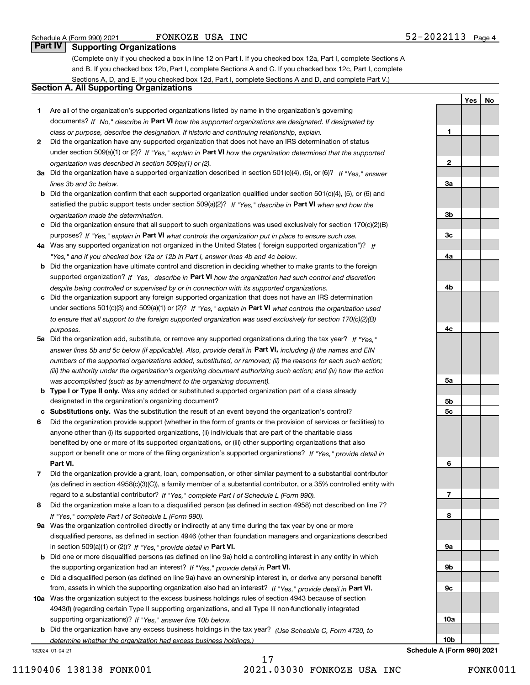**1**

**2**

**3a**

**3b**

**3c**

**4a**

**4b**

**4c**

**5a**

**5b5c**

**6**

**7**

**8**

**9a**

**9b**

**9c**

**10a**

**YesNo**

#### **Part IV Supporting Organizations**

(Complete only if you checked a box in line 12 on Part I. If you checked box 12a, Part I, complete Sections A and B. If you checked box 12b, Part I, complete Sections A and C. If you checked box 12c, Part I, complete Sections A, D, and E. If you checked box 12d, Part I, complete Sections A and D, and complete Part V.)

#### **Section A. All Supporting Organizations**

- **1** Are all of the organization's supported organizations listed by name in the organization's governing documents? If "No," describe in **Part VI** how the supported organizations are designated. If designated by *class or purpose, describe the designation. If historic and continuing relationship, explain.*
- **2** Did the organization have any supported organization that does not have an IRS determination of status under section 509(a)(1) or (2)? If "Yes," explain in Part VI how the organization determined that the supported *organization was described in section 509(a)(1) or (2).*
- **3a** Did the organization have a supported organization described in section 501(c)(4), (5), or (6)? If "Yes," answer *lines 3b and 3c below.*
- **b** Did the organization confirm that each supported organization qualified under section 501(c)(4), (5), or (6) and satisfied the public support tests under section 509(a)(2)? If "Yes," describe in **Part VI** when and how the *organization made the determination.*
- **c**Did the organization ensure that all support to such organizations was used exclusively for section 170(c)(2)(B) purposes? If "Yes," explain in **Part VI** what controls the organization put in place to ensure such use.
- **4a***If* Was any supported organization not organized in the United States ("foreign supported organization")? *"Yes," and if you checked box 12a or 12b in Part I, answer lines 4b and 4c below.*
- **b** Did the organization have ultimate control and discretion in deciding whether to make grants to the foreign supported organization? If "Yes," describe in **Part VI** how the organization had such control and discretion *despite being controlled or supervised by or in connection with its supported organizations.*
- **c** Did the organization support any foreign supported organization that does not have an IRS determination under sections 501(c)(3) and 509(a)(1) or (2)? If "Yes," explain in **Part VI** what controls the organization used *to ensure that all support to the foreign supported organization was used exclusively for section 170(c)(2)(B) purposes.*
- **5a** Did the organization add, substitute, or remove any supported organizations during the tax year? If "Yes," answer lines 5b and 5c below (if applicable). Also, provide detail in **Part VI,** including (i) the names and EIN *numbers of the supported organizations added, substituted, or removed; (ii) the reasons for each such action; (iii) the authority under the organization's organizing document authorizing such action; and (iv) how the action was accomplished (such as by amendment to the organizing document).*
- **b** Type I or Type II only. Was any added or substituted supported organization part of a class already designated in the organization's organizing document?
- **cSubstitutions only.**  Was the substitution the result of an event beyond the organization's control?
- **6** Did the organization provide support (whether in the form of grants or the provision of services or facilities) to **Part VI.** *If "Yes," provide detail in* support or benefit one or more of the filing organization's supported organizations? anyone other than (i) its supported organizations, (ii) individuals that are part of the charitable class benefited by one or more of its supported organizations, or (iii) other supporting organizations that also
- **7**Did the organization provide a grant, loan, compensation, or other similar payment to a substantial contributor *If "Yes," complete Part I of Schedule L (Form 990).* regard to a substantial contributor? (as defined in section 4958(c)(3)(C)), a family member of a substantial contributor, or a 35% controlled entity with
- **8** Did the organization make a loan to a disqualified person (as defined in section 4958) not described on line 7? *If "Yes," complete Part I of Schedule L (Form 990).*
- **9a** Was the organization controlled directly or indirectly at any time during the tax year by one or more in section 509(a)(1) or (2))? If "Yes," *provide detail in* <code>Part VI.</code> disqualified persons, as defined in section 4946 (other than foundation managers and organizations described
- **b**the supporting organization had an interest? If "Yes," provide detail in P**art VI**. Did one or more disqualified persons (as defined on line 9a) hold a controlling interest in any entity in which
- **c**Did a disqualified person (as defined on line 9a) have an ownership interest in, or derive any personal benefit from, assets in which the supporting organization also had an interest? If "Yes," provide detail in P**art VI.**
- **10a** Was the organization subject to the excess business holdings rules of section 4943 because of section supporting organizations)? If "Yes," answer line 10b below. 4943(f) (regarding certain Type II supporting organizations, and all Type III non-functionally integrated
- **b** Did the organization have any excess business holdings in the tax year? (Use Schedule C, Form 4720, to *determine whether the organization had excess business holdings.)*

132024 01-04-21

#### 17 11190406 138138 FONK001 2021.03030 FONKOZE USA INC FONK0011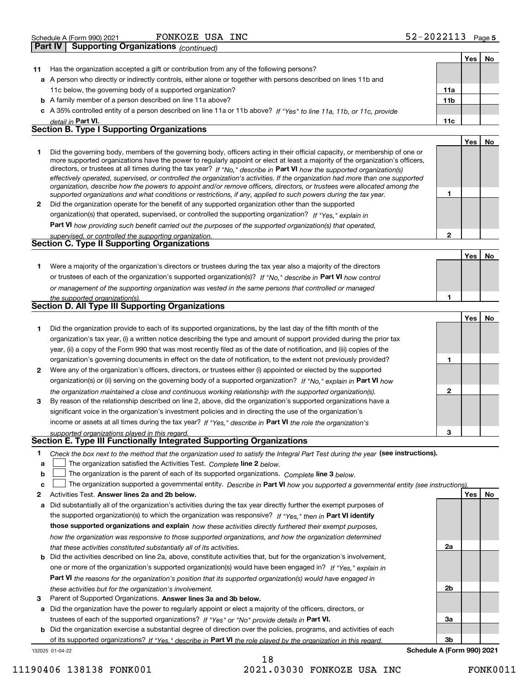| Schedule A | √ (Form | 1990) 2021 |  | <b>FONKOZE</b><br>USA | INC | יז נ<br>. - - ^ U Z Z I I J | $P$ age $t$ |
|------------|---------|------------|--|-----------------------|-----|-----------------------------|-------------|
| ---<br>. . |         |            |  |                       |     |                             |             |

|              | Supporting Organizations (continued)<br>Part IV                                                                                                                                                                                                                                                                                                                                                                                                                                                                                                                                                                                                      |                 |            |    |
|--------------|------------------------------------------------------------------------------------------------------------------------------------------------------------------------------------------------------------------------------------------------------------------------------------------------------------------------------------------------------------------------------------------------------------------------------------------------------------------------------------------------------------------------------------------------------------------------------------------------------------------------------------------------------|-----------------|------------|----|
|              |                                                                                                                                                                                                                                                                                                                                                                                                                                                                                                                                                                                                                                                      |                 | Yes        | No |
| 11           | Has the organization accepted a gift or contribution from any of the following persons?                                                                                                                                                                                                                                                                                                                                                                                                                                                                                                                                                              |                 |            |    |
|              | a A person who directly or indirectly controls, either alone or together with persons described on lines 11b and                                                                                                                                                                                                                                                                                                                                                                                                                                                                                                                                     |                 |            |    |
|              | 11c below, the governing body of a supported organization?                                                                                                                                                                                                                                                                                                                                                                                                                                                                                                                                                                                           | 11a             |            |    |
|              | <b>b</b> A family member of a person described on line 11a above?                                                                                                                                                                                                                                                                                                                                                                                                                                                                                                                                                                                    | 11 <sub>b</sub> |            |    |
|              | c A 35% controlled entity of a person described on line 11a or 11b above? If "Yes" to line 11a, 11b, or 11c, provide                                                                                                                                                                                                                                                                                                                                                                                                                                                                                                                                 |                 |            |    |
|              | detail in Part VI.                                                                                                                                                                                                                                                                                                                                                                                                                                                                                                                                                                                                                                   | 11c             |            |    |
|              | <b>Section B. Type I Supporting Organizations</b>                                                                                                                                                                                                                                                                                                                                                                                                                                                                                                                                                                                                    |                 |            |    |
|              |                                                                                                                                                                                                                                                                                                                                                                                                                                                                                                                                                                                                                                                      |                 | <b>Yes</b> | No |
| 1            | Did the governing body, members of the governing body, officers acting in their official capacity, or membership of one or<br>more supported organizations have the power to regularly appoint or elect at least a majority of the organization's officers,<br>directors, or trustees at all times during the tax year? If "No." describe in Part VI how the supported organization(s)<br>effectively operated, supervised, or controlled the organization's activities. If the organization had more than one supported<br>organization, describe how the powers to appoint and/or remove officers, directors, or trustees were allocated among the |                 |            |    |
|              | supported organizations and what conditions or restrictions, if any, applied to such powers during the tax year.                                                                                                                                                                                                                                                                                                                                                                                                                                                                                                                                     | 1               |            |    |
| $\mathbf{2}$ | Did the organization operate for the benefit of any supported organization other than the supported                                                                                                                                                                                                                                                                                                                                                                                                                                                                                                                                                  |                 |            |    |
|              | organization(s) that operated, supervised, or controlled the supporting organization? If "Yes," explain in                                                                                                                                                                                                                                                                                                                                                                                                                                                                                                                                           |                 |            |    |
|              | Part VI how providing such benefit carried out the purposes of the supported organization(s) that operated,                                                                                                                                                                                                                                                                                                                                                                                                                                                                                                                                          |                 |            |    |
|              | supervised, or controlled the supporting organization.                                                                                                                                                                                                                                                                                                                                                                                                                                                                                                                                                                                               | $\mathbf{2}$    |            |    |
|              | Section C. Type II Supporting Organizations                                                                                                                                                                                                                                                                                                                                                                                                                                                                                                                                                                                                          |                 |            |    |
|              |                                                                                                                                                                                                                                                                                                                                                                                                                                                                                                                                                                                                                                                      |                 | Yes        | No |
| 1.           | Were a majority of the organization's directors or trustees during the tax year also a majority of the directors                                                                                                                                                                                                                                                                                                                                                                                                                                                                                                                                     |                 |            |    |
|              | or trustees of each of the organization's supported organization(s)? If "No." describe in Part VI how control                                                                                                                                                                                                                                                                                                                                                                                                                                                                                                                                        |                 |            |    |
|              | or management of the supporting organization was vested in the same persons that controlled or managed                                                                                                                                                                                                                                                                                                                                                                                                                                                                                                                                               |                 |            |    |
|              | the supported organization(s).                                                                                                                                                                                                                                                                                                                                                                                                                                                                                                                                                                                                                       |                 |            |    |
|              | Section D. All Type III Supporting Organizations                                                                                                                                                                                                                                                                                                                                                                                                                                                                                                                                                                                                     |                 |            |    |
|              |                                                                                                                                                                                                                                                                                                                                                                                                                                                                                                                                                                                                                                                      |                 | <b>Yes</b> | No |
| 1            | Did the organization provide to each of its supported organizations, by the last day of the fifth month of the                                                                                                                                                                                                                                                                                                                                                                                                                                                                                                                                       |                 |            |    |
|              | organization's tax year, (i) a written notice describing the type and amount of support provided during the prior tax                                                                                                                                                                                                                                                                                                                                                                                                                                                                                                                                |                 |            |    |
|              | year, (ii) a copy of the Form 990 that was most recently filed as of the date of notification, and (iii) copies of the                                                                                                                                                                                                                                                                                                                                                                                                                                                                                                                               |                 |            |    |
|              | organization's governing documents in effect on the date of notification, to the extent not previously provided?                                                                                                                                                                                                                                                                                                                                                                                                                                                                                                                                     | 1               |            |    |

- **2** Were any of the organization's officers, directors, or trustees either (i) appointed or elected by the supported organization(s) or (ii) serving on the governing body of a supported organization? If "No," explain in **Part VI** how *the organization maintained a close and continuous working relationship with the supported organization(s).*
- **3**income or assets at all times during the tax year? If "Yes," describe in **Part VI** the role the organization's By reason of the relationship described on line 2, above, did the organization's supported organizations have a significant voice in the organization's investment policies and in directing the use of the organization's

*supported organizations played in this regard.* **Section E. Type III Functionally Integrated Supporting Organizations**

- **1**Check the box next to the method that the organization used to satisfy the Integral Part Test during the year (see instructions).
- **alinupy** The organization satisfied the Activities Test. Complete line 2 below.
- **b**The organization is the parent of each of its supported organizations. *Complete* line 3 *below.*  $\mathcal{L}^{\text{max}}$

|  |  | The organization supported a governmental entity. Describe in Part VI how you supported a governmental entity (see instructions). |  |
|--|--|-----------------------------------------------------------------------------------------------------------------------------------|--|
|--|--|-----------------------------------------------------------------------------------------------------------------------------------|--|

- **2Answer lines 2a and 2b below. Yes No** Activities Test.
- **a** Did substantially all of the organization's activities during the tax year directly further the exempt purposes of the supported organization(s) to which the organization was responsive? If "Yes," then in **Part VI identify those supported organizations and explain**  *how these activities directly furthered their exempt purposes, how the organization was responsive to those supported organizations, and how the organization determined that these activities constituted substantially all of its activities.*
- **b** Did the activities described on line 2a, above, constitute activities that, but for the organization's involvement, **Part VI**  *the reasons for the organization's position that its supported organization(s) would have engaged in* one or more of the organization's supported organization(s) would have been engaged in? If "Yes," e*xplain in these activities but for the organization's involvement.*
- **3** Parent of Supported Organizations. Answer lines 3a and 3b below.
- **a** Did the organization have the power to regularly appoint or elect a majority of the officers, directors, or trustees of each of the supported organizations? If "Yes" or "No" provide details in **Part VI.**

132025 01-04-22 **b** Did the organization exercise a substantial degree of direction over the policies, programs, and activities of each of its supported organizations? If "Yes," describe in Part VI the role played by the organization in this regard.

**3bSchedule A (Form 990) 2021**

**2**

**3**

**2a**

**2b**

**3a**

18 11190406 138138 FONK001 2021.03030 FONKOZE USA INC FONK0011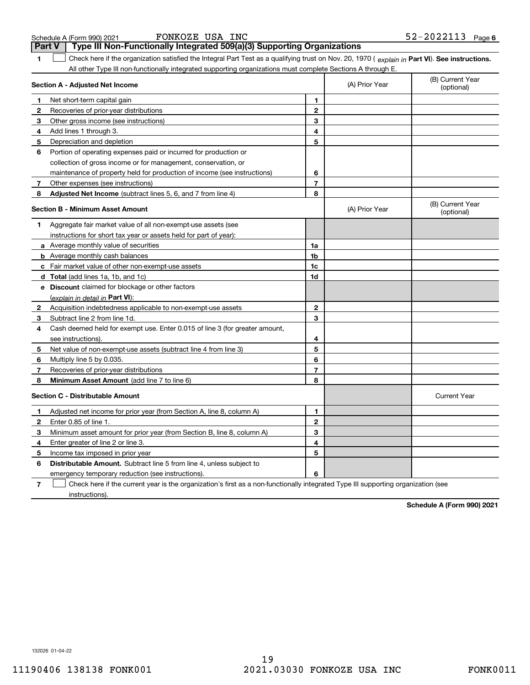| Schedule A (Form 990) 202 |  |  |  |
|---------------------------|--|--|--|
|---------------------------|--|--|--|

|  | Schedule A (Form 990) 2021 | FONKOZE | USA | INC | $-2022113$<br>′ −∆ر | Page 6 |
|--|----------------------------|---------|-----|-----|---------------------|--------|
|--|----------------------------|---------|-----|-----|---------------------|--------|

**1Part VI** Check here if the organization satisfied the Integral Part Test as a qualifying trust on Nov. 20, 1970 ( explain in Part **VI**). See instructions. **Section A - Adjusted Net Income 123456** Portion of operating expenses paid or incurred for production or **7** Other expenses (see instructions) **8** Adjusted Net Income (subtract lines 5, 6, and 7 from line 4) **8 8 1234567Section B - Minimum Asset Amount 1**Aggregate fair market value of all non-exempt-use assets (see **2**Acquisition indebtedness applicable to non-exempt-use assets **3** Subtract line 2 from line 1d. **4**Cash deemed held for exempt use. Enter 0.015 of line 3 (for greater amount, **5** Net value of non-exempt-use assets (subtract line 4 from line 3) **678a** Average monthly value of securities **b** Average monthly cash balances **c**Fair market value of other non-exempt-use assets **dTotal**  (add lines 1a, 1b, and 1c) **eDiscount** claimed for blockage or other factors **1a1b1c1d2345678**(explain in detail in Part VI): **Minimum Asset Amount**  (add line 7 to line 6) **Section C - Distributable Amount 123456123456Distributable Amount.** Subtract line 5 from line 4, unless subject to All other Type III non-functionally integrated supporting organizations must complete Sections A through E. (B) Current Year (optional)(A) Prior Year Net short-term capital gain Recoveries of prior-year distributions Other gross income (see instructions) Add lines 1 through 3. Depreciation and depletion collection of gross income or for management, conservation, or maintenance of property held for production of income (see instructions) (B) Current Year (optional)(A) Prior Year instructions for short tax year or assets held for part of year): see instructions). Multiply line 5 by 0.035. Recoveries of prior-year distributions Current Year Adjusted net income for prior year (from Section A, line 8, column A) Enter 0.85 of line 1. Minimum asset amount for prior year (from Section B, line 8, column A) Enter greater of line 2 or line 3. Income tax imposed in prior year emergency temporary reduction (see instructions). **Part V Type III Non-Functionally Integrated 509(a)(3) Supporting Organizations**   $\mathcal{L}^{\text{max}}$ 

**7**Check here if the current year is the organization's first as a non-functionally integrated Type III supporting organization (see instructions). $\mathcal{L}^{\text{max}}$ 

**Schedule A (Form 990) 2021**

132026 01-04-22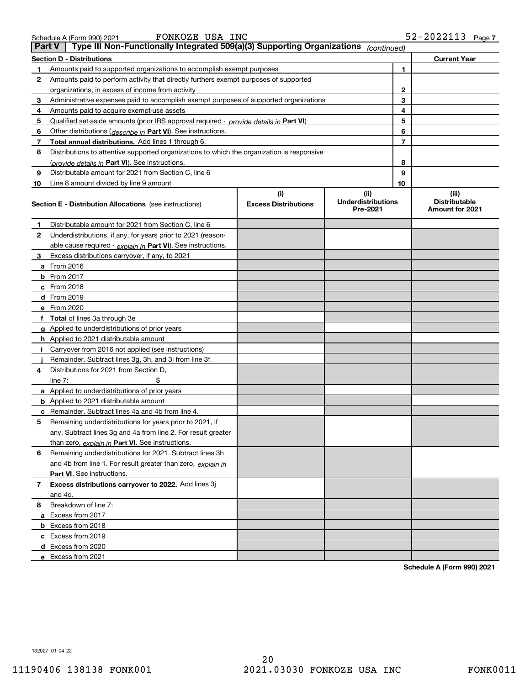| <b>Part V</b> | Type III Non-Functionally Integrated 509(a)(3) Supporting Organizations                    |                                    | (continued)                                   |                |                                                         |  |  |  |  |
|---------------|--------------------------------------------------------------------------------------------|------------------------------------|-----------------------------------------------|----------------|---------------------------------------------------------|--|--|--|--|
|               | <b>Current Year</b><br><b>Section D - Distributions</b>                                    |                                    |                                               |                |                                                         |  |  |  |  |
| 1             | Amounts paid to supported organizations to accomplish exempt purposes                      | 1                                  |                                               |                |                                                         |  |  |  |  |
| $\mathbf{2}$  | Amounts paid to perform activity that directly furthers exempt purposes of supported       |                                    |                                               |                |                                                         |  |  |  |  |
|               | organizations, in excess of income from activity                                           |                                    |                                               |                |                                                         |  |  |  |  |
| 3             | Administrative expenses paid to accomplish exempt purposes of supported organizations      | 3                                  |                                               |                |                                                         |  |  |  |  |
| 4             | Amounts paid to acquire exempt-use assets                                                  |                                    |                                               | 4              |                                                         |  |  |  |  |
| 5             | Qualified set aside amounts (prior IRS approval required - provide details in Part VI)     |                                    |                                               | 5              |                                                         |  |  |  |  |
| 6             | Other distributions ( <i>describe in</i> Part VI). See instructions.                       |                                    |                                               | 6              |                                                         |  |  |  |  |
| 7             | Total annual distributions. Add lines 1 through 6.                                         |                                    |                                               | $\overline{7}$ |                                                         |  |  |  |  |
| 8             | Distributions to attentive supported organizations to which the organization is responsive |                                    |                                               |                |                                                         |  |  |  |  |
|               | (provide details in Part VI). See instructions.                                            |                                    |                                               | 8              |                                                         |  |  |  |  |
| 9             | Distributable amount for 2021 from Section C, line 6                                       |                                    |                                               | 9              |                                                         |  |  |  |  |
| 10            | Line 8 amount divided by line 9 amount                                                     |                                    |                                               | 10             |                                                         |  |  |  |  |
|               | <b>Section E - Distribution Allocations</b> (see instructions)                             | (i)<br><b>Excess Distributions</b> | (ii)<br><b>Underdistributions</b><br>Pre-2021 |                | (iii)<br><b>Distributable</b><br><b>Amount for 2021</b> |  |  |  |  |
| 1             | Distributable amount for 2021 from Section C, line 6                                       |                                    |                                               |                |                                                         |  |  |  |  |
| 2             | Underdistributions, if any, for years prior to 2021 (reason-                               |                                    |                                               |                |                                                         |  |  |  |  |
|               | able cause required - explain in Part VI). See instructions.                               |                                    |                                               |                |                                                         |  |  |  |  |
| 3             | Excess distributions carryover, if any, to 2021                                            |                                    |                                               |                |                                                         |  |  |  |  |
|               | <b>a</b> From 2016                                                                         |                                    |                                               |                |                                                         |  |  |  |  |
|               | <b>b</b> From 2017                                                                         |                                    |                                               |                |                                                         |  |  |  |  |
|               | c From 2018                                                                                |                                    |                                               |                |                                                         |  |  |  |  |
|               | <b>d</b> From 2019                                                                         |                                    |                                               |                |                                                         |  |  |  |  |
|               | e From 2020                                                                                |                                    |                                               |                |                                                         |  |  |  |  |
|               | f Total of lines 3a through 3e                                                             |                                    |                                               |                |                                                         |  |  |  |  |
|               | g Applied to underdistributions of prior years                                             |                                    |                                               |                |                                                         |  |  |  |  |
|               | <b>h</b> Applied to 2021 distributable amount                                              |                                    |                                               |                |                                                         |  |  |  |  |
| ÷.            | Carryover from 2016 not applied (see instructions)                                         |                                    |                                               |                |                                                         |  |  |  |  |
|               | Remainder. Subtract lines 3g, 3h, and 3i from line 3f.                                     |                                    |                                               |                |                                                         |  |  |  |  |
| 4             | Distributions for 2021 from Section D,                                                     |                                    |                                               |                |                                                         |  |  |  |  |
|               | \$<br>line $7:$                                                                            |                                    |                                               |                |                                                         |  |  |  |  |
|               | <b>a</b> Applied to underdistributions of prior years                                      |                                    |                                               |                |                                                         |  |  |  |  |
|               | <b>b</b> Applied to 2021 distributable amount                                              |                                    |                                               |                |                                                         |  |  |  |  |
|               | c Remainder. Subtract lines 4a and 4b from line 4.                                         |                                    |                                               |                |                                                         |  |  |  |  |
| 5             | Remaining underdistributions for years prior to 2021, if                                   |                                    |                                               |                |                                                         |  |  |  |  |
|               | any. Subtract lines 3g and 4a from line 2. For result greater                              |                                    |                                               |                |                                                         |  |  |  |  |
|               | than zero, explain in Part VI. See instructions.                                           |                                    |                                               |                |                                                         |  |  |  |  |
| 6             | Remaining underdistributions for 2021. Subtract lines 3h                                   |                                    |                                               |                |                                                         |  |  |  |  |
|               | and 4b from line 1. For result greater than zero, explain in                               |                                    |                                               |                |                                                         |  |  |  |  |
|               | <b>Part VI.</b> See instructions.                                                          |                                    |                                               |                |                                                         |  |  |  |  |
| 7             | <b>Excess distributions carryover to 2022.</b> Add lines 3j                                |                                    |                                               |                |                                                         |  |  |  |  |
|               | and 4c.                                                                                    |                                    |                                               |                |                                                         |  |  |  |  |
| 8             | Breakdown of line 7:                                                                       |                                    |                                               |                |                                                         |  |  |  |  |
|               | a Excess from 2017                                                                         |                                    |                                               |                |                                                         |  |  |  |  |
|               | <b>b</b> Excess from 2018                                                                  |                                    |                                               |                |                                                         |  |  |  |  |
|               | c Excess from 2019                                                                         |                                    |                                               |                |                                                         |  |  |  |  |
|               | d Excess from 2020                                                                         |                                    |                                               |                |                                                         |  |  |  |  |
|               | e Excess from 2021                                                                         |                                    |                                               |                |                                                         |  |  |  |  |

**Schedule A (Form 990) 2021**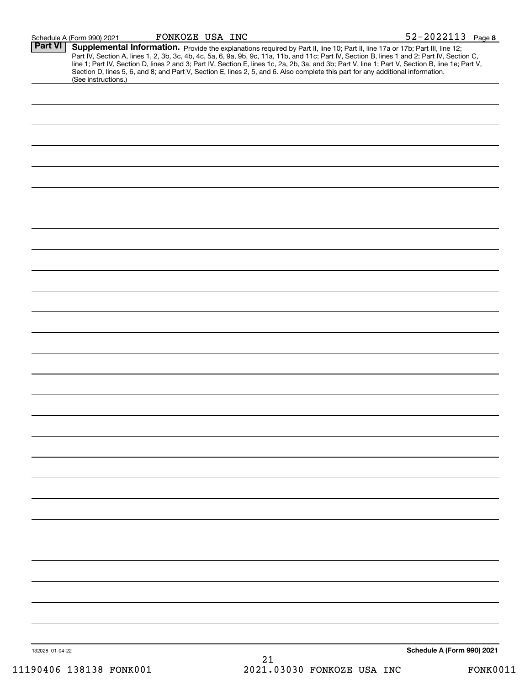|                 | Schedule A (Form 990) 2021 | FONKOZE USA INC |    |                                                                                                                                                                                                                                                                  | 52-2022113 Page 8                                                                                                                                                                                                                                                                                |
|-----------------|----------------------------|-----------------|----|------------------------------------------------------------------------------------------------------------------------------------------------------------------------------------------------------------------------------------------------------------------|--------------------------------------------------------------------------------------------------------------------------------------------------------------------------------------------------------------------------------------------------------------------------------------------------|
| <b>Part VI</b>  |                            |                 |    | Supplemental Information. Provide the explanations required by Part II, line 10; Part II, line 17a or 17b; Part III, line 12;<br>Section D, lines 5, 6, and 8; and Part V, Section E, lines 2, 5, and 6. Also complete this part for any additional information. | Part IV, Section A, lines 1, 2, 3b, 3c, 4b, 4c, 5a, 6, 9a, 9b, 9c, 11a, 11b, and 11c; Part IV, Section B, lines 1 and 2; Part IV, Section C,<br>line 1; Part IV, Section D, lines 2 and 3; Part IV, Section E, lines 1c, 2a, 2b, 3a, and 3b; Part V, line 1; Part V, Section B, line 1e; Part V, |
|                 | (See instructions.)        |                 |    |                                                                                                                                                                                                                                                                  |                                                                                                                                                                                                                                                                                                  |
|                 |                            |                 |    |                                                                                                                                                                                                                                                                  |                                                                                                                                                                                                                                                                                                  |
|                 |                            |                 |    |                                                                                                                                                                                                                                                                  |                                                                                                                                                                                                                                                                                                  |
|                 |                            |                 |    |                                                                                                                                                                                                                                                                  |                                                                                                                                                                                                                                                                                                  |
|                 |                            |                 |    |                                                                                                                                                                                                                                                                  |                                                                                                                                                                                                                                                                                                  |
|                 |                            |                 |    |                                                                                                                                                                                                                                                                  |                                                                                                                                                                                                                                                                                                  |
|                 |                            |                 |    |                                                                                                                                                                                                                                                                  |                                                                                                                                                                                                                                                                                                  |
|                 |                            |                 |    |                                                                                                                                                                                                                                                                  |                                                                                                                                                                                                                                                                                                  |
|                 |                            |                 |    |                                                                                                                                                                                                                                                                  |                                                                                                                                                                                                                                                                                                  |
|                 |                            |                 |    |                                                                                                                                                                                                                                                                  |                                                                                                                                                                                                                                                                                                  |
|                 |                            |                 |    |                                                                                                                                                                                                                                                                  |                                                                                                                                                                                                                                                                                                  |
|                 |                            |                 |    |                                                                                                                                                                                                                                                                  |                                                                                                                                                                                                                                                                                                  |
|                 |                            |                 |    |                                                                                                                                                                                                                                                                  |                                                                                                                                                                                                                                                                                                  |
|                 |                            |                 |    |                                                                                                                                                                                                                                                                  |                                                                                                                                                                                                                                                                                                  |
|                 |                            |                 |    |                                                                                                                                                                                                                                                                  |                                                                                                                                                                                                                                                                                                  |
|                 |                            |                 |    |                                                                                                                                                                                                                                                                  |                                                                                                                                                                                                                                                                                                  |
|                 |                            |                 |    |                                                                                                                                                                                                                                                                  |                                                                                                                                                                                                                                                                                                  |
|                 |                            |                 |    |                                                                                                                                                                                                                                                                  |                                                                                                                                                                                                                                                                                                  |
|                 |                            |                 |    |                                                                                                                                                                                                                                                                  |                                                                                                                                                                                                                                                                                                  |
|                 |                            |                 |    |                                                                                                                                                                                                                                                                  |                                                                                                                                                                                                                                                                                                  |
|                 |                            |                 |    |                                                                                                                                                                                                                                                                  |                                                                                                                                                                                                                                                                                                  |
|                 |                            |                 |    |                                                                                                                                                                                                                                                                  |                                                                                                                                                                                                                                                                                                  |
|                 |                            |                 |    |                                                                                                                                                                                                                                                                  |                                                                                                                                                                                                                                                                                                  |
|                 |                            |                 |    |                                                                                                                                                                                                                                                                  |                                                                                                                                                                                                                                                                                                  |
|                 |                            |                 |    |                                                                                                                                                                                                                                                                  |                                                                                                                                                                                                                                                                                                  |
| 132028 01-04-22 |                            |                 |    |                                                                                                                                                                                                                                                                  | Schedule A (Form 990) 2021                                                                                                                                                                                                                                                                       |
|                 |                            |                 | 21 |                                                                                                                                                                                                                                                                  |                                                                                                                                                                                                                                                                                                  |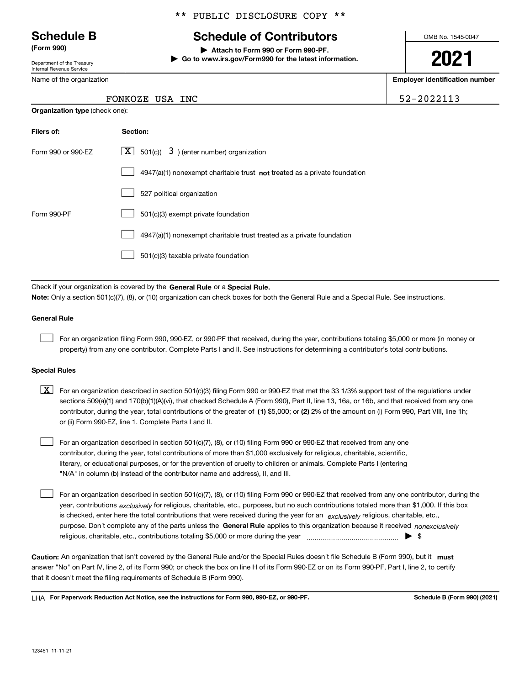Department of the Treasury Internal Revenue Service

Name of the organization

#### \*\* PUBLIC DISCLOSURE COPY \*\*

# **Schedule B Schedule of Contributors**

**(Form 990) | Attach to Form 990 or Form 990-PF. | Go to www.irs.gov/Form990 for the latest information.** OMB No. 1545-0047

# **2021**

**Employer identification number**

FONKOZE USA INC | 52-2022113

| FONKOZE US |  |
|------------|--|

|                    | <b>Organization type (check one):</b>                                       |  |  |  |  |
|--------------------|-----------------------------------------------------------------------------|--|--|--|--|
| Filers of:         | Section:                                                                    |  |  |  |  |
| Form 990 or 990-EZ | $\lfloor x \rfloor$ 501(c)( 3) (enter number) organization                  |  |  |  |  |
|                    | $4947(a)(1)$ nonexempt charitable trust not treated as a private foundation |  |  |  |  |
|                    | 527 political organization                                                  |  |  |  |  |
| Form 990-PF        | 501(c)(3) exempt private foundation                                         |  |  |  |  |
|                    | 4947(a)(1) nonexempt charitable trust treated as a private foundation       |  |  |  |  |
|                    | 501(c)(3) taxable private foundation                                        |  |  |  |  |
|                    |                                                                             |  |  |  |  |

Check if your organization is covered by the **General Rule** or a **Special Rule. Note:**  Only a section 501(c)(7), (8), or (10) organization can check boxes for both the General Rule and a Special Rule. See instructions.

#### **General Rule**

 $\mathcal{L}^{\text{max}}$ 

For an organization filing Form 990, 990-EZ, or 990-PF that received, during the year, contributions totaling \$5,000 or more (in money or property) from any one contributor. Complete Parts I and II. See instructions for determining a contributor's total contributions.

#### **Special Rules**

contributor, during the year, total contributions of the greater of (1**)** \$5,000; or (2) 2% of the amount on (i) Form 990, Part VIII, line 1h;  $\boxed{\textbf{X}}$  For an organization described in section 501(c)(3) filing Form 990 or 990-EZ that met the 33 1/3% support test of the regulations under sections 509(a)(1) and 170(b)(1)(A)(vi), that checked Schedule A (Form 990), Part II, line 13, 16a, or 16b, and that received from any one or (ii) Form 990-EZ, line 1. Complete Parts I and II.

For an organization described in section 501(c)(7), (8), or (10) filing Form 990 or 990-EZ that received from any one contributor, during the year, total contributions of more than \$1,000 exclusively for religious, charitable, scientific, literary, or educational purposes, or for the prevention of cruelty to children or animals. Complete Parts I (entering "N/A" in column (b) instead of the contributor name and address), II, and III.  $\mathcal{L}^{\text{max}}$ 

purpose. Don't complete any of the parts unless the **General Rule** applies to this organization because it received *nonexclusively* year, contributions <sub>exclusively</sub> for religious, charitable, etc., purposes, but no such contributions totaled more than \$1,000. If this box is checked, enter here the total contributions that were received during the year for an  $\;$ exclusively religious, charitable, etc., For an organization described in section 501(c)(7), (8), or (10) filing Form 990 or 990-EZ that received from any one contributor, during the religious, charitable, etc., contributions totaling \$5,000 or more during the year ~~~~~~~~~~~~~~~ | \$  $\mathcal{L}^{\text{max}}$ 

Caution: An organization that isn't covered by the General Rule and/or the Special Rules doesn't file Schedule B (Form 990), but it **must** answer "No" on Part IV, line 2, of its Form 990; or check the box on line H of its Form 990-EZ or on its Form 990-PF, Part I, line 2, to certify that it doesn't meet the filing requirements of Schedule B (Form 990).

LHA For Paperwork Reduction Act Notice, see the instructions for Form 990, 990-EZ, or 990-PF. **In the act and Schedule B** (Form 990) (2021)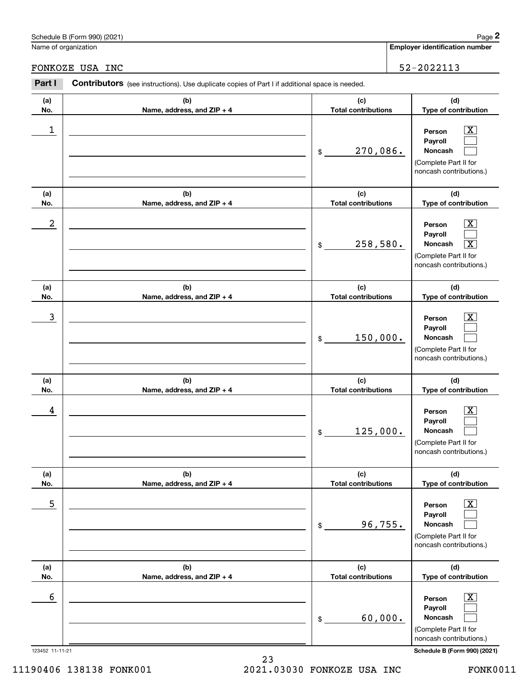| (a)             | (b)                                 | (d)<br>(c)                                   |                                                                                                                                      |  |  |
|-----------------|-------------------------------------|----------------------------------------------|--------------------------------------------------------------------------------------------------------------------------------------|--|--|
| No.<br>1        | Name, address, and ZIP + 4          | <b>Total contributions</b><br>270,086.<br>\$ | Type of contribution<br>$\overline{\text{X}}$<br>Person<br>Payroll<br>Noncash                                                        |  |  |
|                 |                                     |                                              | (Complete Part II for<br>noncash contributions.)                                                                                     |  |  |
| (a)<br>No.      | (b)<br>Name, address, and ZIP + 4   | (c)<br><b>Total contributions</b>            | (d)<br>Type of contribution                                                                                                          |  |  |
| 2               |                                     | 258,580.<br>\$                               | $\overline{\text{X}}$<br>Person<br>Payroll<br>$\overline{\mathbf{X}}$<br>Noncash<br>(Complete Part II for<br>noncash contributions.) |  |  |
| (a)<br>No.      | (b)<br>Name, address, and ZIP + 4   | (c)<br><b>Total contributions</b>            | (d)<br>Type of contribution                                                                                                          |  |  |
| 3               |                                     | 150,000.<br>\$                               | X,<br>Person<br>Payroll<br>Noncash<br>(Complete Part II for<br>noncash contributions.)                                               |  |  |
| (a)<br>No.      | (b)<br>Name, address, and ZIP + 4   | (c)<br><b>Total contributions</b>            | (d)<br>Type of contribution                                                                                                          |  |  |
| 4               |                                     | 125,000.<br>\$                               | X,<br>Person<br>Payroll<br>Noncash<br>(Complete Part II for<br>noncash contributions.)                                               |  |  |
| (a)<br>No.      | (b)<br>Name, address, and $ZIP + 4$ | (c)<br><b>Total contributions</b>            | (d)<br>Type of contribution                                                                                                          |  |  |
| 5               |                                     | 96,755.<br>\$                                | $\overline{\mathbf{X}}$<br>Person<br>Payroll<br>Noncash<br>(Complete Part II for<br>noncash contributions.)                          |  |  |
| (a)<br>No.      | (b)<br>Name, address, and ZIP + 4   | (c)<br><b>Total contributions</b>            | (d)<br>Type of contribution                                                                                                          |  |  |
| 6               |                                     | 60,000.<br>\$                                | $\overline{\mathbf{X}}$<br>Person<br>Payroll<br>Noncash<br>(Complete Part II for<br>noncash contributions.)                          |  |  |
| 123452 11-11-21 | 23                                  |                                              | Schedule B (Form 990) (2021)                                                                                                         |  |  |

FONKOZE USA INC 52-2022113

Name of organization

**Employer identification number** Employer identification Page 2<br>
Iame of organization<br> **2Part I Contributors** (see instructions). Use duplicate copies of Part I if additional space is needed.<br> **2Part I Contributors** (see instructions). Use duplicate c

11190406 138138 FONK001 2021.03030 FONKOZE USA INC FONK0011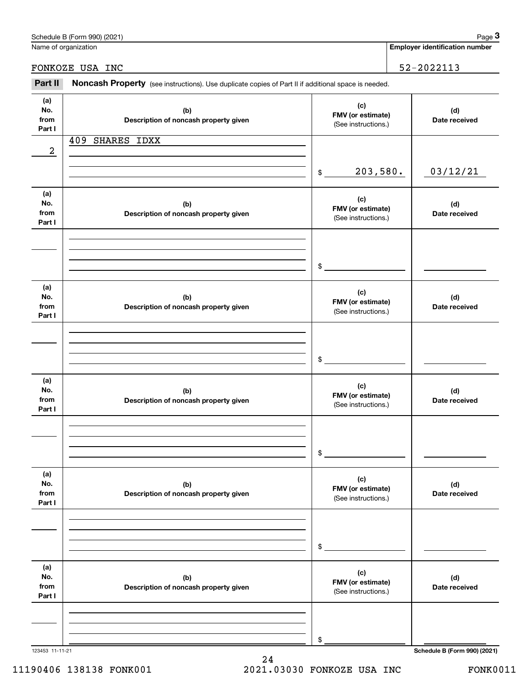|                              | Schedule B (Form 990) (2021)                                                                        |                                                 | Page 3                                |
|------------------------------|-----------------------------------------------------------------------------------------------------|-------------------------------------------------|---------------------------------------|
|                              | Name of organization                                                                                |                                                 | <b>Employer identification number</b> |
|                              | FONKOZE USA INC                                                                                     |                                                 | 52-2022113                            |
| Part II                      | Noncash Property (see instructions). Use duplicate copies of Part II if additional space is needed. |                                                 |                                       |
| (a)<br>No.<br>from<br>Part I | (b)<br>Description of noncash property given                                                        | (c)<br>FMV (or estimate)<br>(See instructions.) | (d)<br>Date received                  |
|                              | 409 SHARES IDXX                                                                                     |                                                 |                                       |
| $\boldsymbol{2}$             |                                                                                                     | 203,580.<br>$$\circ$$                           | 03/12/21                              |
| (a)<br>No.<br>from<br>Part I | (b)<br>Description of noncash property given                                                        | (c)<br>FMV (or estimate)<br>(See instructions.) | (d)<br>Date received                  |
|                              |                                                                                                     | \$                                              |                                       |
| (a)<br>No.<br>from<br>Part I | (b)<br>Description of noncash property given                                                        | (c)<br>FMV (or estimate)<br>(See instructions.) | (d)<br>Date received                  |
|                              |                                                                                                     | \$                                              |                                       |
| (a)<br>No.<br>from<br>Part I | (b)<br>Description of noncash property given                                                        | (c)<br>FMV (or estimate)<br>(See instructions.) | (d)<br>Date received                  |
|                              |                                                                                                     | \$                                              |                                       |
| (a)<br>No.<br>from<br>Part I | (b)<br>Description of noncash property given                                                        | (c)<br>FMV (or estimate)<br>(See instructions.) | (d)<br>Date received                  |
|                              |                                                                                                     | \$                                              |                                       |
| (a)<br>No.<br>from<br>Part I | (b)<br>Description of noncash property given                                                        | (c)<br>FMV (or estimate)<br>(See instructions.) | (d)<br>Date received                  |
|                              |                                                                                                     | \$                                              |                                       |

24 11190406 138138 FONK001 2021.03030 FONKOZE USA INC FONK0011

<sup>123453 11-11-21</sup> **Schedule B (Form 990) (2021)**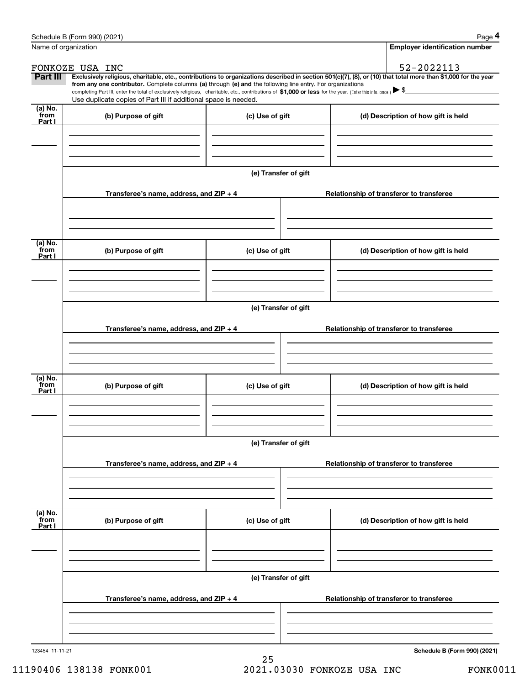|                 | Schedule B (Form 990) (2021)                                                                                                                                                                                                                                                                    |                      | Page 4                                   |
|-----------------|-------------------------------------------------------------------------------------------------------------------------------------------------------------------------------------------------------------------------------------------------------------------------------------------------|----------------------|------------------------------------------|
|                 | Name of organization                                                                                                                                                                                                                                                                            |                      | <b>Employer identification number</b>    |
|                 | FONKOZE USA INC                                                                                                                                                                                                                                                                                 |                      | 52-2022113                               |
| Part III        | Exclusively religious, charitable, etc., contributions to organizations described in section 501(c)(7), (8), or (10) that total more than \$1,000 for the year                                                                                                                                  |                      |                                          |
|                 | from any one contributor. Complete columns (a) through (e) and the following line entry. For organizations<br>completing Part III, enter the total of exclusively religious, charitable, etc., contributions of \$1,000 or less for the year. (Enter this info. once.) $\blacktriangleright$ \$ |                      |                                          |
|                 | Use duplicate copies of Part III if additional space is needed.                                                                                                                                                                                                                                 |                      |                                          |
| (a) No.<br>from | (b) Purpose of gift                                                                                                                                                                                                                                                                             | (c) Use of gift      | (d) Description of how gift is held      |
| Part I          |                                                                                                                                                                                                                                                                                                 |                      |                                          |
|                 |                                                                                                                                                                                                                                                                                                 |                      |                                          |
|                 |                                                                                                                                                                                                                                                                                                 |                      |                                          |
|                 |                                                                                                                                                                                                                                                                                                 |                      |                                          |
|                 |                                                                                                                                                                                                                                                                                                 | (e) Transfer of gift |                                          |
|                 | Transferee's name, address, and ZIP + 4                                                                                                                                                                                                                                                         |                      | Relationship of transferor to transferee |
|                 |                                                                                                                                                                                                                                                                                                 |                      |                                          |
|                 |                                                                                                                                                                                                                                                                                                 |                      |                                          |
|                 |                                                                                                                                                                                                                                                                                                 |                      |                                          |
| (a) No.         |                                                                                                                                                                                                                                                                                                 |                      |                                          |
| from<br>Part I  | (b) Purpose of gift                                                                                                                                                                                                                                                                             | (c) Use of gift      | (d) Description of how gift is held      |
|                 |                                                                                                                                                                                                                                                                                                 |                      |                                          |
|                 |                                                                                                                                                                                                                                                                                                 |                      |                                          |
|                 |                                                                                                                                                                                                                                                                                                 |                      |                                          |
|                 |                                                                                                                                                                                                                                                                                                 | (e) Transfer of gift |                                          |
|                 |                                                                                                                                                                                                                                                                                                 |                      |                                          |
|                 | Transferee's name, address, and ZIP + 4                                                                                                                                                                                                                                                         |                      | Relationship of transferor to transferee |
|                 |                                                                                                                                                                                                                                                                                                 |                      |                                          |
|                 |                                                                                                                                                                                                                                                                                                 |                      |                                          |
|                 |                                                                                                                                                                                                                                                                                                 |                      |                                          |
| (a) No.<br>from | (b) Purpose of gift                                                                                                                                                                                                                                                                             | (c) Use of gift      | (d) Description of how gift is held      |
| Part I          |                                                                                                                                                                                                                                                                                                 |                      |                                          |
|                 |                                                                                                                                                                                                                                                                                                 |                      |                                          |
|                 |                                                                                                                                                                                                                                                                                                 |                      |                                          |
|                 |                                                                                                                                                                                                                                                                                                 |                      |                                          |
|                 |                                                                                                                                                                                                                                                                                                 | (e) Transfer of gift |                                          |
|                 | Transferee's name, address, and $ZIP + 4$                                                                                                                                                                                                                                                       |                      | Relationship of transferor to transferee |
|                 |                                                                                                                                                                                                                                                                                                 |                      |                                          |
|                 |                                                                                                                                                                                                                                                                                                 |                      |                                          |
|                 |                                                                                                                                                                                                                                                                                                 |                      |                                          |
| (a) No.<br>from |                                                                                                                                                                                                                                                                                                 |                      |                                          |
| Part I          | (b) Purpose of gift                                                                                                                                                                                                                                                                             | (c) Use of gift      | (d) Description of how gift is held      |
|                 |                                                                                                                                                                                                                                                                                                 |                      |                                          |
|                 |                                                                                                                                                                                                                                                                                                 |                      |                                          |
|                 |                                                                                                                                                                                                                                                                                                 |                      |                                          |
|                 |                                                                                                                                                                                                                                                                                                 | (e) Transfer of gift |                                          |
|                 |                                                                                                                                                                                                                                                                                                 |                      |                                          |
|                 | Transferee's name, address, and $ZIP + 4$                                                                                                                                                                                                                                                       |                      | Relationship of transferor to transferee |
|                 |                                                                                                                                                                                                                                                                                                 |                      |                                          |
|                 |                                                                                                                                                                                                                                                                                                 |                      |                                          |
|                 |                                                                                                                                                                                                                                                                                                 |                      |                                          |

**Schedule B (Form 990) (2021)**

25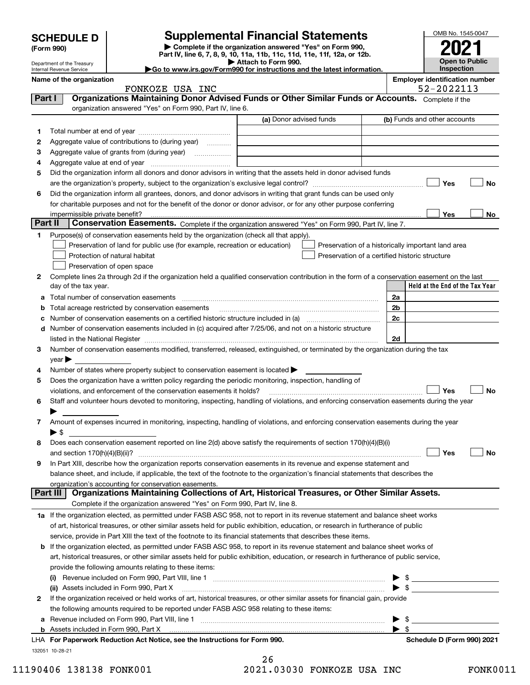|         | <b>SCHEDULE D</b>                                                                                                                                  |                                                                                                        | <b>Supplemental Financial Statements</b>                                                                                                       |                          | OMB No. 1545-0047                     |  |  |  |
|---------|----------------------------------------------------------------------------------------------------------------------------------------------------|--------------------------------------------------------------------------------------------------------|------------------------------------------------------------------------------------------------------------------------------------------------|--------------------------|---------------------------------------|--|--|--|
|         | Complete if the organization answered "Yes" on Form 990,<br>(Form 990)<br>Part IV, line 6, 7, 8, 9, 10, 11a, 11b, 11c, 11d, 11e, 11f, 12a, or 12b. |                                                                                                        |                                                                                                                                                |                          |                                       |  |  |  |
|         | Department of the Treasury                                                                                                                         |                                                                                                        | <b>Open to Public</b><br>Attach to Form 990.<br><b>Inspection</b><br>Go to www.irs.gov/Form990 for instructions and the latest information.    |                          |                                       |  |  |  |
|         | Internal Revenue Service<br>Name of the organization                                                                                               |                                                                                                        |                                                                                                                                                |                          | <b>Employer identification number</b> |  |  |  |
|         |                                                                                                                                                    | FONKOZE USA INC                                                                                        |                                                                                                                                                |                          | 52-2022113                            |  |  |  |
| Part I  |                                                                                                                                                    |                                                                                                        | Organizations Maintaining Donor Advised Funds or Other Similar Funds or Accounts. Complete if the                                              |                          |                                       |  |  |  |
|         |                                                                                                                                                    | organization answered "Yes" on Form 990, Part IV, line 6.                                              |                                                                                                                                                |                          |                                       |  |  |  |
|         |                                                                                                                                                    |                                                                                                        | (a) Donor advised funds                                                                                                                        |                          | (b) Funds and other accounts          |  |  |  |
| 1       |                                                                                                                                                    |                                                                                                        |                                                                                                                                                |                          |                                       |  |  |  |
| 2       |                                                                                                                                                    | Aggregate value of contributions to (during year)                                                      |                                                                                                                                                |                          |                                       |  |  |  |
| з       |                                                                                                                                                    |                                                                                                        |                                                                                                                                                |                          |                                       |  |  |  |
| 4       |                                                                                                                                                    |                                                                                                        |                                                                                                                                                |                          |                                       |  |  |  |
| 5       |                                                                                                                                                    |                                                                                                        | Did the organization inform all donors and donor advisors in writing that the assets held in donor advised funds                               |                          |                                       |  |  |  |
|         |                                                                                                                                                    |                                                                                                        |                                                                                                                                                |                          | <b>Yes</b><br><b>No</b>               |  |  |  |
| 6       |                                                                                                                                                    |                                                                                                        | Did the organization inform all grantees, donors, and donor advisors in writing that grant funds can be used only                              |                          |                                       |  |  |  |
|         |                                                                                                                                                    |                                                                                                        | for charitable purposes and not for the benefit of the donor or donor advisor, or for any other purpose conferring                             |                          |                                       |  |  |  |
|         | impermissible private benefit?                                                                                                                     |                                                                                                        |                                                                                                                                                |                          | Yes<br>No                             |  |  |  |
| Part II |                                                                                                                                                    |                                                                                                        | Conservation Easements. Complete if the organization answered "Yes" on Form 990, Part IV, line 7.                                              |                          |                                       |  |  |  |
| 1       |                                                                                                                                                    | Purpose(s) of conservation easements held by the organization (check all that apply).                  |                                                                                                                                                |                          |                                       |  |  |  |
|         |                                                                                                                                                    | Preservation of land for public use (for example, recreation or education)                             | Preservation of a historically important land area                                                                                             |                          |                                       |  |  |  |
|         |                                                                                                                                                    | Protection of natural habitat                                                                          | Preservation of a certified historic structure                                                                                                 |                          |                                       |  |  |  |
|         |                                                                                                                                                    | Preservation of open space                                                                             |                                                                                                                                                |                          |                                       |  |  |  |
| 2       |                                                                                                                                                    |                                                                                                        | Complete lines 2a through 2d if the organization held a qualified conservation contribution in the form of a conservation easement on the last |                          |                                       |  |  |  |
|         | day of the tax year.                                                                                                                               |                                                                                                        |                                                                                                                                                |                          | Held at the End of the Tax Year       |  |  |  |
|         |                                                                                                                                                    |                                                                                                        |                                                                                                                                                | 2a                       |                                       |  |  |  |
| b       |                                                                                                                                                    | Total acreage restricted by conservation easements                                                     |                                                                                                                                                | 2b                       |                                       |  |  |  |
| с       |                                                                                                                                                    |                                                                                                        | Number of conservation easements on a certified historic structure included in (a) manufacture included in (a)                                 | 2c                       |                                       |  |  |  |
|         |                                                                                                                                                    |                                                                                                        | d Number of conservation easements included in (c) acquired after 7/25/06, and not on a historic structure                                     |                          |                                       |  |  |  |
|         |                                                                                                                                                    |                                                                                                        |                                                                                                                                                | 2d                       |                                       |  |  |  |
| З       |                                                                                                                                                    |                                                                                                        | Number of conservation easements modified, transferred, released, extinguished, or terminated by the organization during the tax               |                          |                                       |  |  |  |
|         | $\gamma$ ear $\blacktriangleright$                                                                                                                 |                                                                                                        |                                                                                                                                                |                          |                                       |  |  |  |
| 4       |                                                                                                                                                    | Number of states where property subject to conservation easement is located $\blacktriangleright$      |                                                                                                                                                |                          |                                       |  |  |  |
| 5       |                                                                                                                                                    | Does the organization have a written policy regarding the periodic monitoring, inspection, handling of |                                                                                                                                                |                          |                                       |  |  |  |
|         |                                                                                                                                                    | violations, and enforcement of the conservation easements it holds?                                    |                                                                                                                                                |                          | Yes<br><b>No</b>                      |  |  |  |
| 6       |                                                                                                                                                    |                                                                                                        | Staff and volunteer hours devoted to monitoring, inspecting, handling of violations, and enforcing conservation easements during the year      |                          |                                       |  |  |  |
|         | ▶                                                                                                                                                  |                                                                                                        |                                                                                                                                                |                          |                                       |  |  |  |
| 7       |                                                                                                                                                    |                                                                                                        | Amount of expenses incurred in monitoring, inspecting, handling of violations, and enforcing conservation easements during the year            |                          |                                       |  |  |  |
|         | $\blacktriangleright$ \$                                                                                                                           |                                                                                                        |                                                                                                                                                |                          |                                       |  |  |  |
| 8       |                                                                                                                                                    |                                                                                                        | Does each conservation easement reported on line 2(d) above satisfy the requirements of section 170(h)(4)(B)(i)                                |                          |                                       |  |  |  |
|         |                                                                                                                                                    |                                                                                                        |                                                                                                                                                |                          | Yes<br>No                             |  |  |  |
| 9       |                                                                                                                                                    |                                                                                                        | In Part XIII, describe how the organization reports conservation easements in its revenue and expense statement and                            |                          |                                       |  |  |  |
|         |                                                                                                                                                    |                                                                                                        | balance sheet, and include, if applicable, the text of the footnote to the organization's financial statements that describes the              |                          |                                       |  |  |  |
|         | Part III                                                                                                                                           | organization's accounting for conservation easements.                                                  | Organizations Maintaining Collections of Art, Historical Treasures, or Other Similar Assets.                                                   |                          |                                       |  |  |  |
|         |                                                                                                                                                    | Complete if the organization answered "Yes" on Form 990, Part IV, line 8.                              |                                                                                                                                                |                          |                                       |  |  |  |
|         |                                                                                                                                                    |                                                                                                        |                                                                                                                                                |                          |                                       |  |  |  |
|         |                                                                                                                                                    |                                                                                                        | 1a If the organization elected, as permitted under FASB ASC 958, not to report in its revenue statement and balance sheet works                |                          |                                       |  |  |  |
|         |                                                                                                                                                    |                                                                                                        | of art, historical treasures, or other similar assets held for public exhibition, education, or research in furtherance of public              |                          |                                       |  |  |  |
|         |                                                                                                                                                    |                                                                                                        | service, provide in Part XIII the text of the footnote to its financial statements that describes these items.                                 |                          |                                       |  |  |  |
|         |                                                                                                                                                    |                                                                                                        | <b>b</b> If the organization elected, as permitted under FASB ASC 958, to report in its revenue statement and balance sheet works of           |                          |                                       |  |  |  |
|         |                                                                                                                                                    |                                                                                                        | art, historical treasures, or other similar assets held for public exhibition, education, or research in furtherance of public service,        |                          |                                       |  |  |  |
|         |                                                                                                                                                    | provide the following amounts relating to these items:                                                 |                                                                                                                                                |                          |                                       |  |  |  |
|         |                                                                                                                                                    |                                                                                                        |                                                                                                                                                |                          | $\frac{1}{2}$                         |  |  |  |
|         |                                                                                                                                                    | (ii) Assets included in Form 990, Part X                                                               |                                                                                                                                                | $\blacktriangleright$ \$ |                                       |  |  |  |
| 2       |                                                                                                                                                    |                                                                                                        | If the organization received or held works of art, historical treasures, or other similar assets for financial gain, provide                   |                          |                                       |  |  |  |
|         |                                                                                                                                                    | the following amounts required to be reported under FASB ASC 958 relating to these items:              |                                                                                                                                                |                          |                                       |  |  |  |
|         |                                                                                                                                                    |                                                                                                        |                                                                                                                                                | $\blacktriangleright$ \$ |                                       |  |  |  |

|  | <b>b</b> Assets included in Form 990, Part X |
|--|----------------------------------------------|
|  |                                              |

132051 10-28-21 **For Paperwork Reduction Act Notice, see the Instructions for Form 990. Schedule D (Form 990) 2021** LHA

 $\blacktriangleright$  \$

26 11190406 138138 FONK001 2021.03030 FONKOZE USA INC FONK0011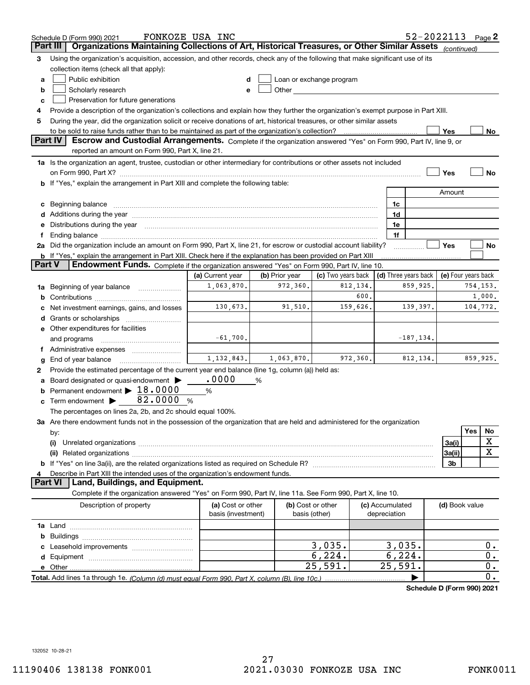|        | Schedule D (Form 990) 2021                                                                                                                                                                                                     | FONKOZE USA INC                         |                |                                    |           |                                 | 52-2022113 Page 2    |                     |          |        |
|--------|--------------------------------------------------------------------------------------------------------------------------------------------------------------------------------------------------------------------------------|-----------------------------------------|----------------|------------------------------------|-----------|---------------------------------|----------------------|---------------------|----------|--------|
|        | Organizations Maintaining Collections of Art, Historical Treasures, or Other Similar Assets (continued)<br>Part III                                                                                                            |                                         |                |                                    |           |                                 |                      |                     |          |        |
| 3      | Using the organization's acquisition, accession, and other records, check any of the following that make significant use of its                                                                                                |                                         |                |                                    |           |                                 |                      |                     |          |        |
|        | collection items (check all that apply):                                                                                                                                                                                       |                                         |                |                                    |           |                                 |                      |                     |          |        |
| а      | Public exhibition                                                                                                                                                                                                              |                                         |                | Loan or exchange program           |           |                                 |                      |                     |          |        |
| b      | Scholarly research                                                                                                                                                                                                             | e                                       |                |                                    |           |                                 |                      |                     |          |        |
| c      | Preservation for future generations                                                                                                                                                                                            |                                         |                |                                    |           |                                 |                      |                     |          |        |
| 4      | Provide a description of the organization's collections and explain how they further the organization's exempt purpose in Part XIII.                                                                                           |                                         |                |                                    |           |                                 |                      |                     |          |        |
| 5      | During the year, did the organization solicit or receive donations of art, historical treasures, or other similar assets                                                                                                       |                                         |                |                                    |           |                                 |                      |                     |          |        |
|        | to be sold to raise funds rather than to be maintained as part of the organization's collection?                                                                                                                               |                                         |                |                                    |           |                                 |                      | Yes                 |          | No     |
|        | <b>Part IV</b><br>Escrow and Custodial Arrangements. Complete if the organization answered "Yes" on Form 990, Part IV, line 9, or                                                                                              |                                         |                |                                    |           |                                 |                      |                     |          |        |
|        | reported an amount on Form 990, Part X, line 21.                                                                                                                                                                               |                                         |                |                                    |           |                                 |                      |                     |          |        |
|        | 1a Is the organization an agent, trustee, custodian or other intermediary for contributions or other assets not included                                                                                                       |                                         |                |                                    |           |                                 |                      |                     |          |        |
|        | on Form 990, Part X? [11] matter contracts and contracts and contracts are contracted as a form 990, Part X?                                                                                                                   |                                         |                |                                    |           |                                 |                      | Yes                 |          | No     |
|        | b If "Yes," explain the arrangement in Part XIII and complete the following table:                                                                                                                                             |                                         |                |                                    |           |                                 |                      | Amount              |          |        |
|        |                                                                                                                                                                                                                                |                                         |                |                                    |           |                                 |                      |                     |          |        |
|        | c Beginning balance measurements and the contract of the contract of the contract of the contract of the contract of the contract of the contract of the contract of the contract of the contract of the contract of the contr |                                         |                |                                    |           | 1c                              |                      |                     |          |        |
|        |                                                                                                                                                                                                                                |                                         |                |                                    |           | 1d                              |                      |                     |          |        |
| f.     | e Distributions during the year manufactured and continuum and contained and the year manufactured and contained and the year manufactured and contained and contained and contained and contained and contained and contained |                                         |                |                                    |           | 1e<br>1f                        |                      |                     |          |        |
|        | 2a Did the organization include an amount on Form 990, Part X, line 21, for escrow or custodial account liability?                                                                                                             |                                         |                |                                    |           |                                 |                      | Yes                 |          | No     |
|        | <b>b</b> If "Yes," explain the arrangement in Part XIII. Check here if the explanation has been provided on Part XIII                                                                                                          |                                         |                |                                    |           |                                 |                      |                     |          |        |
| Part V | Endowment Funds. Complete if the organization answered "Yes" on Form 990, Part IV, line 10.                                                                                                                                    |                                         |                |                                    |           |                                 |                      |                     |          |        |
|        |                                                                                                                                                                                                                                | (a) Current year                        | (b) Prior year | (c) Two years back                 |           |                                 | (d) Three years back | (e) Four years back |          |        |
|        | 1a Beginning of year balance                                                                                                                                                                                                   | 1,063,870.                              | 972,360.       |                                    | 812,134.  |                                 | 859,925.             |                     | 754,153. |        |
| b      |                                                                                                                                                                                                                                |                                         |                |                                    | 600.      |                                 |                      |                     |          | 1,000. |
| c      | Net investment earnings, gains, and losses                                                                                                                                                                                     | 130,673.                                | 91,510.        |                                    | 159,626.  |                                 | 139,397.             |                     | 104,772. |        |
|        |                                                                                                                                                                                                                                |                                         |                |                                    |           |                                 |                      |                     |          |        |
|        | e Other expenditures for facilities                                                                                                                                                                                            |                                         |                |                                    |           |                                 |                      |                     |          |        |
|        | and programs                                                                                                                                                                                                                   | $-61,700.$                              |                |                                    |           |                                 | $-187, 134.$         |                     |          |        |
|        | f Administrative expenses                                                                                                                                                                                                      |                                         |                |                                    |           |                                 |                      |                     |          |        |
| g      | End of year balance                                                                                                                                                                                                            | 1, 132, 843.                            | 1,063,870.     |                                    | 972, 360. |                                 | 812,134.             |                     | 859,925. |        |
| 2      | Provide the estimated percentage of the current year end balance (line 1g, column (a)) held as:                                                                                                                                |                                         |                |                                    |           |                                 |                      |                     |          |        |
| а      | Board designated or quasi-endowment                                                                                                                                                                                            | .0000                                   | %              |                                    |           |                                 |                      |                     |          |        |
| b      | Permanent endowment $\blacktriangleright$ 18.0000                                                                                                                                                                              | %                                       |                |                                    |           |                                 |                      |                     |          |        |
|        | c Term endowment $\blacktriangleright$ 82.0000                                                                                                                                                                                 | %                                       |                |                                    |           |                                 |                      |                     |          |        |
|        | The percentages on lines 2a, 2b, and 2c should equal 100%.                                                                                                                                                                     |                                         |                |                                    |           |                                 |                      |                     |          |        |
|        | 3a Are there endowment funds not in the possession of the organization that are held and administered for the organization                                                                                                     |                                         |                |                                    |           |                                 |                      |                     |          |        |
|        | by:                                                                                                                                                                                                                            |                                         |                |                                    |           |                                 |                      |                     | Yes      | No     |
|        | (i)                                                                                                                                                                                                                            |                                         |                |                                    |           |                                 |                      | 3a(i)               |          | х      |
|        |                                                                                                                                                                                                                                |                                         |                |                                    |           |                                 |                      | 3a(ii)              |          | X      |
|        |                                                                                                                                                                                                                                |                                         |                |                                    |           |                                 |                      | 3b                  |          |        |
| 4      | Describe in Part XIII the intended uses of the organization's endowment funds.                                                                                                                                                 |                                         |                |                                    |           |                                 |                      |                     |          |        |
|        | Land, Buildings, and Equipment.<br>Part VI                                                                                                                                                                                     |                                         |                |                                    |           |                                 |                      |                     |          |        |
|        | Complete if the organization answered "Yes" on Form 990, Part IV, line 11a. See Form 990, Part X, line 10.                                                                                                                     |                                         |                |                                    |           |                                 |                      |                     |          |        |
|        | Description of property                                                                                                                                                                                                        | (a) Cost or other<br>basis (investment) |                | (b) Cost or other<br>basis (other) |           | (c) Accumulated<br>depreciation |                      | (d) Book value      |          |        |
|        |                                                                                                                                                                                                                                |                                         |                |                                    |           |                                 |                      |                     |          |        |
| b      |                                                                                                                                                                                                                                |                                         |                |                                    |           |                                 |                      |                     |          |        |
| с      |                                                                                                                                                                                                                                |                                         |                | 3,035.                             |           | 3,035.                          |                      |                     |          | $0$ .  |
|        |                                                                                                                                                                                                                                |                                         |                | 6, 224.                            |           | 6, 224.                         |                      |                     |          | 0.     |
|        |                                                                                                                                                                                                                                |                                         |                | 25,591.                            |           | 25,591.                         |                      |                     |          | 0.     |
|        |                                                                                                                                                                                                                                |                                         |                |                                    |           |                                 |                      |                     |          | 0.     |

**Schedule D (Form 990) 2021**

132052 10-28-21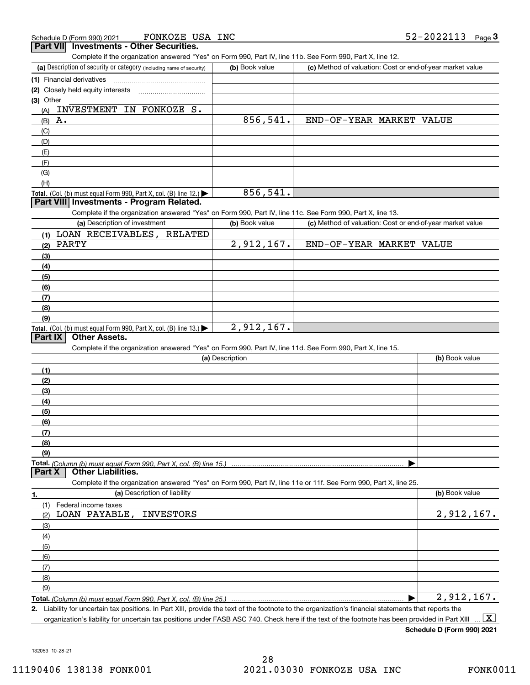| Schedule D (Form 990) 2021 | FONKOZE USA INC |  |
|----------------------------|-----------------|--|
|                            |                 |  |

| FONKOZE USA INC<br>Schedule D (Form 990) 2021                                                                     |                 |                                                           | 52-2022113 $_{Page}$ 3 |
|-------------------------------------------------------------------------------------------------------------------|-----------------|-----------------------------------------------------------|------------------------|
| Part VII Investments - Other Securities.                                                                          |                 |                                                           |                        |
| Complete if the organization answered "Yes" on Form 990, Part IV, line 11b. See Form 990, Part X, line 12.        |                 |                                                           |                        |
| (a) Description of security or category (including name of security)                                              | (b) Book value  | (c) Method of valuation: Cost or end-of-year market value |                        |
| (1) Financial derivatives                                                                                         |                 |                                                           |                        |
| (2) Closely held equity interests                                                                                 |                 |                                                           |                        |
| (3) Other                                                                                                         |                 |                                                           |                        |
| INVESTMENT IN FONKOZE S.<br>(A)                                                                                   |                 |                                                           |                        |
| $(B)$ $A.$                                                                                                        | 856,541.        | END-OF-YEAR MARKET VALUE                                  |                        |
| (C)                                                                                                               |                 |                                                           |                        |
| (D)                                                                                                               |                 |                                                           |                        |
| (E)                                                                                                               |                 |                                                           |                        |
| (F)                                                                                                               |                 |                                                           |                        |
| (G)                                                                                                               |                 |                                                           |                        |
| (H)                                                                                                               |                 |                                                           |                        |
| Total. (Col. (b) must equal Form 990, Part X, col. (B) line 12.)                                                  | 856,541.        |                                                           |                        |
| Part VIII Investments - Program Related.                                                                          |                 |                                                           |                        |
| Complete if the organization answered "Yes" on Form 990, Part IV, line 11c. See Form 990, Part X, line 13.        |                 |                                                           |                        |
| (a) Description of investment                                                                                     | (b) Book value  | (c) Method of valuation: Cost or end-of-year market value |                        |
| (1) LOAN RECEIVABLES, RELATED                                                                                     |                 |                                                           |                        |
| $(2)$ PARTY                                                                                                       | 2,912,167.      | END-OF-YEAR MARKET VALUE                                  |                        |
| (3)                                                                                                               |                 |                                                           |                        |
| (4)                                                                                                               |                 |                                                           |                        |
| (5)                                                                                                               |                 |                                                           |                        |
| (6)                                                                                                               |                 |                                                           |                        |
| (7)                                                                                                               |                 |                                                           |                        |
| (8)                                                                                                               |                 |                                                           |                        |
| (9)                                                                                                               |                 |                                                           |                        |
| Total. (Col. (b) must equal Form 990, Part X, col. (B) line 13.)                                                  | 2,912,167.      |                                                           |                        |
| <b>Other Assets.</b><br>Part IX                                                                                   |                 |                                                           |                        |
| Complete if the organization answered "Yes" on Form 990, Part IV, line 11d. See Form 990, Part X, line 15.        |                 |                                                           |                        |
|                                                                                                                   | (a) Description |                                                           | (b) Book value         |
| (1)                                                                                                               |                 |                                                           |                        |
| (2)                                                                                                               |                 |                                                           |                        |
|                                                                                                                   |                 |                                                           |                        |
| (3)                                                                                                               |                 |                                                           |                        |
| (4)                                                                                                               |                 |                                                           |                        |
| (5)<br>(6)                                                                                                        |                 |                                                           |                        |
|                                                                                                                   |                 |                                                           |                        |
| (7)                                                                                                               |                 |                                                           |                        |
| (8)                                                                                                               |                 |                                                           |                        |
| (9)                                                                                                               |                 |                                                           |                        |
| Total. (Column (b) must equal Form 990, Part X, col. (B) line 15.)<br><b>Other Liabilities.</b><br>Part X         |                 |                                                           |                        |
| Complete if the organization answered "Yes" on Form 990, Part IV, line 11e or 11f. See Form 990, Part X, line 25. |                 |                                                           |                        |
|                                                                                                                   |                 |                                                           |                        |
| (a) Description of liability<br>1.                                                                                |                 |                                                           | (b) Book value         |
| (1)<br>Federal income taxes                                                                                       |                 |                                                           |                        |
| LOAN PAYABLE,<br><b>INVESTORS</b><br>(2)                                                                          |                 |                                                           | 2,912,167.             |
| (3)                                                                                                               |                 |                                                           |                        |
| (4)                                                                                                               |                 |                                                           |                        |
| (5)                                                                                                               |                 |                                                           |                        |
| (6)                                                                                                               |                 |                                                           |                        |
| (7)                                                                                                               |                 |                                                           |                        |
| (8)                                                                                                               |                 |                                                           |                        |
| (9)                                                                                                               |                 |                                                           |                        |
| Total. (Column (b) must equal Form 990. Part X, col. (B) line 25.)                                                |                 |                                                           | 2,912,167.             |

**2.** Liability for uncertain tax positions. In Part XIII, provide the text of the footnote to the organization's financial statements that reports the

organization's liability for uncertain tax positions under FASB ASC 740. Check here if the text of the footnote has been provided in Part XIII  $\boxed{\text{X}}$ 

**Schedule D (Form 990) 2021**

132053 10-28-21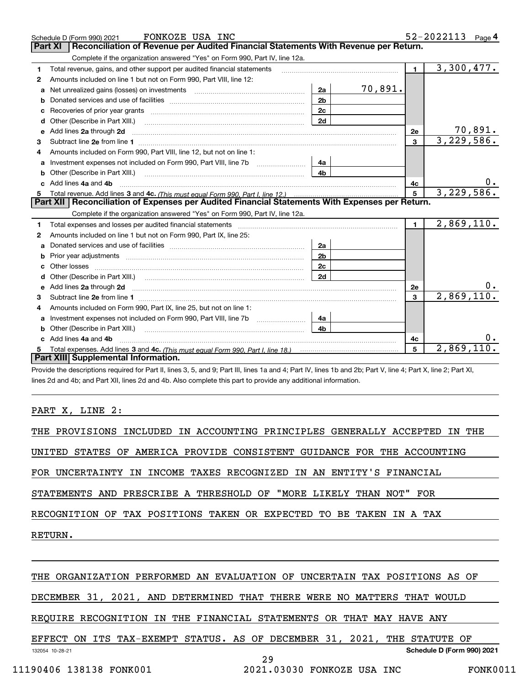|              | FONKOZE USA INC<br>Schedule D (Form 990) 2021                                                                                                                                                                                       |                |         |                | $52 - 2022113$ Page 4 |         |
|--------------|-------------------------------------------------------------------------------------------------------------------------------------------------------------------------------------------------------------------------------------|----------------|---------|----------------|-----------------------|---------|
|              | Reconciliation of Revenue per Audited Financial Statements With Revenue per Return.<br>Part XI                                                                                                                                      |                |         |                |                       |         |
|              | Complete if the organization answered "Yes" on Form 990, Part IV, line 12a.                                                                                                                                                         |                |         |                |                       |         |
| 1            | Total revenue, gains, and other support per audited financial statements                                                                                                                                                            |                |         | 1 <sup>1</sup> | 3,300,477.            |         |
| $\mathbf{2}$ | Amounts included on line 1 but not on Form 990, Part VIII, line 12:                                                                                                                                                                 |                |         |                |                       |         |
|              |                                                                                                                                                                                                                                     | 2a             | 70,891. |                |                       |         |
| b            |                                                                                                                                                                                                                                     | 2 <sub>b</sub> |         |                |                       |         |
| c            |                                                                                                                                                                                                                                     | 2c             |         |                |                       |         |
| d            | Other (Describe in Part XIII.)                                                                                                                                                                                                      | 2d             |         |                |                       |         |
| е            | Add lines 2a through 2d                                                                                                                                                                                                             |                |         | <b>2e</b>      |                       | 70,891. |
| 3            |                                                                                                                                                                                                                                     |                |         | 3              | 3,229,586.            |         |
|              | Amounts included on Form 990, Part VIII, line 12, but not on line 1:                                                                                                                                                                |                |         |                |                       |         |
| a            |                                                                                                                                                                                                                                     | 4a             |         |                |                       |         |
| b            | Other (Describe in Part XIII.) [100] [100] [100] [100] [100] [100] [100] [100] [100] [100] [100] [100] [100] [                                                                                                                      | 4b             |         |                |                       |         |
|              | Add lines 4a and 4b                                                                                                                                                                                                                 |                |         | 4c             |                       |         |
| 5            |                                                                                                                                                                                                                                     |                |         | 5              | 3,229,586.            |         |
|              | Part XII   Reconciliation of Expenses per Audited Financial Statements With Expenses per Return.                                                                                                                                    |                |         |                |                       |         |
|              | Complete if the organization answered "Yes" on Form 990, Part IV, line 12a.                                                                                                                                                         |                |         |                |                       |         |
| 1            |                                                                                                                                                                                                                                     |                |         | $\mathbf{1}$   | 2,869,110.            |         |
| 2            | Amounts included on line 1 but not on Form 990, Part IX, line 25:                                                                                                                                                                   |                |         |                |                       |         |
| a            |                                                                                                                                                                                                                                     | 2a             |         |                |                       |         |
| b            |                                                                                                                                                                                                                                     | 2 <sub>b</sub> |         |                |                       |         |
| c            | Other losses <b>with a construction of the construction of the construction of the construction</b>                                                                                                                                 | 2c             |         |                |                       |         |
| d            |                                                                                                                                                                                                                                     | 2d             |         |                |                       |         |
|              |                                                                                                                                                                                                                                     |                |         | 2e             |                       |         |
| з            |                                                                                                                                                                                                                                     |                |         | 3              | 2,869,110.            |         |
| 4            | Amounts included on Form 990, Part IX, line 25, but not on line 1:                                                                                                                                                                  |                |         |                |                       |         |
| a            | Investment expenses not included on Form 990, Part VIII, line 7b [1000000000000000000000000000000000                                                                                                                                | 4a             |         |                |                       |         |
| b            | Other (Describe in Part XIII.) <b>Construction Contract Construction</b> Chemical Construction Chemical Chemical Chemical Chemical Chemical Chemical Chemical Chemical Chemical Chemical Chemical Chemical Chemical Chemical Chemic | 4b.            |         |                |                       |         |
|              | c Add lines 4a and 4b                                                                                                                                                                                                               |                |         | 4c             |                       | υ.      |
|              |                                                                                                                                                                                                                                     |                |         | 5              | 2,869,110.            |         |
|              | Part XIII Supplemental Information.                                                                                                                                                                                                 |                |         |                |                       |         |

Provide the descriptions required for Part II, lines 3, 5, and 9; Part III, lines 1a and 4; Part IV, lines 1b and 2b; Part V, line 4; Part X, line 2; Part XI, lines 2d and 4b; and Part XII, lines 2d and 4b. Also complete this part to provide any additional information.

#### PART X, LINE 2:

| THE PROVISIONS INCLUDED IN ACCOUNTING PRINCIPLES GENERALLY ACCEPTED IN THE |
|----------------------------------------------------------------------------|
| UNITED STATES OF AMERICA PROVIDE CONSISTENT GUIDANCE FOR THE ACCOUNTING    |
| FOR UNCERTAINTY IN INCOME TAXES RECOGNIZED IN AN ENTITY'S FINANCIAL        |
| STATEMENTS AND PRESCRIBE A THRESHOLD OF "MORE LIKELY THAN NOT" FOR         |
| RECOGNITION OF TAX POSITIONS TAKEN OR EXPECTED TO BE TAKEN<br>IN A TAX     |
| RETURN.                                                                    |
|                                                                            |
| THE ORGANIZATION PERFORMED AN EVALUATION OF UNCERTAIN TAX POSITIONS AS OF  |
| DECEMBER 31, 2021, AND DETERMINED THAT THERE WERE NO MATTERS THAT WOULD    |
| REQUIRE RECOGNITION IN THE FINANCIAL STATEMENTS OR THAT MAY HAVE ANY       |
|                                                                            |

132054 10-28-21 **Schedule D (Form 990) 2021** EFFECT ON ITS TAX-EXEMPT STATUS. AS OF DECEMBER 31, 2021, THE STATUTE OF 29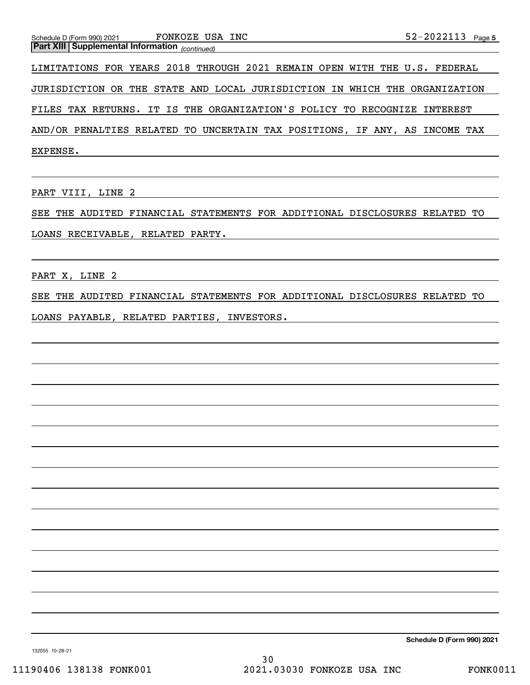LIMITATIONS FOR YEARS 2018 THROUGH 2021 REMAIN OPEN WITH THE U.S. FEDERAL JURISDICTION OR THE STATE AND LOCAL JURISDICTION IN WHICH THE ORGANIZATION FILES TAX RETURNS. IT IS THE ORGANIZATION'S POLICY TO RECOGNIZE INTEREST AND/OR PENALTIES RELATED TO UNCERTAIN TAX POSITIONS, IF ANY, AS INCOME TAX EXPENSE.

PART VIII, LINE 2

SEE THE AUDITED FINANCIAL STATEMENTS FOR ADDITIONAL DISCLOSURES RELATED TO LOANS RECEIVABLE, RELATED PARTY.

PART X, LINE 2

SEE THE AUDITED FINANCIAL STATEMENTS FOR ADDITIONAL DISCLOSURES RELATED TO

LOANS PAYABLE, RELATED PARTIES, INVESTORS.

**Schedule D (Form 990) 2021**

132055 10-28-21

30 11190406 138138 FONK001 2021.03030 FONKOZE USA INC FONK0011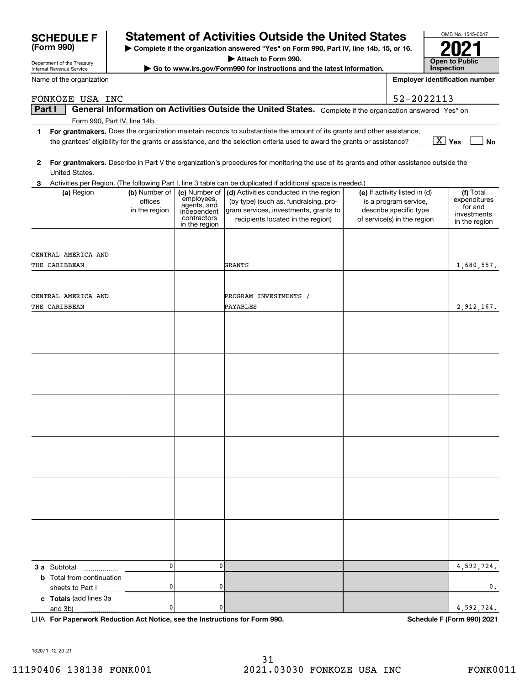|    | FONKOZE USA INC                       |               |                            |                                                                                                                                         | 52-2022113                    |                                     |
|----|---------------------------------------|---------------|----------------------------|-----------------------------------------------------------------------------------------------------------------------------------------|-------------------------------|-------------------------------------|
|    | Part I                                |               |                            | General Information on Activities Outside the United States. Complete if the organization answered "Yes" on                             |                               |                                     |
|    | Form 990, Part IV, line 14b.          |               |                            |                                                                                                                                         |                               |                                     |
| 1. |                                       |               |                            | For grantmakers. Does the organization maintain records to substantiate the amount of its grants and other assistance,                  |                               |                                     |
|    |                                       |               |                            | the grantees' eligibility for the grants or assistance, and the selection criteria used to award the grants or assistance?              |                               | $\boxed{\text{X}}$ Yes<br><b>No</b> |
|    |                                       |               |                            |                                                                                                                                         |                               |                                     |
| 2  |                                       |               |                            | For grantmakers. Describe in Part V the organization's procedures for monitoring the use of its grants and other assistance outside the |                               |                                     |
|    | United States.                        |               |                            |                                                                                                                                         |                               |                                     |
| 3  |                                       |               |                            | Activities per Region. (The following Part I, line 3 table can be duplicated if additional space is needed.)                            |                               |                                     |
|    | (a) Region                            | (b) Number of | (c) Number of              | (d) Activities conducted in the region                                                                                                  | (e) If activity listed in (d) | (f) Total                           |
|    |                                       | offices       | employees,<br>agents, and  | (by type) (such as, fundraising, pro-                                                                                                   | is a program service,         | expenditures<br>for and             |
|    |                                       | in the region | independent<br>contractors | gram services, investments, grants to                                                                                                   | describe specific type        | investments                         |
|    |                                       |               | in the region              | recipients located in the region)                                                                                                       | of service(s) in the region   | in the region                       |
|    |                                       |               |                            |                                                                                                                                         |                               |                                     |
|    |                                       |               |                            |                                                                                                                                         |                               |                                     |
|    | CENTRAL AMERICA AND                   |               |                            |                                                                                                                                         |                               |                                     |
|    | THE CARIBBEAN                         |               |                            | GRANTS                                                                                                                                  |                               | 1,680,557.                          |
|    |                                       |               |                            |                                                                                                                                         |                               |                                     |
|    |                                       |               |                            |                                                                                                                                         |                               |                                     |
|    | CENTRAL AMERICA AND                   |               |                            | PROGRAM INVESTMENTS /                                                                                                                   |                               |                                     |
|    | THE CARIBBEAN                         |               |                            | PAYABLES                                                                                                                                |                               | 2,912,167.                          |
|    |                                       |               |                            |                                                                                                                                         |                               |                                     |
|    |                                       |               |                            |                                                                                                                                         |                               |                                     |
|    |                                       |               |                            |                                                                                                                                         |                               |                                     |
|    |                                       |               |                            |                                                                                                                                         |                               |                                     |
|    |                                       |               |                            |                                                                                                                                         |                               |                                     |
|    |                                       |               |                            |                                                                                                                                         |                               |                                     |
|    |                                       |               |                            |                                                                                                                                         |                               |                                     |
|    |                                       |               |                            |                                                                                                                                         |                               |                                     |
|    |                                       |               |                            |                                                                                                                                         |                               |                                     |
|    |                                       |               |                            |                                                                                                                                         |                               |                                     |
|    |                                       |               |                            |                                                                                                                                         |                               |                                     |
|    |                                       |               |                            |                                                                                                                                         |                               |                                     |
|    |                                       |               |                            |                                                                                                                                         |                               |                                     |
|    |                                       |               |                            |                                                                                                                                         |                               |                                     |
|    |                                       |               |                            |                                                                                                                                         |                               |                                     |
|    |                                       |               |                            |                                                                                                                                         |                               |                                     |
|    |                                       |               |                            |                                                                                                                                         |                               |                                     |
|    |                                       |               |                            |                                                                                                                                         |                               |                                     |
|    |                                       |               |                            |                                                                                                                                         |                               |                                     |
|    |                                       |               |                            |                                                                                                                                         |                               |                                     |
|    |                                       |               |                            |                                                                                                                                         |                               |                                     |
|    |                                       |               |                            |                                                                                                                                         |                               |                                     |
|    |                                       |               |                            |                                                                                                                                         |                               |                                     |
|    |                                       |               |                            |                                                                                                                                         |                               |                                     |
|    | 3 a Subtotal                          | 0             | 0                          |                                                                                                                                         |                               | 4,592,724.                          |
|    | .<br><b>b</b> Total from continuation |               |                            |                                                                                                                                         |                               |                                     |
|    | sheets to Part I                      | 0             | 0                          |                                                                                                                                         |                               | 0.                                  |
|    | c Totals (add lines 3a                |               |                            |                                                                                                                                         |                               |                                     |
|    | and 3b)                               | 0             | 0                          |                                                                                                                                         |                               | 4,592,724.                          |

**| Complete if the organization answered "Yes" on Form 990, Part IV, line 14b, 15, or 16. | Attach to Form 990. | Go to www.irs.gov/Form990 for instructions and the latest information.**

**Statement of Activities Outside the United States** 

LHA For Paperwork Reduction Act Notice, see the Instructions for Form 990. Schedule F (Form 990) 2021

OMB No. 1545-0047

**2021**

**Open to Public InspectionEmployer identification number**

132071 12-20-21

Department of the Treasury Internal Revenue Service

**(Form 990)**

Name of the organization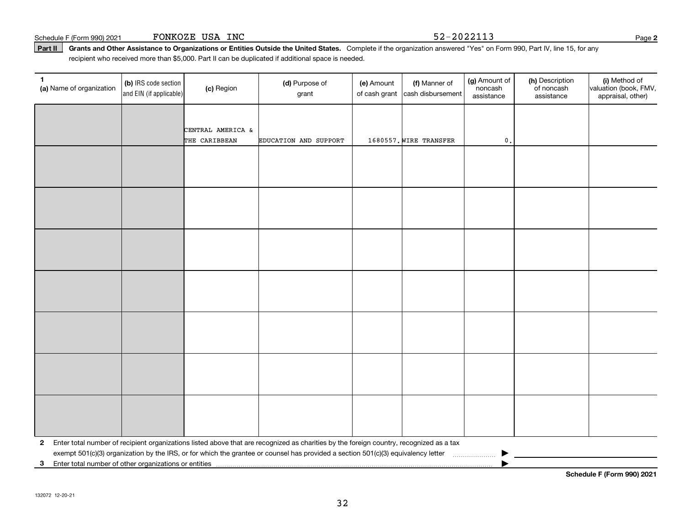| Part II<br>Grants and Other Assistance to Organizations or Entities Outside the United States. Complete if the organization answered "Yes" on Form 990, Part IV, line 15, for any<br>recipient who received more than \$5,000. Part II can be duplicated if additional space is needed. |                          |                                                                     |            |                                                      |            |                                                   |                                |                               |                        |  |
|-----------------------------------------------------------------------------------------------------------------------------------------------------------------------------------------------------------------------------------------------------------------------------------------|--------------------------|---------------------------------------------------------------------|------------|------------------------------------------------------|------------|---------------------------------------------------|--------------------------------|-------------------------------|------------------------|--|
|                                                                                                                                                                                                                                                                                         | (a) Name of organization | $\vert$ (b) IRS code section $\vert$<br>$ $ ond EIN (if opplieghlo) | (c) Region | (d) Purpose of<br>$\sim$ $\sim$ $\sim$ $\sim$ $\sim$ | (e) Amount | (f) Manner of<br>of soop groot Loogh digh usement | <b>g)</b> Amount of<br>noncash | (h) Description<br>of noncash | (i)<br><i>Ivaluati</i> |  |

| 1<br>(a) Name of organization | (b) IRS code section<br>and EIN (if applicable) | (c) Region        | (d) Purpose of<br>grant                                                                                                                 | (e) Amount<br>of cash grant | (f) Manner of<br>cash disbursement | (g) Amount of<br>noncash<br>assistance | (h) Description<br>of noncash<br>assistance | (i) Method of<br>valuation (book, FMV,<br>appraisal, other) |
|-------------------------------|-------------------------------------------------|-------------------|-----------------------------------------------------------------------------------------------------------------------------------------|-----------------------------|------------------------------------|----------------------------------------|---------------------------------------------|-------------------------------------------------------------|
|                               |                                                 |                   |                                                                                                                                         |                             |                                    |                                        |                                             |                                                             |
|                               |                                                 | CENTRAL AMERICA & |                                                                                                                                         |                             |                                    |                                        |                                             |                                                             |
|                               |                                                 | THE CARIBBEAN     | EDUCATION AND SUPPORT                                                                                                                   |                             | 1680557. WIRE TRANSFER             | $\mathbf{0}$                           |                                             |                                                             |
|                               |                                                 |                   |                                                                                                                                         |                             |                                    |                                        |                                             |                                                             |
|                               |                                                 |                   |                                                                                                                                         |                             |                                    |                                        |                                             |                                                             |
|                               |                                                 |                   |                                                                                                                                         |                             |                                    |                                        |                                             |                                                             |
|                               |                                                 |                   |                                                                                                                                         |                             |                                    |                                        |                                             |                                                             |
|                               |                                                 |                   |                                                                                                                                         |                             |                                    |                                        |                                             |                                                             |
|                               |                                                 |                   |                                                                                                                                         |                             |                                    |                                        |                                             |                                                             |
|                               |                                                 |                   |                                                                                                                                         |                             |                                    |                                        |                                             |                                                             |
|                               |                                                 |                   |                                                                                                                                         |                             |                                    |                                        |                                             |                                                             |
|                               |                                                 |                   |                                                                                                                                         |                             |                                    |                                        |                                             |                                                             |
|                               |                                                 |                   |                                                                                                                                         |                             |                                    |                                        |                                             |                                                             |
|                               |                                                 |                   |                                                                                                                                         |                             |                                    |                                        |                                             |                                                             |
|                               |                                                 |                   |                                                                                                                                         |                             |                                    |                                        |                                             |                                                             |
|                               |                                                 |                   |                                                                                                                                         |                             |                                    |                                        |                                             |                                                             |
|                               |                                                 |                   |                                                                                                                                         |                             |                                    |                                        |                                             |                                                             |
|                               |                                                 |                   |                                                                                                                                         |                             |                                    |                                        |                                             |                                                             |
|                               |                                                 |                   |                                                                                                                                         |                             |                                    |                                        |                                             |                                                             |
|                               |                                                 |                   |                                                                                                                                         |                             |                                    |                                        |                                             |                                                             |
|                               |                                                 |                   |                                                                                                                                         |                             |                                    |                                        |                                             |                                                             |
|                               |                                                 |                   |                                                                                                                                         |                             |                                    |                                        |                                             |                                                             |
|                               |                                                 |                   |                                                                                                                                         |                             |                                    |                                        |                                             |                                                             |
|                               |                                                 |                   |                                                                                                                                         |                             |                                    |                                        |                                             |                                                             |
|                               |                                                 |                   |                                                                                                                                         |                             |                                    |                                        |                                             |                                                             |
|                               |                                                 |                   |                                                                                                                                         |                             |                                    |                                        |                                             |                                                             |
|                               |                                                 |                   |                                                                                                                                         |                             |                                    |                                        |                                             |                                                             |
|                               |                                                 |                   |                                                                                                                                         |                             |                                    |                                        |                                             |                                                             |
| $\mathbf{2}$                  |                                                 |                   | Enter total number of recipient organizations listed above that are recognized as charities by the foreign country, recognized as a tax |                             |                                    |                                        |                                             |                                                             |
|                               |                                                 |                   | exempt 501(c)(3) organization by the IRS, or for which the grantee or counsel has provided a section 501(c)(3) equivalency letter       |                             |                                    |                                        |                                             |                                                             |
| 3                             |                                                 |                   |                                                                                                                                         |                             |                                    |                                        |                                             |                                                             |

**2**

Schedule F (Form 990) 2021 FONKOZE USA INC 52-2022113 FONKOZE USA INC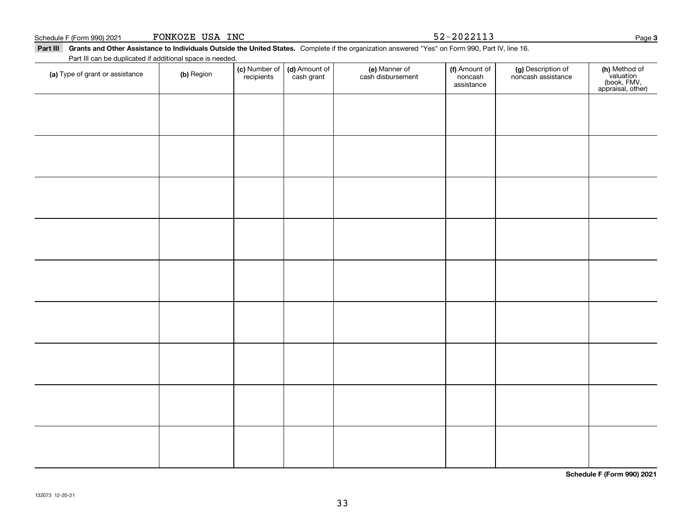(d) Amount of cash grant

**(c)** Number of **| (d)** Amount of **| (e)** Manner of **| (f)** Amount of **| (g)** Description of **| (h)** 

(f) Amount of noncashassistance

noncash assistance

(e) Manner of cash disbursement

Part III Grants and Other Assistance to Individuals Outside the United States. Complete if the organization answered "Yes" on Form 990, Part IV, line 16. Part III can be duplicated if additional space is needed.

> (c) Number of *recipients*

**(h)** Method of<br>valuation<br>(book, FMV,<br>appraisal, other)

**Schedule F (Form 990) 2021**

Schedule F (Form 990) 2021 **FONKOZE USA INC** 5 2-2 0 2 2 1 1 3 Page

**(a)** Type of grant or assistance  $\qquad$  **(b)** Region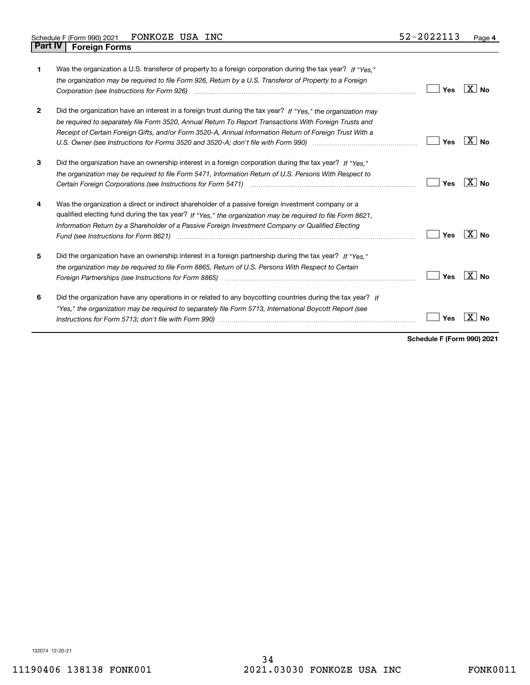| 1            | Was the organization a U.S. transferor of property to a foreign corporation during the tax year? If "Yes."<br>the organization may be required to file Form 926, Return by a U.S. Transferor of Property to a Foreign<br>Corporation (see Instructions for Form 926) <i>manual content content corporation</i> (see Instructions for Form 926) | Yes | ∣X∣No                      |
|--------------|------------------------------------------------------------------------------------------------------------------------------------------------------------------------------------------------------------------------------------------------------------------------------------------------------------------------------------------------|-----|----------------------------|
| $\mathbf{2}$ | Did the organization have an interest in a foreign trust during the tax year? If "Yes." the organization may<br>be required to separately file Form 3520, Annual Return To Report Transactions With Foreign Trusts and<br>Receipt of Certain Foreign Gifts, and/or Form 3520-A, Annual Information Return of Foreign Trust With a              | Yes | $\mathbf{X}$<br><b>No</b>  |
| 3            | Did the organization have an ownership interest in a foreign corporation during the tax year? If "Yes."<br>the organization may be required to file Form 5471, Information Return of U.S. Persons With Respect to                                                                                                                              | Yes | $X \mid N_0$               |
| 4            | Was the organization a direct or indirect shareholder of a passive foreign investment company or a<br>qualified electing fund during the tax year? If "Yes," the organization may be required to file Form 8621,<br>Information Return by a Shareholder of a Passive Foreign Investment Company or Qualified Electing                          | Yes | $\overline{\text{X}}$   No |
| 5            | Did the organization have an ownership interest in a foreign partnership during the tax year? If "Yes."<br>the organization may be required to file Form 8865, Return of U.S. Persons With Respect to Certain<br>Foreign Partnerships (see Instructions for Form 8865) <i>manual content content content content content content</i> co        | Yes | X∣No                       |
| 6            | Did the organization have any operations in or related to any boycotting countries during the tax year? If<br>"Yes," the organization may be required to separately file Form 5713, International Boycott Report (see                                                                                                                          | Yes |                            |

**Schedule F (Form 990) 2021**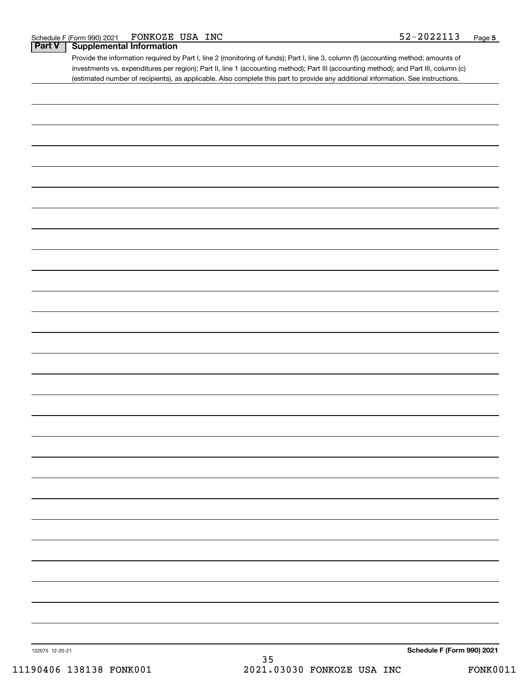| Schedule F (Form 990) 2021 | FONKOZE USA<br>INC | 52-2022113 | Page |
|----------------------------|--------------------|------------|------|
|----------------------------|--------------------|------------|------|

#### **Part V Supplemental Information**

Provide the information required by Part I, line 2 (monitoring of funds); Part I, line 3, column (f) (accounting method; amounts of investments vs. expenditures per region); Part II, line 1 (accounting method); Part III (accounting method); and Part III, column (c) (estimated number of recipients), as applicable. Also complete this part to provide any additional information. See instructions.

| 132075 12-20-21 | Schedule F (Form 990) 2021<br>$\Omega$ $\Gamma$ |
|-----------------|-------------------------------------------------|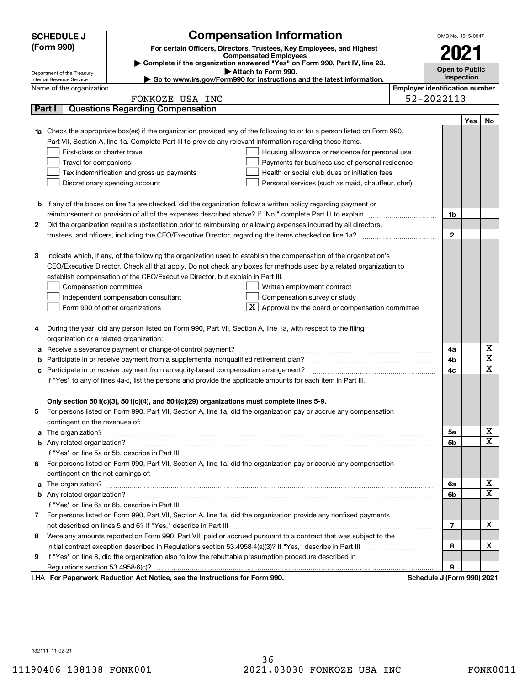| <b>SCHEDULE J</b>                       | <b>Compensation Information</b>                                                                                                                                                                                                      |  | OMB No. 1545-0047                     |                                     |                              |  |  |  |  |
|-----------------------------------------|--------------------------------------------------------------------------------------------------------------------------------------------------------------------------------------------------------------------------------------|--|---------------------------------------|-------------------------------------|------------------------------|--|--|--|--|
| (Form 990)                              | For certain Officers, Directors, Trustees, Key Employees, and Highest                                                                                                                                                                |  | 2021                                  |                                     |                              |  |  |  |  |
|                                         | <b>Compensated Employees</b><br>Complete if the organization answered "Yes" on Form 990, Part IV, line 23.                                                                                                                           |  |                                       |                                     |                              |  |  |  |  |
| Department of the Treasury              | Attach to Form 990.                                                                                                                                                                                                                  |  |                                       | <b>Open to Public</b><br>Inspection |                              |  |  |  |  |
| Internal Revenue Service                | Go to www.irs.gov/Form990 for instructions and the latest information.                                                                                                                                                               |  |                                       |                                     |                              |  |  |  |  |
| Name of the organization                |                                                                                                                                                                                                                                      |  | <b>Employer identification number</b> |                                     |                              |  |  |  |  |
| Part I                                  | FONKOZE USA INC<br><b>Questions Regarding Compensation</b>                                                                                                                                                                           |  | 52-2022113                            |                                     |                              |  |  |  |  |
|                                         |                                                                                                                                                                                                                                      |  |                                       |                                     |                              |  |  |  |  |
|                                         |                                                                                                                                                                                                                                      |  |                                       | Yes                                 | No                           |  |  |  |  |
|                                         | Check the appropriate box(es) if the organization provided any of the following to or for a person listed on Form 990,                                                                                                               |  |                                       |                                     |                              |  |  |  |  |
| First-class or charter travel           | Part VII, Section A, line 1a. Complete Part III to provide any relevant information regarding these items.                                                                                                                           |  |                                       |                                     |                              |  |  |  |  |
| Travel for companions                   | Housing allowance or residence for personal use<br>Payments for business use of personal residence                                                                                                                                   |  |                                       |                                     |                              |  |  |  |  |
|                                         | Health or social club dues or initiation fees<br>Tax indemnification and gross-up payments                                                                                                                                           |  |                                       |                                     |                              |  |  |  |  |
|                                         | Discretionary spending account<br>Personal services (such as maid, chauffeur, chef)                                                                                                                                                  |  |                                       |                                     |                              |  |  |  |  |
|                                         |                                                                                                                                                                                                                                      |  |                                       |                                     |                              |  |  |  |  |
|                                         | <b>b</b> If any of the boxes on line 1a are checked, did the organization follow a written policy regarding payment or                                                                                                               |  |                                       |                                     |                              |  |  |  |  |
|                                         |                                                                                                                                                                                                                                      |  | 1b                                    |                                     |                              |  |  |  |  |
| 2                                       | Did the organization require substantiation prior to reimbursing or allowing expenses incurred by all directors,                                                                                                                     |  |                                       |                                     |                              |  |  |  |  |
|                                         |                                                                                                                                                                                                                                      |  | $\mathbf{2}$                          |                                     |                              |  |  |  |  |
|                                         |                                                                                                                                                                                                                                      |  |                                       |                                     |                              |  |  |  |  |
| З                                       | Indicate which, if any, of the following the organization used to establish the compensation of the organization's                                                                                                                   |  |                                       |                                     |                              |  |  |  |  |
|                                         | CEO/Executive Director. Check all that apply. Do not check any boxes for methods used by a related organization to                                                                                                                   |  |                                       |                                     |                              |  |  |  |  |
|                                         | establish compensation of the CEO/Executive Director, but explain in Part III.                                                                                                                                                       |  |                                       |                                     |                              |  |  |  |  |
| Compensation committee                  | Written employment contract                                                                                                                                                                                                          |  |                                       |                                     |                              |  |  |  |  |
|                                         | Compensation survey or study<br>Independent compensation consultant                                                                                                                                                                  |  |                                       |                                     |                              |  |  |  |  |
|                                         | $\boxed{\textbf{X}}$ Approval by the board or compensation committee<br>Form 990 of other organizations                                                                                                                              |  |                                       |                                     |                              |  |  |  |  |
|                                         |                                                                                                                                                                                                                                      |  |                                       |                                     |                              |  |  |  |  |
| 4                                       | During the year, did any person listed on Form 990, Part VII, Section A, line 1a, with respect to the filing                                                                                                                         |  |                                       |                                     |                              |  |  |  |  |
| organization or a related organization: |                                                                                                                                                                                                                                      |  |                                       |                                     |                              |  |  |  |  |
| а                                       | Receive a severance payment or change-of-control payment?                                                                                                                                                                            |  | 4a                                    |                                     | Χ                            |  |  |  |  |
|                                         | Participate in or receive payment from a supplemental nonqualified retirement plan?                                                                                                                                                  |  | 4b                                    |                                     | $\overline{\textbf{X}}$      |  |  |  |  |
|                                         | Participate in or receive payment from an equity-based compensation arrangement?                                                                                                                                                     |  | 4c                                    |                                     | $\mathbf X$                  |  |  |  |  |
|                                         | If "Yes" to any of lines 4a-c, list the persons and provide the applicable amounts for each item in Part III.                                                                                                                        |  |                                       |                                     |                              |  |  |  |  |
|                                         |                                                                                                                                                                                                                                      |  |                                       |                                     |                              |  |  |  |  |
|                                         | Only section 501(c)(3), 501(c)(4), and 501(c)(29) organizations must complete lines 5-9.                                                                                                                                             |  |                                       |                                     |                              |  |  |  |  |
|                                         | For persons listed on Form 990, Part VII, Section A, line 1a, did the organization pay or accrue any compensation                                                                                                                    |  |                                       |                                     |                              |  |  |  |  |
| contingent on the revenues of:          |                                                                                                                                                                                                                                      |  |                                       |                                     |                              |  |  |  |  |
| a                                       |                                                                                                                                                                                                                                      |  | 5a                                    |                                     | x                            |  |  |  |  |
|                                         |                                                                                                                                                                                                                                      |  | 5b                                    |                                     | $\overline{\mathbf{x}}$      |  |  |  |  |
|                                         | If "Yes" on line 5a or 5b, describe in Part III.                                                                                                                                                                                     |  |                                       |                                     |                              |  |  |  |  |
|                                         | 6 For persons listed on Form 990, Part VII, Section A, line 1a, did the organization pay or accrue any compensation                                                                                                                  |  |                                       |                                     |                              |  |  |  |  |
| contingent on the net earnings of:      |                                                                                                                                                                                                                                      |  |                                       |                                     |                              |  |  |  |  |
| a                                       | The organization? <b>With the contract of the contract of the contract of the contract of the contract of the contract of the contract of the contract of the contract of the contract of the contract of the contract of the co</b> |  | 6a                                    |                                     | х<br>$\overline{\mathbf{x}}$ |  |  |  |  |
|                                         |                                                                                                                                                                                                                                      |  | 6b                                    |                                     |                              |  |  |  |  |
|                                         | If "Yes" on line 6a or 6b, describe in Part III.                                                                                                                                                                                     |  |                                       |                                     |                              |  |  |  |  |
|                                         | 7 For persons listed on Form 990, Part VII, Section A, line 1a, did the organization provide any nonfixed payments                                                                                                                   |  |                                       |                                     |                              |  |  |  |  |
|                                         |                                                                                                                                                                                                                                      |  | 7                                     |                                     | х                            |  |  |  |  |
| 8                                       | Were any amounts reported on Form 990, Part VII, paid or accrued pursuant to a contract that was subject to the                                                                                                                      |  |                                       |                                     |                              |  |  |  |  |
|                                         | initial contract exception described in Regulations section 53.4958-4(a)(3)? If "Yes," describe in Part III                                                                                                                          |  | 8                                     |                                     | х                            |  |  |  |  |
| 9                                       | If "Yes" on line 8, did the organization also follow the rebuttable presumption procedure described in                                                                                                                               |  |                                       |                                     |                              |  |  |  |  |
|                                         | LHA For Paperwork Reduction Act Notice, see the Instructions for Form 990.                                                                                                                                                           |  | 9                                     |                                     |                              |  |  |  |  |
|                                         |                                                                                                                                                                                                                                      |  | Schedule J (Form 990) 2021            |                                     |                              |  |  |  |  |

132111 11-02-21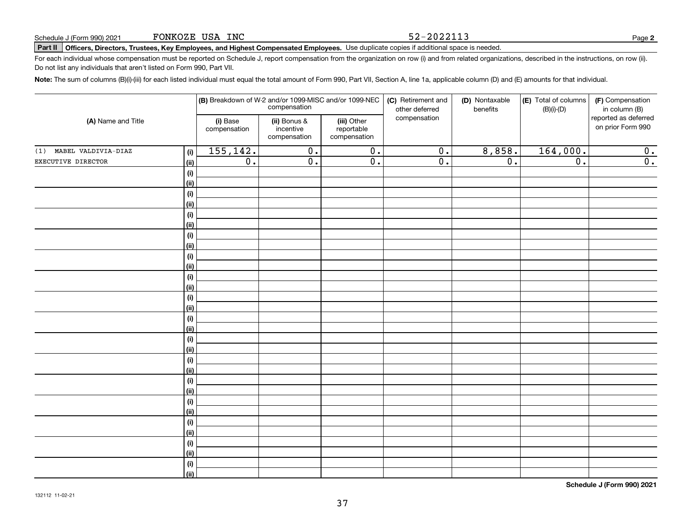#### 52-2022113

**2**

# Page Schedule J (Form 990) 2021 Page Line of CONKOZE USA INC<br>Part II │ Officers, Directors, Trustees, Key Employees, and Highest Compensated Employees. Use duplicate copies if additional space is needed.

For each individual whose compensation must be reported on Schedule J, report compensation from the organization on row (i) and from related organizations, described in the instructions, on row (ii). Do not list any individuals that aren't listed on Form 990, Part VII.

**Note:**  The sum of columns (B)(i)-(iii) for each listed individual must equal the total amount of Form 990, Part VII, Section A, line 1a, applicable column (D) and (E) amounts for that individual.

|                         |                              | (B) Breakdown of W-2 and/or 1099-MISC and/or 1099-NEC<br>compensation |                                           |                                           | (C) Retirement and<br>other deferred | (D) Nontaxable<br>benefits | (E) Total of columns<br>$(B)(i)-(D)$ | (F) Compensation<br>in column (B)         |
|-------------------------|------------------------------|-----------------------------------------------------------------------|-------------------------------------------|-------------------------------------------|--------------------------------------|----------------------------|--------------------------------------|-------------------------------------------|
| (A) Name and Title      |                              | (i) Base<br>compensation                                              | (ii) Bonus &<br>incentive<br>compensation | (iii) Other<br>reportable<br>compensation | compensation                         |                            |                                      | reported as deferred<br>on prior Form 990 |
| (1) MABEL VALDIVIA-DIAZ | (i)                          | 155, 142.                                                             | $\overline{0}$ .                          | $\overline{0}$ .                          | $\overline{0}$ .                     | 8,858.                     | 164,000.                             | 0.                                        |
| EXECUTIVE DIRECTOR      | <u>(ii)</u>                  | $\overline{0}$ .                                                      | $\overline{0}$ .                          | $\overline{0}$ .                          | $\overline{0}$ .                     | $\overline{0}$ .           | $\overline{0}$ .                     | $\overline{0}$ .                          |
|                         | $\qquad \qquad \textbf{(i)}$ |                                                                       |                                           |                                           |                                      |                            |                                      |                                           |
|                         | <u>(ii)</u>                  |                                                                       |                                           |                                           |                                      |                            |                                      |                                           |
|                         | (i)                          |                                                                       |                                           |                                           |                                      |                            |                                      |                                           |
|                         | <u>(ii)</u>                  |                                                                       |                                           |                                           |                                      |                            |                                      |                                           |
|                         | (i)                          |                                                                       |                                           |                                           |                                      |                            |                                      |                                           |
|                         | <u>(ii)</u>                  |                                                                       |                                           |                                           |                                      |                            |                                      |                                           |
|                         | (i)                          |                                                                       |                                           |                                           |                                      |                            |                                      |                                           |
|                         | <u>(ii)</u>                  |                                                                       |                                           |                                           |                                      |                            |                                      |                                           |
|                         | (i)                          |                                                                       |                                           |                                           |                                      |                            |                                      |                                           |
|                         | <u>(ii)</u>                  |                                                                       |                                           |                                           |                                      |                            |                                      |                                           |
|                         | (i)                          |                                                                       |                                           |                                           |                                      |                            |                                      |                                           |
|                         | <u>(ii)</u><br>(i)           |                                                                       |                                           |                                           |                                      |                            |                                      |                                           |
|                         | <u>(ii)</u>                  |                                                                       |                                           |                                           |                                      |                            |                                      |                                           |
|                         | (i)                          |                                                                       |                                           |                                           |                                      |                            |                                      |                                           |
|                         | <u>(ii)</u>                  |                                                                       |                                           |                                           |                                      |                            |                                      |                                           |
|                         | $\qquad \qquad \textbf{(i)}$ |                                                                       |                                           |                                           |                                      |                            |                                      |                                           |
|                         | (ii)                         |                                                                       |                                           |                                           |                                      |                            |                                      |                                           |
|                         | $(\sf{i})$                   |                                                                       |                                           |                                           |                                      |                            |                                      |                                           |
|                         | (ii)                         |                                                                       |                                           |                                           |                                      |                            |                                      |                                           |
|                         | (i)                          |                                                                       |                                           |                                           |                                      |                            |                                      |                                           |
|                         | <u>(ii)</u>                  |                                                                       |                                           |                                           |                                      |                            |                                      |                                           |
|                         | (i)                          |                                                                       |                                           |                                           |                                      |                            |                                      |                                           |
|                         | <u>(ii)</u>                  |                                                                       |                                           |                                           |                                      |                            |                                      |                                           |
|                         | (i)                          |                                                                       |                                           |                                           |                                      |                            |                                      |                                           |
|                         | <u>(ii)</u>                  |                                                                       |                                           |                                           |                                      |                            |                                      |                                           |
|                         | (i)                          |                                                                       |                                           |                                           |                                      |                            |                                      |                                           |
|                         | <u>(ii)</u>                  |                                                                       |                                           |                                           |                                      |                            |                                      |                                           |
|                         | $(\sf{i})$                   |                                                                       |                                           |                                           |                                      |                            |                                      |                                           |
|                         | (ii)                         |                                                                       |                                           |                                           |                                      |                            |                                      |                                           |

**Schedule J (Form 990) 2021**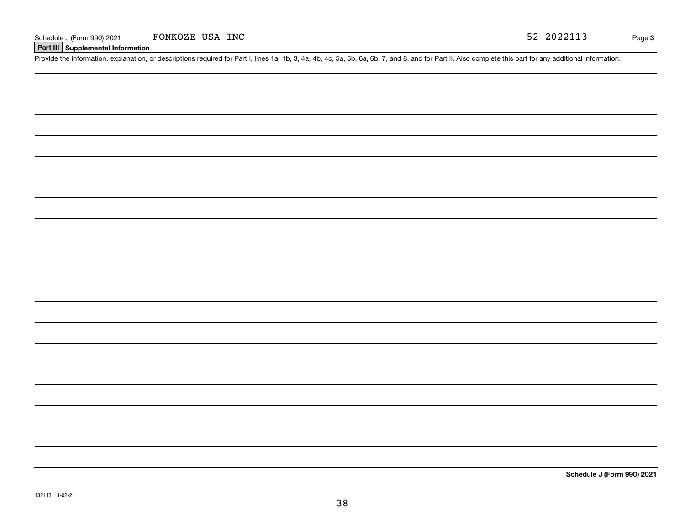#### **Part III Supplemental Information**

Schedule J (Form 990) 2021 FONKOZE USA INC<br>
Part III Supplemental Information<br>
Provide the information, explanation, or descriptions required for Part I, lines 1a, 1b, 3, 4a, 4b, 4c, 5a, 5b, 6a, 6b, 7, and 8, and for Part

**Schedule J (Form 990) 2021**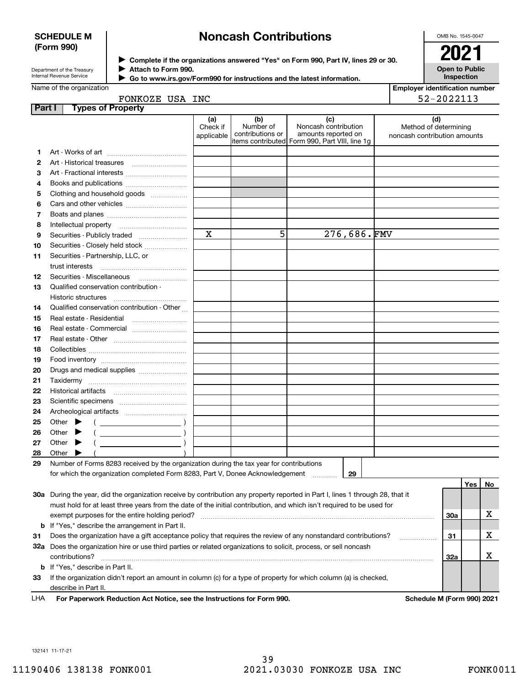#### **SCHEDULE M (Form 990)**

# **Noncash Contributions**

OMB No. 1545-0047

Department of the Treasury Internal Revenue Service

**Complete if the organizations answered "Yes" on Form 990, Part IV, lines 29 or 30.** <sup>J</sup>**2021 Attach to Form 990.** J

**Open to Public Inspection**

| Name of the organization |  |
|--------------------------|--|

|  | Go to www.irs.gov/Form990 for instructions and the latest information. |  |
|--|------------------------------------------------------------------------|--|
|  |                                                                        |  |

**Employer identification number** 52-2022113

| FONKOZE USA | INC |  |
|-------------|-----|--|
|             |     |  |

| Part I | <b>Types of Property</b>                                                                                                       |                               |                                      |                                                                                                       |                                                              |     |    |
|--------|--------------------------------------------------------------------------------------------------------------------------------|-------------------------------|--------------------------------------|-------------------------------------------------------------------------------------------------------|--------------------------------------------------------------|-----|----|
|        |                                                                                                                                | (a)<br>Check if<br>applicable | (b)<br>Number of<br>contributions or | (c)<br>Noncash contribution<br>amounts reported on<br>items contributed  Form 990, Part VIII, line 1g | (d)<br>Method of determining<br>noncash contribution amounts |     |    |
| 1      |                                                                                                                                |                               |                                      |                                                                                                       |                                                              |     |    |
| 2      |                                                                                                                                |                               |                                      |                                                                                                       |                                                              |     |    |
| 3      | Art - Fractional interests                                                                                                     |                               |                                      |                                                                                                       |                                                              |     |    |
| 4      | Books and publications                                                                                                         |                               |                                      |                                                                                                       |                                                              |     |    |
| 5      | Clothing and household goods                                                                                                   |                               |                                      |                                                                                                       |                                                              |     |    |
| 6      |                                                                                                                                |                               |                                      |                                                                                                       |                                                              |     |    |
| 7      |                                                                                                                                |                               |                                      |                                                                                                       |                                                              |     |    |
| 8      |                                                                                                                                |                               |                                      |                                                                                                       |                                                              |     |    |
| 9      | Securities - Publicly traded                                                                                                   | X                             | 5                                    | 276,686.FMV                                                                                           |                                                              |     |    |
| 10     | Securities - Closely held stock                                                                                                |                               |                                      |                                                                                                       |                                                              |     |    |
| 11     | Securities - Partnership, LLC, or                                                                                              |                               |                                      |                                                                                                       |                                                              |     |    |
|        | trust interests                                                                                                                |                               |                                      |                                                                                                       |                                                              |     |    |
| 12     | Securities - Miscellaneous                                                                                                     |                               |                                      |                                                                                                       |                                                              |     |    |
| 13     | Qualified conservation contribution -                                                                                          |                               |                                      |                                                                                                       |                                                              |     |    |
|        |                                                                                                                                |                               |                                      |                                                                                                       |                                                              |     |    |
| 14     | Qualified conservation contribution - Other                                                                                    |                               |                                      |                                                                                                       |                                                              |     |    |
| 15     | Real estate - Residential                                                                                                      |                               |                                      |                                                                                                       |                                                              |     |    |
| 16     | Real estate - Commercial                                                                                                       |                               |                                      |                                                                                                       |                                                              |     |    |
| 17     |                                                                                                                                |                               |                                      |                                                                                                       |                                                              |     |    |
| 18     |                                                                                                                                |                               |                                      |                                                                                                       |                                                              |     |    |
| 19     |                                                                                                                                |                               |                                      |                                                                                                       |                                                              |     |    |
| 20     | Drugs and medical supplies                                                                                                     |                               |                                      |                                                                                                       |                                                              |     |    |
| 21     |                                                                                                                                |                               |                                      |                                                                                                       |                                                              |     |    |
| 22     |                                                                                                                                |                               |                                      |                                                                                                       |                                                              |     |    |
| 23     |                                                                                                                                |                               |                                      |                                                                                                       |                                                              |     |    |
| 24     |                                                                                                                                |                               |                                      |                                                                                                       |                                                              |     |    |
| 25     | Other $\blacktriangleright$                                                                                                    |                               |                                      |                                                                                                       |                                                              |     |    |
| 26     | Other                                                                                                                          |                               |                                      |                                                                                                       |                                                              |     |    |
| 27     | Other $\blacktriangleright$                                                                                                    |                               |                                      |                                                                                                       |                                                              |     |    |
| 28     | Other<br>▸                                                                                                                     |                               |                                      |                                                                                                       |                                                              |     |    |
| 29     | Number of Forms 8283 received by the organization during the tax year for contributions                                        |                               |                                      |                                                                                                       |                                                              |     |    |
|        | for which the organization completed Form 8283, Part V, Donee Acknowledgement                                                  |                               |                                      | 29                                                                                                    |                                                              |     |    |
|        |                                                                                                                                |                               |                                      |                                                                                                       |                                                              | Yes | No |
|        | 30a During the year, did the organization receive by contribution any property reported in Part I, lines 1 through 28, that it |                               |                                      |                                                                                                       |                                                              |     |    |
|        | must hold for at least three years from the date of the initial contribution, and which isn't required to be used for          |                               |                                      |                                                                                                       |                                                              |     |    |
|        | exempt purposes for the entire holding period?                                                                                 |                               |                                      |                                                                                                       |                                                              | 30a | х  |
| b      | If "Yes," describe the arrangement in Part II.                                                                                 |                               |                                      |                                                                                                       |                                                              |     |    |
| 31     | Does the organization have a gift acceptance policy that requires the review of any nonstandard contributions?                 |                               |                                      |                                                                                                       |                                                              | 31  | х  |
|        | 32a Does the organization hire or use third parties or related organizations to solicit, process, or sell noncash              |                               |                                      |                                                                                                       |                                                              |     |    |
|        | contributions?                                                                                                                 |                               |                                      |                                                                                                       |                                                              | 32a | х  |
|        | <b>b</b> If "Yes," describe in Part II.                                                                                        |                               |                                      |                                                                                                       |                                                              |     |    |
| 33     | If the organization didn't report an amount in column (c) for a type of property for which column (a) is checked,              |                               |                                      |                                                                                                       |                                                              |     |    |
|        | describe in Part II.                                                                                                           |                               |                                      |                                                                                                       |                                                              |     |    |
|        |                                                                                                                                |                               |                                      |                                                                                                       |                                                              |     |    |

**For Paperwork Reduction Act Notice, see the Instructions for Form 990. Schedule M (Form 990) 2021** LHA

132141 11-17-21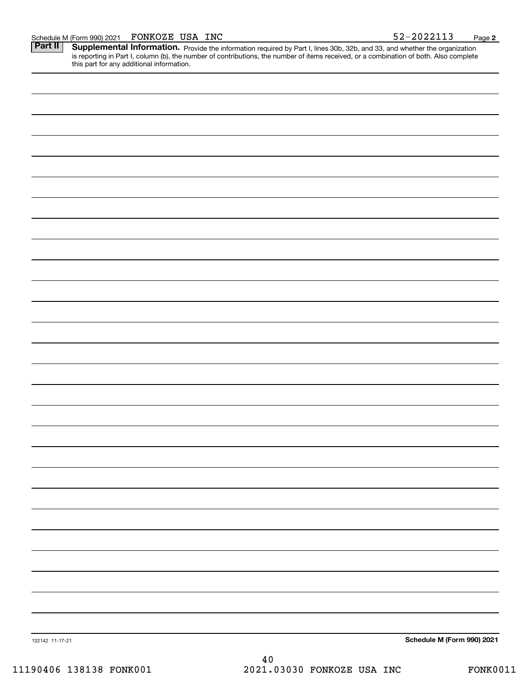Part II | Supplemental Information. Provide the information required by Part I, lines 30b, 32b, and 33, and whether the organization is reporting in Part I, column (b), the number of contributions, the number of items received, or a combination of both. Also complete this part for any additional information.

| 132142 11-17-21 | Schedule M (Form 990) 2021 |
|-----------------|----------------------------|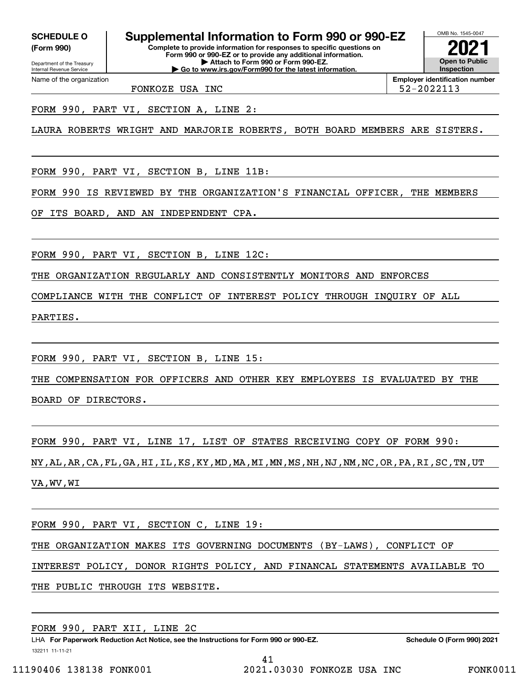**(Form 990)**

Department of the Treasury Internal Revenue Service Name of the organization **Complete to provide information for responses to specific questions on Form 990 or 990-EZ or to provide any additional information. | Attach to Form 990 or Form 990-EZ. | Go to www.irs.gov/Form990 for the latest information.**



**Employer identification number**

FONKOZE USA INC  $\vert$  52-2022113

FORM 990, PART VI, SECTION A, LINE 2:

LAURA ROBERTS WRIGHT AND MARJORIE ROBERTS, BOTH BOARD MEMBERS ARE SISTERS.

FORM 990, PART VI, SECTION B, LINE 11B:

FORM 990 IS REVIEWED BY THE ORGANIZATION'S FINANCIAL OFFICER, THE MEMBERS

OF ITS BOARD, AND AN INDEPENDENT CPA.

FORM 990, PART VI, SECTION B, LINE 12C:

THE ORGANIZATION REGULARLY AND CONSISTENTLY MONITORS AND ENFORCES

COMPLIANCE WITH THE CONFLICT OF INTEREST POLICY THROUGH INQUIRY OF ALL

PARTIES.

FORM 990, PART VI, SECTION B, LINE 15:

THE COMPENSATION FOR OFFICERS AND OTHER KEY EMPLOYEES IS EVALUATED BY THE

BOARD OF DIRECTORS.

FORM 990, PART VI, LINE 17, LIST OF STATES RECEIVING COPY OF FORM 990:

NY,AL,AR,CA,FL,GA,HI,IL,KS,KY,MD,MA,MI,MN,MS,NH,NJ,NM,NC,OR,PA,RI,SC,TN,UT

VA,WV,WI

FORM 990, PART VI, SECTION C, LINE 19:

THE ORGANIZATION MAKES ITS GOVERNING DOCUMENTS (BY-LAWS), CONFLICT OF

INTEREST POLICY, DONOR RIGHTS POLICY, AND FINANCAL STATEMENTS AVAILABLE TO

THE PUBLIC THROUGH ITS WEBSITE.

FORM 990, PART XII, LINE 2C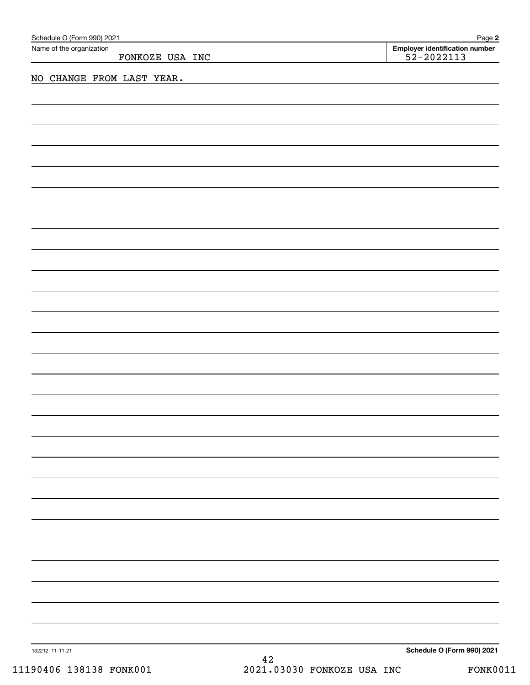| Schedule O (Form 990) 2021<br>Name of the organization | Page 2                                           |
|--------------------------------------------------------|--------------------------------------------------|
| FONKOZE USA INC                                        | Employer identification number<br>$52 - 2022113$ |
| NO CHANGE FROM LAST YEAR.                              |                                                  |
|                                                        |                                                  |
|                                                        |                                                  |
|                                                        |                                                  |
|                                                        |                                                  |
|                                                        |                                                  |
|                                                        |                                                  |
|                                                        |                                                  |
|                                                        |                                                  |
|                                                        |                                                  |
|                                                        |                                                  |
|                                                        |                                                  |
|                                                        |                                                  |
|                                                        |                                                  |
|                                                        |                                                  |
|                                                        |                                                  |
|                                                        |                                                  |
|                                                        |                                                  |
|                                                        |                                                  |
|                                                        |                                                  |
|                                                        |                                                  |
|                                                        |                                                  |
|                                                        |                                                  |
|                                                        |                                                  |
|                                                        |                                                  |
|                                                        |                                                  |
|                                                        |                                                  |
|                                                        |                                                  |
|                                                        |                                                  |
|                                                        |                                                  |
|                                                        |                                                  |
|                                                        |                                                  |
|                                                        |                                                  |
|                                                        |                                                  |
|                                                        |                                                  |
| 132212 11-11-21<br>42                                  | Schedule O (Form 990) 2021                       |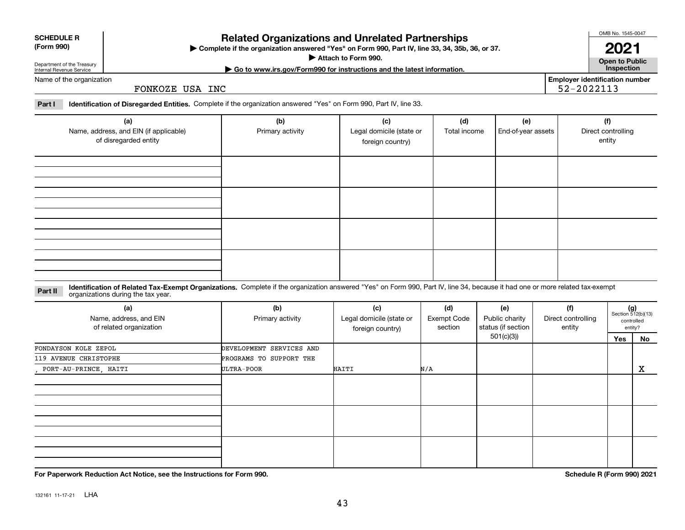**For Paperwork Reduction Act Notice, see the Instructions for Form 990. Schedule R (Form 990) 2021**

## **Related Organizations and Unrelated Partnerships**

**Complete if the organization answered "Yes" on Form 990, Part IV, line 33, 34, 35b, 36, or 37.** |

**Attach to Form 990.**  |

OMB No. 1545-0047

**Employer identification number**

52-2022113

**Part I Identification of Disregarded Entities.**  Complete if the organization answered "Yes" on Form 990, Part IV, line 33.

FONKOZE USA INC

| (a)<br>Name, address, and EIN (if applicable)<br>of disregarded entity | (b)<br>Primary activity | (c)<br>Legal domicile (state or<br>foreign country) | (d)<br>Total income | (e)<br>End-of-year assets | (f)<br>Direct controlling<br>entity |
|------------------------------------------------------------------------|-------------------------|-----------------------------------------------------|---------------------|---------------------------|-------------------------------------|
|                                                                        |                         |                                                     |                     |                           |                                     |
|                                                                        |                         |                                                     |                     |                           |                                     |
|                                                                        |                         |                                                     |                     |                           |                                     |
|                                                                        |                         |                                                     |                     |                           |                                     |

**Identification of Related Tax-Exempt Organizations.** Complete if the organization answered "Yes" on Form 990, Part IV, line 34, because it had one or more related tax-exempt **Part II** organizations during the tax year.

| (a)<br>Name, address, and EIN | (b)<br>Primary activity  | (c)<br>Legal domicile (state or | (d)<br>Exempt Code | (e)<br>Public charity            | (f)<br>Direct controlling |     | $(g)$<br>Section 512(b)(13)<br>controlled |
|-------------------------------|--------------------------|---------------------------------|--------------------|----------------------------------|---------------------------|-----|-------------------------------------------|
| of related organization       |                          | foreign country)                | section            | status (if section<br>501(c)(3)) | entity                    | Yes | entity?<br>No                             |
| FONDAYSON KOLE ZEPOL          | DEVELOPMENT SERVICES AND |                                 |                    |                                  |                           |     |                                           |
| 119 AVENUE CHRISTOPHE         | PROGRAMS TO SUPPORT THE  |                                 |                    |                                  |                           |     |                                           |
| PORT-AU-PRINCE, HAITI         | ULTRA-POOR               | HAITI                           | N/A                |                                  |                           |     | x                                         |
|                               |                          |                                 |                    |                                  |                           |     |                                           |
|                               |                          |                                 |                    |                                  |                           |     |                                           |
|                               |                          |                                 |                    |                                  |                           |     |                                           |
|                               |                          |                                 |                    |                                  |                           |     |                                           |
|                               |                          |                                 |                    |                                  |                           |     |                                           |
|                               |                          |                                 |                    |                                  |                           |     |                                           |
|                               |                          |                                 |                    |                                  |                           |     |                                           |
|                               |                          |                                 |                    |                                  |                           |     |                                           |
|                               |                          |                                 |                    |                                  |                           |     |                                           |

43

**| Go to www.irs.gov/Form990 for instructions and the latest information. Inspection**

# Department of the Treasury Internal Revenue Service

Name of the organization

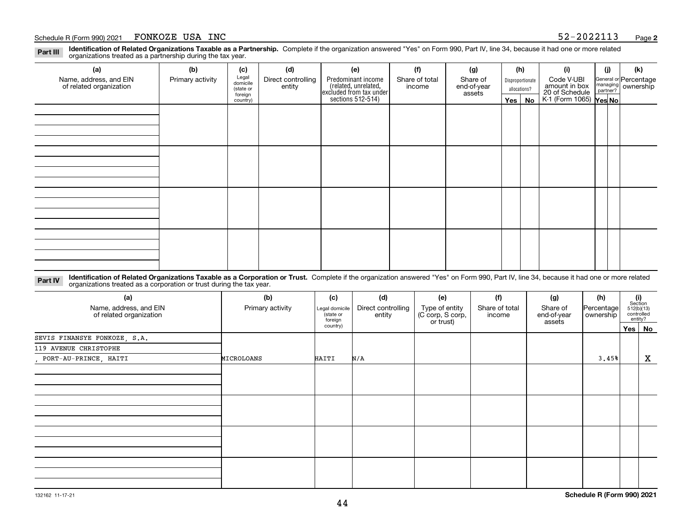#### Schedule R (Form 990) 2021 Page FONKOZE USA INC 52-2022113

**Identification of Related Organizations Taxable as a Partnership.** Complete if the organization answered "Yes" on Form 990, Part IV, line 34, because it had one or more related **Part III** organizations treated as a partnership during the tax year.

| (a)                                               | (b)              | (c)                  | (d)                          | (e)                                                                                                 | (f)            | (g)                     |                                  | (h) | (i)                                                                     | (j) | (k)                                                       |
|---------------------------------------------------|------------------|----------------------|------------------------------|-----------------------------------------------------------------------------------------------------|----------------|-------------------------|----------------------------------|-----|-------------------------------------------------------------------------|-----|-----------------------------------------------------------|
| Name, address, and EIN<br>of related organization | Primary activity | Legal<br>domicile    | Direct controlling<br>entity | Predominant income<br>related, unrelated,<br>excluded from tax under<br>sections 512-514)<br>income | Share of total | Share of<br>end-of-year | Disproportionate<br>allocations? |     | Code V-UBI<br>amount in box<br>20 of Schedule<br>K-1 (Form 1065) Yes No |     | General or Percentage<br>managing<br>partner?<br>partner? |
|                                                   |                  | (state or<br>foreign |                              |                                                                                                     |                | assets                  |                                  |     |                                                                         |     |                                                           |
|                                                   |                  | country)             |                              |                                                                                                     |                |                         | Yes $ $                          | No  |                                                                         |     |                                                           |
|                                                   |                  |                      |                              |                                                                                                     |                |                         |                                  |     |                                                                         |     |                                                           |
|                                                   |                  |                      |                              |                                                                                                     |                |                         |                                  |     |                                                                         |     |                                                           |
|                                                   |                  |                      |                              |                                                                                                     |                |                         |                                  |     |                                                                         |     |                                                           |
|                                                   |                  |                      |                              |                                                                                                     |                |                         |                                  |     |                                                                         |     |                                                           |
|                                                   |                  |                      |                              |                                                                                                     |                |                         |                                  |     |                                                                         |     |                                                           |
|                                                   |                  |                      |                              |                                                                                                     |                |                         |                                  |     |                                                                         |     |                                                           |
|                                                   |                  |                      |                              |                                                                                                     |                |                         |                                  |     |                                                                         |     |                                                           |
|                                                   |                  |                      |                              |                                                                                                     |                |                         |                                  |     |                                                                         |     |                                                           |
|                                                   |                  |                      |                              |                                                                                                     |                |                         |                                  |     |                                                                         |     |                                                           |
|                                                   |                  |                      |                              |                                                                                                     |                |                         |                                  |     |                                                                         |     |                                                           |
|                                                   |                  |                      |                              |                                                                                                     |                |                         |                                  |     |                                                                         |     |                                                           |
|                                                   |                  |                      |                              |                                                                                                     |                |                         |                                  |     |                                                                         |     |                                                           |
|                                                   |                  |                      |                              |                                                                                                     |                |                         |                                  |     |                                                                         |     |                                                           |
|                                                   |                  |                      |                              |                                                                                                     |                |                         |                                  |     |                                                                         |     |                                                           |
|                                                   |                  |                      |                              |                                                                                                     |                |                         |                                  |     |                                                                         |     |                                                           |
|                                                   |                  |                      |                              |                                                                                                     |                |                         |                                  |     |                                                                         |     |                                                           |

**Identification of Related Organizations Taxable as a Corporation or Trust.** Complete if the organization answered "Yes" on Form 990, Part IV, line 34, because it had one or more related **Part IV** organizations treated as a corporation or trust during the tax year.

| (a)<br>Name, address, and EIN<br>of related organization | (b)<br>Primary activity | (c)<br>Legal domicile<br>(state or<br>foreign | (d)<br>Direct controlling<br>entity | (e)<br>Type of entity<br>(C corp, S corp,<br>or trust) | (f)<br>Share of total<br>income | (g)<br>Share of<br>end-of-year<br>assets | (h)<br>Percentage<br>ownership |            | $\begin{array}{c} \textbf{(i)}\\ \text{Section}\\ 512 \text{(b)} \text{(13)}\\ \text{controlled}\end{array}$<br>entity? |
|----------------------------------------------------------|-------------------------|-----------------------------------------------|-------------------------------------|--------------------------------------------------------|---------------------------------|------------------------------------------|--------------------------------|------------|-------------------------------------------------------------------------------------------------------------------------|
|                                                          |                         | country)                                      |                                     |                                                        |                                 |                                          |                                | $Yes \mid$ | <b>No</b>                                                                                                               |
| SEVIS FINANSYE FONKOZE, S.A.                             |                         |                                               |                                     |                                                        |                                 |                                          |                                |            |                                                                                                                         |
| 119 AVENUE CHRISTOPHE                                    |                         |                                               |                                     |                                                        |                                 |                                          |                                |            |                                                                                                                         |
| , PORT-AU-PRINCE, HAITI                                  | MICROLOANS              | HAITI                                         | N/A                                 |                                                        |                                 |                                          | 3.45%                          |            | X                                                                                                                       |
|                                                          |                         |                                               |                                     |                                                        |                                 |                                          |                                |            |                                                                                                                         |
|                                                          |                         |                                               |                                     |                                                        |                                 |                                          |                                |            |                                                                                                                         |
|                                                          |                         |                                               |                                     |                                                        |                                 |                                          |                                |            |                                                                                                                         |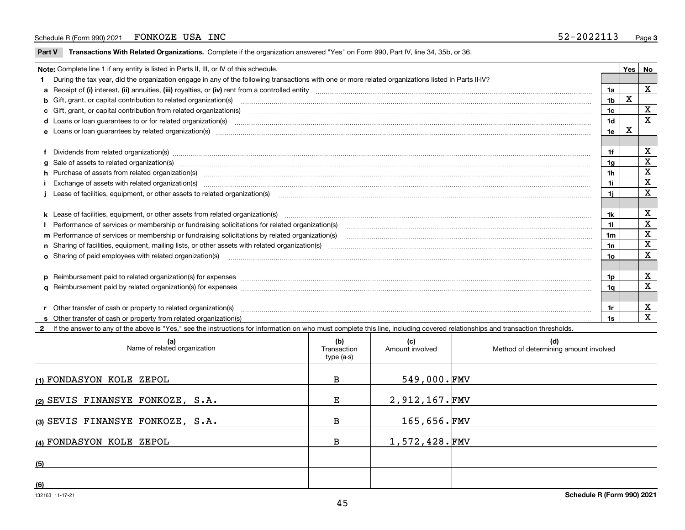#### Schedule R (Form 990) 2021 Page FONKOZE USA INC 52-2022113

 $\overline{\phantom{a}}$ 

**Part V** T**ransactions With Related Organizations.** Complete if the organization answered "Yes" on Form 990, Part IV, line 34, 35b, or 36.

| Note: Complete line 1 if any entity is listed in Parts II, III, or IV of this schedule.                                                                                                                                        |                | Yes | No          |
|--------------------------------------------------------------------------------------------------------------------------------------------------------------------------------------------------------------------------------|----------------|-----|-------------|
| 1 During the tax year, did the organization engage in any of the following transactions with one or more related organizations listed in Parts II-IV?                                                                          |                |     |             |
|                                                                                                                                                                                                                                | 1a             |     | X           |
|                                                                                                                                                                                                                                | 1b             | X   |             |
|                                                                                                                                                                                                                                | 1c             |     | х           |
|                                                                                                                                                                                                                                | 1 <sub>d</sub> |     | X           |
| e Loans or loan quarantees by related organization(s)                                                                                                                                                                          | 1e.            | х   |             |
|                                                                                                                                                                                                                                |                |     |             |
| f Dividends from related organization(s) manufactured and contract the contract of the contract of the contract of the contract of the contract of the contract of the contract of the contract of the contract of the contrac | 1f             |     | х           |
| g Sale of assets to related organization(s) www.assetsion.com/www.assetsion.com/www.assetsion.com/www.assetsion.com/www.assetsion.com/www.assetsion.com/www.assetsion.com/www.assetsion.com/www.assetsion.com/www.assetsion.co | 1a             |     | X           |
| h Purchase of assets from related organization(s) manufactured and content to the content of the content of the content of the content of the content of the content of the content of the content of the content of the conte | 1h             |     | X           |
| Exchange of assets with related organization(s) www.assettion.com/www.assettion.com/www.assettion.com/www.assettion.com/www.assettion.com/www.assettion.com/www.assettion.com/www.assettion.com/www.assettion.com/www.assettio | 1i.            |     | х           |
|                                                                                                                                                                                                                                | 1i.            |     | X           |
|                                                                                                                                                                                                                                |                |     |             |
|                                                                                                                                                                                                                                | 1k             |     | х           |
| Performance of services or membership or fundraising solicitations for related organization(s)                                                                                                                                 | 11             |     | $\mathbf x$ |
| m Performance of services or membership or fundraising solicitations by related organization(s)                                                                                                                                | 1m             |     | $\mathbf X$ |
|                                                                                                                                                                                                                                | 1n             |     | X           |
| <b>o</b> Sharing of paid employees with related organization(s)                                                                                                                                                                | 10             |     | X           |
|                                                                                                                                                                                                                                |                |     |             |
|                                                                                                                                                                                                                                | 1p             |     | х           |
|                                                                                                                                                                                                                                | 1a             |     | X           |
|                                                                                                                                                                                                                                |                |     |             |
| r Other transfer of cash or property to related organization(s)                                                                                                                                                                |                |     | х           |
|                                                                                                                                                                                                                                | 1s             |     | X           |

**2**If the answer to any of the above is "Yes," see the instructions for information on who must complete this line, including covered relationships and transaction thresholds.

| (a)<br>Name of related organization | (b)<br>Transaction<br>type (a-s) | (c)<br>Amount involved | (d)<br>Method of determining amount involved |
|-------------------------------------|----------------------------------|------------------------|----------------------------------------------|
| (1) FONDASYON KOLE ZEPOL            | в                                | $549,000.\,$ FMV       |                                              |
| (2) SEVIS FINANSYE FONKOZE, S.A.    | Е                                | 2,912,167.FMV          |                                              |
| (3) SEVIS FINANSYE FONKOZE, S.A.    | в                                | $165,656$ . FMV        |                                              |
| (4) FONDASYON KOLE ZEPOL            | B                                | $1,572,428$ . FMV      |                                              |
| (5)                                 |                                  |                        |                                              |
| (6)                                 |                                  |                        |                                              |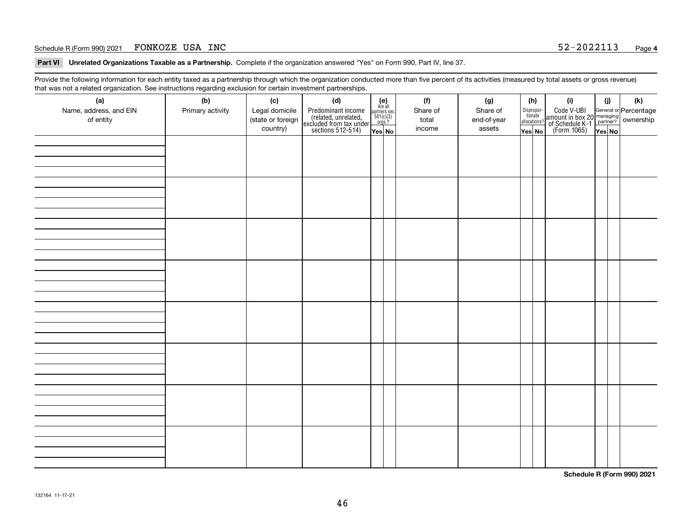#### Schedule R (Form 990) 2021  ${\rm FONKOZE}$  USA  ${\rm INC}$  . The set of the set of the set of the set of the set of the set of the set of the set of the set of the set of the set of the set of the set of the set of the set of the

**Part VI Unrelated Organizations Taxable as a Partnership. Complete if the organization answered "Yes" on Form 990, Part IV, line 37.** 

Provide the following information for each entity taxed as a partnership through which the organization conducted more than five percent of its activities (measured by total assets or gross revenue) that was not a related organization. See instructions regarding exclusion for certain investment partnerships.

| - - - - -<br>(a)<br>Name, address, and EIN<br>of entity | − ອ−<br>(b)<br>Primary activity | (c)<br>Legal domicile<br>(state or foreign<br>country) | (d)<br>Predominant income<br>(related, unrelated,<br>excluded from tax under<br>sections 512-514) | $\begin{array}{c} \textbf{(e)}\\ \text{Area all} \\ \text{partners sec.}\\ 501(c)(3) \\ \text{orgs.?} \end{array}$<br>Yes No | (f)<br>Share of<br>total<br>income | (g)<br>Share of<br>end-of-year<br>assets | (h)<br>Dispropor-<br>tionate<br>allocations?<br>Yes No | (i)<br>Code V-UBI<br>amount in box 20 managing<br>of Schedule K-1<br>(Form 1065)<br>$\overline{Yes}$ No | (i)<br>Yes No | (k) |
|---------------------------------------------------------|---------------------------------|--------------------------------------------------------|---------------------------------------------------------------------------------------------------|------------------------------------------------------------------------------------------------------------------------------|------------------------------------|------------------------------------------|--------------------------------------------------------|---------------------------------------------------------------------------------------------------------|---------------|-----|
|                                                         |                                 |                                                        |                                                                                                   |                                                                                                                              |                                    |                                          |                                                        |                                                                                                         |               |     |
|                                                         |                                 |                                                        |                                                                                                   |                                                                                                                              |                                    |                                          |                                                        |                                                                                                         |               |     |
|                                                         |                                 |                                                        |                                                                                                   |                                                                                                                              |                                    |                                          |                                                        |                                                                                                         |               |     |
|                                                         |                                 |                                                        |                                                                                                   |                                                                                                                              |                                    |                                          |                                                        |                                                                                                         |               |     |
|                                                         |                                 |                                                        |                                                                                                   |                                                                                                                              |                                    |                                          |                                                        |                                                                                                         |               |     |
|                                                         |                                 |                                                        |                                                                                                   |                                                                                                                              |                                    |                                          |                                                        |                                                                                                         |               |     |
|                                                         |                                 |                                                        |                                                                                                   |                                                                                                                              |                                    |                                          |                                                        |                                                                                                         |               |     |
|                                                         |                                 |                                                        |                                                                                                   |                                                                                                                              |                                    |                                          |                                                        |                                                                                                         |               |     |

**Schedule R (Form 990) 2021**